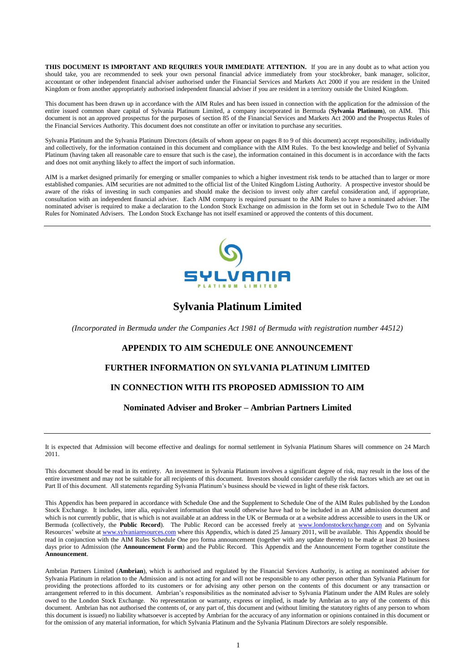<span id="page-0-0"></span>**THIS DOCUMENT IS IMPORTANT AND REQUIRES YOUR IMMEDIATE ATTENTION.** If you are in any doubt as to what action you should take, you are recommended to seek your own personal financial advice immediately from your stockbroker, bank manager, solicitor, accountant or other independent financial adviser authorised under the Financial Services and Markets Act 2000 if you are resident in the United Kingdom or from another appropriately authorised independent financial adviser if you are resident in a territory outside the United Kingdom.

This document has been drawn up in accordance with the AIM Rules and has been issued in connection with the application for the admission of the entire issued common share capital of Sylvania Platinum Limited, a company incorporated in Bermuda (**Sylvania Platinum**), on AIM. This document is not an approved prospectus for the purposes of section 85 of the Financial Services and Markets Act 2000 and the Prospectus Rules of the Financial Services Authority. This document does not constitute an offer or invitation to purchase any securities.

Sylvania Platinum and the Sylvania Platinum Directors (details of whom appear on pages [8](#page-7-0) to [9](#page-8-0) of this document) accept responsibility, individually and collectively, for the information contained in this document and compliance with the AIM Rules. To the best knowledge and belief of Sylvania Platinum (having taken all reasonable care to ensure that such is the case), the information contained in this document is in accordance with the facts and does not omit anything likely to affect the import of such information.

AIM is a market designed primarily for emerging or smaller companies to which a higher investment risk tends to be attached than to larger or more established companies. AIM securities are not admitted to the official list of the United Kingdom Listing Authority. A prospective investor should be aware of the risks of investing in such companies and should make the decision to invest only after careful consideration and, if appropriate, consultation with an independent financial adviser. Each AIM company is required pursuant to the AIM Rules to have a nominated adviser. The nominated adviser is required to make a declaration to the London Stock Exchange on admission in the form set out in Schedule Two to the AIM Rules for Nominated Advisers. The London Stock Exchange has not itself examined or approved the contents of this document.



# **Sylvania Platinum Limited**

*(Incorporated in Bermuda under the Companies Act 1981 of Bermuda with registration number 44512)*

# **APPENDIX TO AIM SCHEDULE ONE ANNOUNCEMENT**

#### **FURTHER INFORMATION ON SYLVANIA PLATINUM LIMITED**

# **IN CONNECTION WITH ITS PROPOSED ADMISSION TO AIM**

#### **Nominated Adviser and Broker – Ambrian Partners Limited**

It is expected that Admission will become effective and dealings for normal settlement in Sylvania Platinum Shares will commence on 24 March 2011.

This document should be read in its entirety. An investment in Sylvania Platinum involves a significant degree of risk, may result in the loss of the entire investment and may not be suitable for all recipients of this document. Investors should consider carefully the risk factors which are set out in [Part II](#page-23-0) of this document. All statements regarding Sylvania Platinum's business should be viewed in light of these risk factors.

This Appendix has been prepared in accordance with Schedule One and the Supplement to Schedule One of the AIM Rules published by the London Stock Exchange. It includes, inter alia, equivalent information that would otherwise have had to be included in an AIM admission document and which is not currently public, that is which is not available at an address in the UK or Bermuda or at a website address accessible to users in the UK or Bermuda (collectively, the **Public Record**). The Public Record can be accessed freely at [www.londonstockexchange.com](http://www.londonstockexchange.com/) and on Sylvania Resources' website a[t www.sylvaniaresources.com](http://www.sylvaniaresources.com/) where this Appendix, which is dated 25 January 2011, will be available. This Appendix should be read in conjunction with the AIM Rules Schedule One pro forma announcement (together with any update thereto) to be made at least 20 business days prior to Admission (the **Announcement Form**) and the Public Record. This Appendix and the Announcement Form together constitute the **Announcement**.

Ambrian Partners Limited (**Ambrian**), which is authorised and regulated by the Financial Services Authority, is acting as nominated adviser for Sylvania Platinum in relation to the Admission and is not acting for and will not be responsible to any other person other than Sylvania Platinum for providing the protections afforded to its customers or for advising any other person on the contents of this document or any transaction or arrangement referred to in this document. Ambrian's responsibilities as the nominated adviser to Sylvania Platinum under the AIM Rules are solely owed to the London Stock Exchange. No representation or warranty, express or implied, is made by Ambrian as to any of the contents of this document. Ambrian has not authorised the contents of, or any part of, this document and (without limiting the statutory rights of any person to whom this document is issued) no liability whatsoever is accepted by Ambrian for the accuracy of any information or opinions contained in this document or for the omission of any material information, for which Sylvania Platinum and the Sylvania Platinum Directors are solely responsible.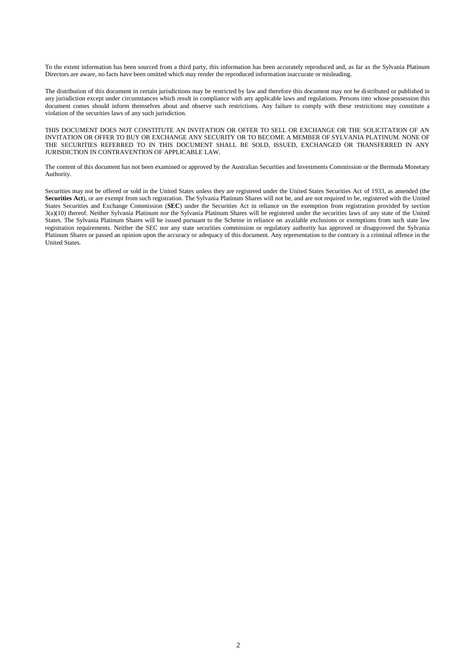To the extent information has been sourced from a third party, this information has been accurately reproduced and, as far as the Sylvania Platinum Directors are aware, no facts have been omitted which may render the reproduced information inaccurate or misleading.

The distribution of this document in certain jurisdictions may be restricted by law and therefore this document may not be distributed or published in any jurisdiction except under circumstances which result in compliance with any applicable laws and regulations. Persons into whose possession this document comes should inform themselves about and observe such restrictions. Any failure to comply with these restrictions may constitute a violation of the securities laws of any such jurisdiction.

THIS DOCUMENT DOES NOT CONSTITUTE AN INVITATION OR OFFER TO SELL OR EXCHANGE OR THE SOLICITATION OF AN INVITATION OR OFFER TO BUY OR EXCHANGE ANY SECURITY OR TO BECOME A MEMBER OF SYLVANIA PLATINUM. NONE OF THE SECURITIES REFERRED TO IN THIS DOCUMENT SHALL BE SOLD, ISSUED, EXCHANGED OR TRANSFERRED IN ANY JURISDICTION IN CONTRAVENTION OF APPLICABLE LAW.

The content of this document has not been examined or approved by the Australian Securities and Investments Commission or the Bermuda Monetary Authority.

Securities may not be offered or sold in the United States unless they are registered under the United States Securities Act of 1933, as amended (the **Securities Act**), or are exempt from such registration. The Sylvania Platinum Shares will not be, and are not required to be, registered with the United States Securities and Exchange Commission (**SEC**) under the Securities Act in reliance on the exemption from registration provided by section 3(a)(10) thereof. Neither Sylvania Platinum nor the Sylvania Platinum Shares will be registered under the securities laws of any state of the United States. The Sylvania Platinum Shares will be issued pursuant to the Scheme in reliance on available exclusions or exemptions from such state law registration requirements. Neither the SEC nor any state securities commission or regulatory authority has approved or disapproved the Sylvania Platinum Shares or passed an opinion upon the accuracy or adequacy of this document. Any representation to the contrary is a criminal offence in the United States.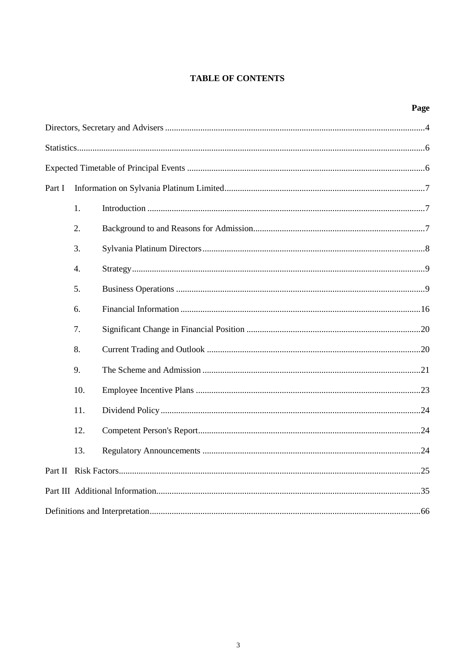# **TABLE OF CONTENTS**

# Page

| Part I |                  |  |  |  |  |
|--------|------------------|--|--|--|--|
|        | 1.               |  |  |  |  |
|        | 2.               |  |  |  |  |
|        | 3.               |  |  |  |  |
|        | $\overline{4}$ . |  |  |  |  |
|        | 5 <sub>1</sub>   |  |  |  |  |
|        | 6.               |  |  |  |  |
|        | 7.               |  |  |  |  |
|        | 8.               |  |  |  |  |
|        | 9.               |  |  |  |  |
|        | 10.              |  |  |  |  |
|        | 11.              |  |  |  |  |
|        | 12.              |  |  |  |  |
|        | 13.              |  |  |  |  |
|        |                  |  |  |  |  |
|        |                  |  |  |  |  |
|        |                  |  |  |  |  |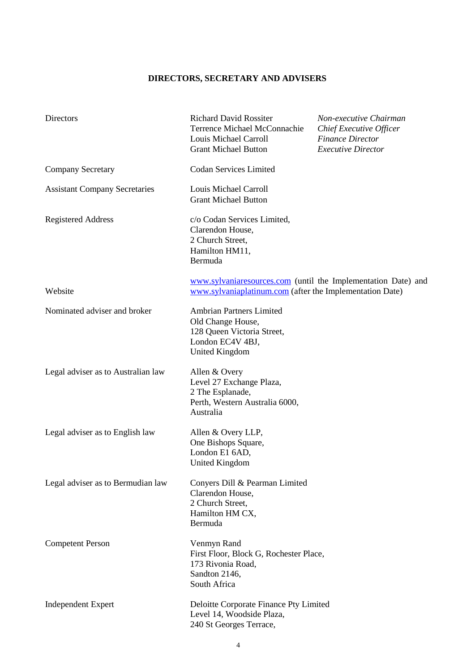# **DIRECTORS, SECRETARY AND ADVISERS**

| Directors                            | <b>Richard David Rossiter</b><br>Terrence Michael McConnachie<br>Louis Michael Carroll<br><b>Grant Michael Button</b>           | Non-executive Chairman<br>Chief Executive Officer<br><b>Finance Director</b><br><b>Executive Director</b> |  |
|--------------------------------------|---------------------------------------------------------------------------------------------------------------------------------|-----------------------------------------------------------------------------------------------------------|--|
| <b>Company Secretary</b>             | <b>Codan Services Limited</b>                                                                                                   |                                                                                                           |  |
| <b>Assistant Company Secretaries</b> | Louis Michael Carroll<br><b>Grant Michael Button</b>                                                                            |                                                                                                           |  |
| <b>Registered Address</b>            | c/o Codan Services Limited,<br>Clarendon House,<br>2 Church Street,<br>Hamilton HM11,<br>Bermuda                                |                                                                                                           |  |
| Website                              | www.sylvaniaresources.com (until the Implementation Date) and<br>www.sylvaniaplatinum.com (after the Implementation Date)       |                                                                                                           |  |
| Nominated adviser and broker         | <b>Ambrian Partners Limited</b><br>Old Change House,<br>128 Queen Victoria Street,<br>London EC4V 4BJ,<br><b>United Kingdom</b> |                                                                                                           |  |
| Legal adviser as to Australian law   | Allen & Overy<br>Level 27 Exchange Plaza,<br>2 The Esplanade,<br>Perth, Western Australia 6000,<br>Australia                    |                                                                                                           |  |
| Legal adviser as to English law      | Allen & Overy LLP,<br>One Bishops Square,<br>London E1 6AD,<br>United Kingdom                                                   |                                                                                                           |  |
| Legal adviser as to Bermudian law    | Convers Dill & Pearman Limited<br>Clarendon House,<br>2 Church Street,<br>Hamilton HM CX,<br>Bermuda                            |                                                                                                           |  |
| <b>Competent Person</b>              | Venmyn Rand<br>First Floor, Block G, Rochester Place,<br>173 Rivonia Road,<br>Sandton 2146,<br>South Africa                     |                                                                                                           |  |
| <b>Independent Expert</b>            | Deloitte Corporate Finance Pty Limited<br>Level 14, Woodside Plaza,<br>240 St Georges Terrace,                                  |                                                                                                           |  |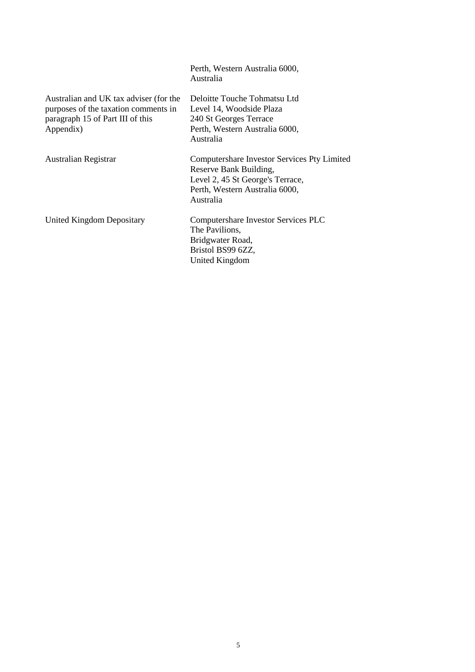|                                                                                                                                 | Perth, Western Australia 6000,<br>Australia                                                                                                              |
|---------------------------------------------------------------------------------------------------------------------------------|----------------------------------------------------------------------------------------------------------------------------------------------------------|
| Australian and UK tax adviser (for the<br>purposes of the taxation comments in<br>paragraph 15 of Part III of this<br>Appendix) | Deloitte Touche Tohmatsu Ltd<br>Level 14, Woodside Plaza<br>240 St Georges Terrace<br>Perth, Western Australia 6000,<br>Australia                        |
| Australian Registrar                                                                                                            | Computershare Investor Services Pty Limited<br>Reserve Bank Building,<br>Level 2, 45 St George's Terrace,<br>Perth, Western Australia 6000,<br>Australia |
| United Kingdom Depositary                                                                                                       | Computershare Investor Services PLC<br>The Pavilions,<br>Bridgwater Road,<br>Bristol BS99 6ZZ,<br>United Kingdom                                         |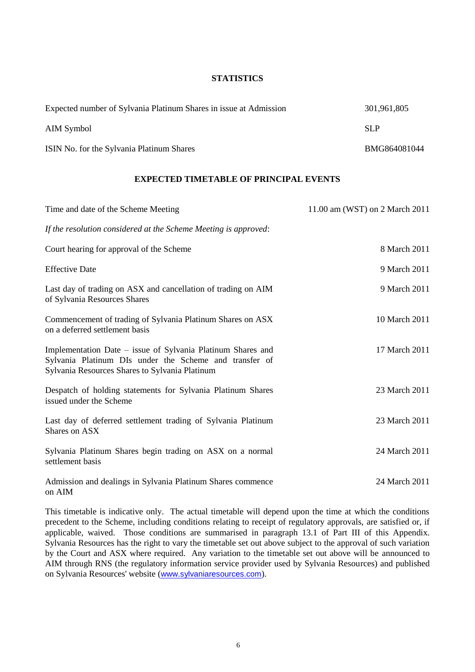# **STATISTICS**

| Expected number of Sylvania Platinum Shares in issue at Admission | 301.961.805  |
|-------------------------------------------------------------------|--------------|
| AIM Symbol                                                        | SLP          |
| ISIN No. for the Sylvania Platinum Shares                         | BMG864081044 |

#### **EXPECTED TIMETABLE OF PRINCIPAL EVENTS**

| Time and date of the Scheme Meeting                                                                                                                                     | 11.00 am (WST) on 2 March 2011 |
|-------------------------------------------------------------------------------------------------------------------------------------------------------------------------|--------------------------------|
| If the resolution considered at the Scheme Meeting is approved:                                                                                                         |                                |
| Court hearing for approval of the Scheme                                                                                                                                | 8 March 2011                   |
| <b>Effective Date</b>                                                                                                                                                   | 9 March 2011                   |
| Last day of trading on ASX and cancellation of trading on AIM<br>of Sylvania Resources Shares                                                                           | 9 March 2011                   |
| Commencement of trading of Sylvania Platinum Shares on ASX<br>on a deferred settlement basis                                                                            | 10 March 2011                  |
| Implementation Date – issue of Sylvania Platinum Shares and<br>Sylvania Platinum DIs under the Scheme and transfer of<br>Sylvania Resources Shares to Sylvania Platinum | 17 March 2011                  |
| Despatch of holding statements for Sylvania Platinum Shares<br>issued under the Scheme                                                                                  | 23 March 2011                  |
| Last day of deferred settlement trading of Sylvania Platinum<br>Shares on ASX                                                                                           | 23 March 2011                  |
| Sylvania Platinum Shares begin trading on ASX on a normal<br>settlement basis                                                                                           | 24 March 2011                  |
| Admission and dealings in Sylvania Platinum Shares commence<br>on AIM                                                                                                   | 24 March 2011                  |

<span id="page-5-0"></span>This timetable is indicative only. The actual timetable will depend upon the time at which the conditions precedent to the Scheme, including conditions relating to receipt of regulatory approvals, are satisfied or, if applicable, waived. Those conditions are summarised in paragraph [13.1](#page-47-0) of [Part III](#page-33-0) of this Appendix. Sylvania Resources has the right to vary the timetable set out above subject to the approval of such variation by the Court and ASX where required. Any variation to the timetable set out above will be announced to AIM through RNS (the regulatory information service provider used by Sylvania Resources) and published on Sylvania Resources' website ([www.sylvaniaresources.com](http://www.sylvaniaresources.com/)).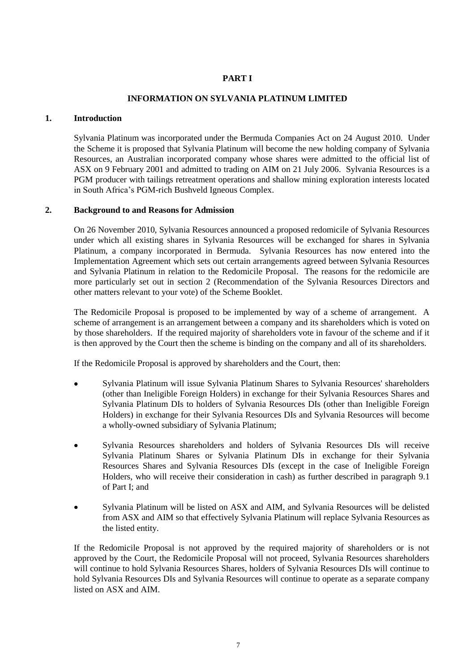# **PART I**

# **INFORMATION ON SYLVANIA PLATINUM LIMITED**

# **1. Introduction**

Sylvania Platinum was incorporated under the Bermuda Companies Act on 24 August 2010. Under the Scheme it is proposed that Sylvania Platinum will become the new holding company of Sylvania Resources, an Australian incorporated company whose shares were admitted to the official list of ASX on 9 February 2001 and admitted to trading on AIM on 21 July 2006. Sylvania Resources is a PGM producer with tailings retreatment operations and shallow mining exploration interests located in South Africa's PGM-rich Bushveld Igneous Complex.

# **2. Background to and Reasons for Admission**

On 26 November 2010, Sylvania Resources announced a proposed redomicile of Sylvania Resources under which all existing shares in Sylvania Resources will be exchanged for shares in Sylvania Platinum, a company incorporated in Bermuda. Sylvania Resources has now entered into the Implementation Agreement which sets out certain arrangements agreed between Sylvania Resources and Sylvania Platinum in relation to the Redomicile Proposal. The reasons for the redomicile are more particularly set out in section 2 (Recommendation of the Sylvania Resources Directors and other matters relevant to your vote) of the Scheme Booklet.

The Redomicile Proposal is proposed to be implemented by way of a scheme of arrangement. A scheme of arrangement is an arrangement between a company and its shareholders which is voted on by those shareholders. If the required majority of shareholders vote in favour of the scheme and if it is then approved by the Court then the scheme is binding on the company and all of its shareholders.

If the Redomicile Proposal is approved by shareholders and the Court, then:

- Sylvania Platinum will issue Sylvania Platinum Shares to Sylvania Resources' shareholders (other than Ineligible Foreign Holders) in exchange for their Sylvania Resources Shares and Sylvania Platinum DIs to holders of Sylvania Resources DIs (other than Ineligible Foreign Holders) in exchange for their Sylvania Resources DIs and Sylvania Resources will become a wholly-owned subsidiary of Sylvania Platinum;
- Sylvania Resources shareholders and holders of Sylvania Resources DIs will receive Sylvania Platinum Shares or Sylvania Platinum DIs in exchange for their Sylvania Resources Shares and Sylvania Resources DIs (except in the case of Ineligible Foreign Holders, who will receive their consideration in cash) as further described in paragraph [9.1](#page-20-0) of [Part I;](#page-5-0) and
- Sylvania Platinum will be listed on ASX and AIM, and Sylvania Resources will be delisted from ASX and AIM so that effectively Sylvania Platinum will replace Sylvania Resources as the listed entity.

If the Redomicile Proposal is not approved by the required majority of shareholders or is not approved by the Court, the Redomicile Proposal will not proceed, Sylvania Resources shareholders will continue to hold Sylvania Resources Shares, holders of Sylvania Resources DIs will continue to hold Sylvania Resources DIs and Sylvania Resources will continue to operate as a separate company listed on ASX and AIM.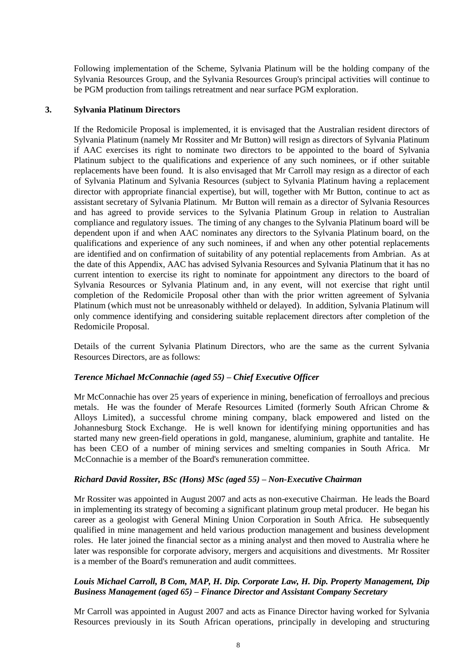Following implementation of the Scheme, Sylvania Platinum will be the holding company of the Sylvania Resources Group, and the Sylvania Resources Group's principal activities will continue to be PGM production from tailings retreatment and near surface PGM exploration.

# <span id="page-7-0"></span>**3. Sylvania Platinum Directors**

If the Redomicile Proposal is implemented, it is envisaged that the Australian resident directors of Sylvania Platinum (namely Mr Rossiter and Mr Button) will resign as directors of Sylvania Platinum if AAC exercises its right to nominate two directors to be appointed to the board of Sylvania Platinum subject to the qualifications and experience of any such nominees, or if other suitable replacements have been found. It is also envisaged that Mr Carroll may resign as a director of each of Sylvania Platinum and Sylvania Resources (subject to Sylvania Platinum having a replacement director with appropriate financial expertise), but will, together with Mr Button, continue to act as assistant secretary of Sylvania Platinum. Mr Button will remain as a director of Sylvania Resources and has agreed to provide services to the Sylvania Platinum Group in relation to Australian compliance and regulatory issues. The timing of any changes to the Sylvania Platinum board will be dependent upon if and when AAC nominates any directors to the Sylvania Platinum board, on the qualifications and experience of any such nominees, if and when any other potential replacements are identified and on confirmation of suitability of any potential replacements from Ambrian. As at the date of this Appendix, AAC has advised Sylvania Resources and Sylvania Platinum that it has no current intention to exercise its right to nominate for appointment any directors to the board of Sylvania Resources or Sylvania Platinum and, in any event, will not exercise that right until completion of the Redomicile Proposal other than with the prior written agreement of Sylvania Platinum (which must not be unreasonably withheld or delayed). In addition, Sylvania Platinum will only commence identifying and considering suitable replacement directors after completion of the Redomicile Proposal.

Details of the current Sylvania Platinum Directors, who are the same as the current Sylvania Resources Directors, are as follows:

# *Terence Michael McConnachie (aged 55) – Chief Executive Officer*

Mr McConnachie has over 25 years of experience in mining, benefication of ferroalloys and precious metals. He was the founder of Merafe Resources Limited (formerly South African Chrome & Alloys Limited), a successful chrome mining company, black empowered and listed on the Johannesburg Stock Exchange. He is well known for identifying mining opportunities and has started many new green-field operations in gold, manganese, aluminium, graphite and tantalite. He has been CEO of a number of mining services and smelting companies in South Africa. Mr McConnachie is a member of the Board's remuneration committee.

#### *Richard David Rossiter, BSc (Hons) MSc (aged 55) – Non-Executive Chairman*

Mr Rossiter was appointed in August 2007 and acts as non-executive Chairman. He leads the Board in implementing its strategy of becoming a significant platinum group metal producer. He began his career as a geologist with General Mining Union Corporation in South Africa. He subsequently qualified in mine management and held various production management and business development roles. He later joined the financial sector as a mining analyst and then moved to Australia where he later was responsible for corporate advisory, mergers and acquisitions and divestments. Mr Rossiter is a member of the Board's remuneration and audit committees.

# *Louis Michael Carroll, B Com, MAP, H. Dip. Corporate Law, H. Dip. Property Management, Dip Business Management (aged 65) – Finance Director and Assistant Company Secretary*

Mr Carroll was appointed in August 2007 and acts as Finance Director having worked for Sylvania Resources previously in its South African operations, principally in developing and structuring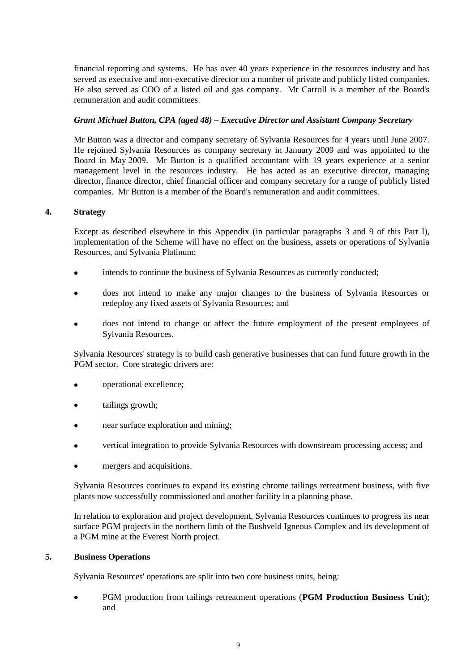financial reporting and systems. He has over 40 years experience in the resources industry and has served as executive and non-executive director on a number of private and publicly listed companies. He also served as COO of a listed oil and gas company. Mr Carroll is a member of the Board's remuneration and audit committees.

# <span id="page-8-0"></span>*Grant Michael Button, CPA (aged 48) – Executive Director and Assistant Company Secretary*

Mr Button was a director and company secretary of Sylvania Resources for 4 years until June 2007. He rejoined Sylvania Resources as company secretary in January 2009 and was appointed to the Board in May 2009. Mr Button is a qualified accountant with 19 years experience at a senior management level in the resources industry. He has acted as an executive director, managing director, finance director, chief financial officer and company secretary for a range of publicly listed companies. Mr Button is a member of the Board's remuneration and audit committees.

# **4. Strategy**

Except as described elsewhere in this Appendix (in particular paragraphs [3](#page-7-0) and [9](#page-20-1) of this [Part I\)](#page-5-0), implementation of the Scheme will have no effect on the business, assets or operations of Sylvania Resources, and Sylvania Platinum:

- intends to continue the business of Sylvania Resources as currently conducted;  $\bullet$
- does not intend to make any major changes to the business of Sylvania Resources or redeploy any fixed assets of Sylvania Resources; and
- does not intend to change or affect the future employment of the present employees of Sylvania Resources.

Sylvania Resources' strategy is to build cash generative businesses that can fund future growth in the PGM sector. Core strategic drivers are:

- operational excellence;
- tailings growth;
- near surface exploration and mining;
- vertical integration to provide Sylvania Resources with downstream processing access; and
- mergers and acquisitions.

Sylvania Resources continues to expand its existing chrome tailings retreatment business, with five plants now successfully commissioned and another facility in a planning phase.

In relation to exploration and project development, Sylvania Resources continues to progress its near surface PGM projects in the northern limb of the Bushveld Igneous Complex and its development of a PGM mine at the Everest North project.

# <span id="page-8-1"></span>**5. Business Operations**

Sylvania Resources' operations are split into two core business units, being:

PGM production from tailings retreatment operations (**PGM Production Business Unit**); and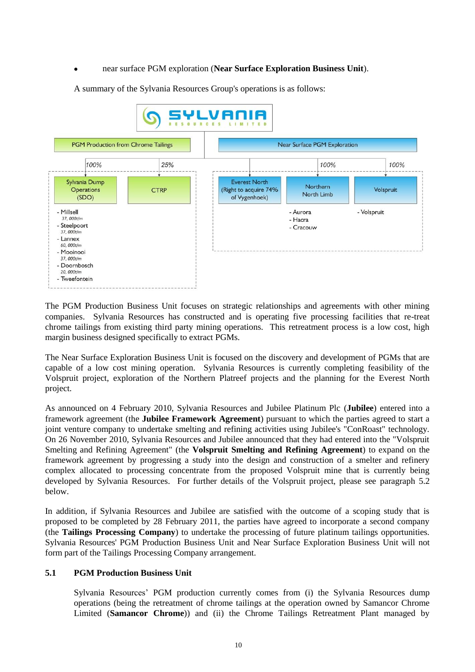### near surface PGM exploration (**Near Surface Exploration Business Unit**).

A summary of the Sylvania Resources Group's operations is as follows:



The PGM Production Business Unit focuses on strategic relationships and agreements with other mining companies. Sylvania Resources has constructed and is operating five processing facilities that re-treat chrome tailings from existing third party mining operations. This retreatment process is a low cost, high margin business designed specifically to extract PGMs.

The Near Surface Exploration Business Unit is focused on the discovery and development of PGMs that are capable of a low cost mining operation. Sylvania Resources is currently completing feasibility of the Volspruit project, exploration of the Northern Platreef projects and the planning for the Everest North project.

As announced on 4 February 2010, Sylvania Resources and Jubilee Platinum Plc (**Jubilee**) entered into a framework agreement (the **Jubilee Framework Agreement**) pursuant to which the parties agreed to start a joint venture company to undertake smelting and refining activities using Jubilee's "ConRoast" technology. On 26 November 2010, Sylvania Resources and Jubilee announced that they had entered into the "Volspruit Smelting and Refining Agreement" (the **Volspruit Smelting and Refining Agreement**) to expand on the framework agreement by progressing a study into the design and construction of a smelter and refinery complex allocated to processing concentrate from the proposed Volspruit mine that is currently being developed by Sylvania Resources. For further details of the Volspruit project, please see paragraph [5.2](#page-14-0)  [below.](#page-14-0)

In addition, if Sylvania Resources and Jubilee are satisfied with the outcome of a scoping study that is proposed to be completed by 28 February 2011, the parties have agreed to incorporate a second company (the **Tailings Processing Company**) to undertake the processing of future platinum tailings opportunities. Sylvania Resources' PGM Production Business Unit and Near Surface Exploration Business Unit will not form part of the Tailings Processing Company arrangement.

# <span id="page-9-0"></span>**5.1 PGM Production Business Unit**

Sylvania Resources' PGM production currently comes from (i) the Sylvania Resources dump operations (being the retreatment of chrome tailings at the operation owned by Samancor Chrome Limited (**Samancor Chrome**)) and (ii) the Chrome Tailings Retreatment Plant managed by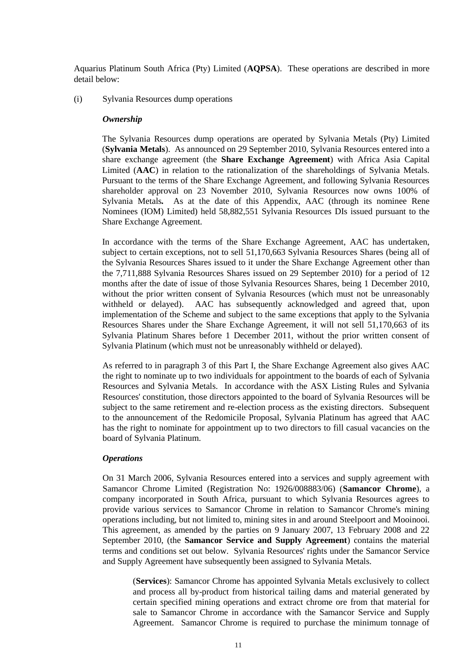Aquarius Platinum South Africa (Pty) Limited (**AQPSA**). These operations are described in more detail below:

<span id="page-10-0"></span>(i) Sylvania Resources dump operations

#### *Ownership*

The Sylvania Resources dump operations are operated by Sylvania Metals (Pty) Limited (**Sylvania Metals**). As announced on 29 September 2010, Sylvania Resources entered into a share exchange agreement (the **Share Exchange Agreement**) with Africa Asia Capital Limited (**AAC**) in relation to the rationalization of the shareholdings of Sylvania Metals. Pursuant to the terms of the Share Exchange Agreement, and following Sylvania Resources shareholder approval on 23 November 2010, Sylvania Resources now owns 100% of Sylvania Metals*.* As at the date of this Appendix, AAC (through its nominee Rene Nominees (IOM) Limited) held 58,882,551 Sylvania Resources DIs issued pursuant to the Share Exchange Agreement.

In accordance with the terms of the Share Exchange Agreement, AAC has undertaken, subject to certain exceptions, not to sell 51,170,663 Sylvania Resources Shares (being all of the Sylvania Resources Shares issued to it under the Share Exchange Agreement other than the 7,711,888 Sylvania Resources Shares issued on 29 September 2010) for a period of 12 months after the date of issue of those Sylvania Resources Shares, being 1 December 2010, without the prior written consent of Sylvania Resources (which must not be unreasonably withheld or delayed). AAC has subsequently acknowledged and agreed that, upon implementation of the Scheme and subject to the same exceptions that apply to the Sylvania Resources Shares under the Share Exchange Agreement, it will not sell 51,170,663 of its Sylvania Platinum Shares before 1 December 2011, without the prior written consent of Sylvania Platinum (which must not be unreasonably withheld or delayed).

As referred to in paragraph [3](#page-7-0) of this [Part I,](#page-5-0) the Share Exchange Agreement also gives AAC the right to nominate up to two individuals for appointment to the boards of each of Sylvania Resources and Sylvania Metals. In accordance with the ASX Listing Rules and Sylvania Resources' constitution, those directors appointed to the board of Sylvania Resources will be subject to the same retirement and re-election process as the existing directors. Subsequent to the announcement of the Redomicile Proposal, Sylvania Platinum has agreed that AAC has the right to nominate for appointment up to two directors to fill casual vacancies on the board of Sylvania Platinum.

#### *Operations*

On 31 March 2006, Sylvania Resources entered into a services and supply agreement with Samancor Chrome Limited (Registration No: 1926/008883/06) (**Samancor Chrome**), a company incorporated in South Africa, pursuant to which Sylvania Resources agrees to provide various services to Samancor Chrome in relation to Samancor Chrome's mining operations including, but not limited to, mining sites in and around Steelpoort and Mooinooi. This agreement, as amended by the parties on 9 January 2007, 13 February 2008 and 22 September 2010, (the **Samancor Service and Supply Agreement**) contains the material terms and conditions set out below. Sylvania Resources' rights under the Samancor Service and Supply Agreement have subsequently been assigned to Sylvania Metals.

(**Services**): Samancor Chrome has appointed Sylvania Metals exclusively to collect and process all by-product from historical tailing dams and material generated by certain specified mining operations and extract chrome ore from that material for sale to Samancor Chrome in accordance with the Samancor Service and Supply Agreement. Samancor Chrome is required to purchase the minimum tonnage of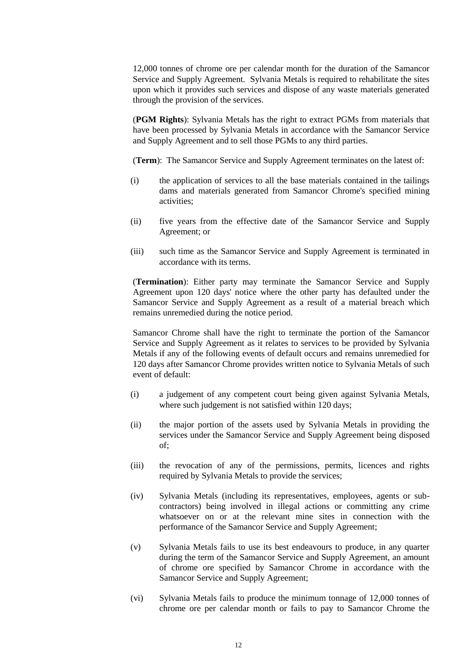12,000 tonnes of chrome ore per calendar month for the duration of the Samancor Service and Supply Agreement. Sylvania Metals is required to rehabilitate the sites upon which it provides such services and dispose of any waste materials generated through the provision of the services.

(**PGM Rights**): Sylvania Metals has the right to extract PGMs from materials that have been processed by Sylvania Metals in accordance with the Samancor Service and Supply Agreement and to sell those PGMs to any third parties.

(**Term**): The Samancor Service and Supply Agreement terminates on the latest of:

- (i) the application of services to all the base materials contained in the tailings dams and materials generated from Samancor Chrome's specified mining activities;
- (ii) five years from the effective date of the Samancor Service and Supply Agreement; or
- (iii) such time as the Samancor Service and Supply Agreement is terminated in accordance with its terms.

(**Termination**): Either party may terminate the Samancor Service and Supply Agreement upon 120 days' notice where the other party has defaulted under the Samancor Service and Supply Agreement as a result of a material breach which remains unremedied during the notice period.

Samancor Chrome shall have the right to terminate the portion of the Samancor Service and Supply Agreement as it relates to services to be provided by Sylvania Metals if any of the following events of default occurs and remains unremedied for 120 days after Samancor Chrome provides written notice to Sylvania Metals of such event of default:

- (i) a judgement of any competent court being given against Sylvania Metals, where such judgement is not satisfied within 120 days;
- (ii) the major portion of the assets used by Sylvania Metals in providing the services under the Samancor Service and Supply Agreement being disposed of;
- (iii) the revocation of any of the permissions, permits, licences and rights required by Sylvania Metals to provide the services;
- (iv) Sylvania Metals (including its representatives, employees, agents or subcontractors) being involved in illegal actions or committing any crime whatsoever on or at the relevant mine sites in connection with the performance of the Samancor Service and Supply Agreement;
- (v) Sylvania Metals fails to use its best endeavours to produce, in any quarter during the term of the Samancor Service and Supply Agreement, an amount of chrome ore specified by Samancor Chrome in accordance with the Samancor Service and Supply Agreement;
- (vi) Sylvania Metals fails to produce the minimum tonnage of 12,000 tonnes of chrome ore per calendar month or fails to pay to Samancor Chrome the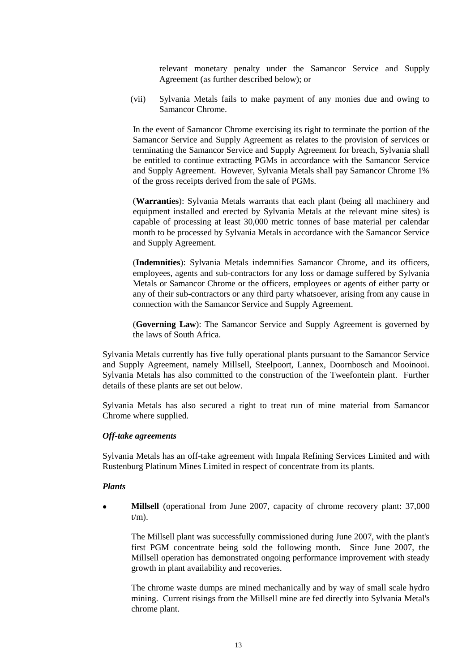relevant monetary penalty under the Samancor Service and Supply Agreement (as further described below); or

(vii) Sylvania Metals fails to make payment of any monies due and owing to Samancor Chrome.

In the event of Samancor Chrome exercising its right to terminate the portion of the Samancor Service and Supply Agreement as relates to the provision of services or terminating the Samancor Service and Supply Agreement for breach, Sylvania shall be entitled to continue extracting PGMs in accordance with the Samancor Service and Supply Agreement. However, Sylvania Metals shall pay Samancor Chrome 1% of the gross receipts derived from the sale of PGMs.

(**Warranties**): Sylvania Metals warrants that each plant (being all machinery and equipment installed and erected by Sylvania Metals at the relevant mine sites) is capable of processing at least 30,000 metric tonnes of base material per calendar month to be processed by Sylvania Metals in accordance with the Samancor Service and Supply Agreement.

(**Indemnities**): Sylvania Metals indemnifies Samancor Chrome, and its officers, employees, agents and sub-contractors for any loss or damage suffered by Sylvania Metals or Samancor Chrome or the officers, employees or agents of either party or any of their sub-contractors or any third party whatsoever, arising from any cause in connection with the Samancor Service and Supply Agreement.

(**Governing Law**): The Samancor Service and Supply Agreement is governed by the laws of South Africa.

Sylvania Metals currently has five fully operational plants pursuant to the Samancor Service and Supply Agreement, namely Millsell, Steelpoort, Lannex, Doornbosch and Mooinooi. Sylvania Metals has also committed to the construction of the Tweefontein plant. Further details of these plants are set out below.

Sylvania Metals has also secured a right to treat run of mine material from Samancor Chrome where supplied.

#### *Off-take agreements*

Sylvania Metals has an off-take agreement with Impala Refining Services Limited and with Rustenburg Platinum Mines Limited in respect of concentrate from its plants.

#### *Plants*

**Millsell** (operational from June 2007, capacity of chrome recovery plant: 37,000  $\bullet$  $t/m$ ).

The Millsell plant was successfully commissioned during June 2007, with the plant's first PGM concentrate being sold the following month. Since June 2007, the Millsell operation has demonstrated ongoing performance improvement with steady growth in plant availability and recoveries.

The chrome waste dumps are mined mechanically and by way of small scale hydro mining. Current risings from the Millsell mine are fed directly into Sylvania Metal's chrome plant.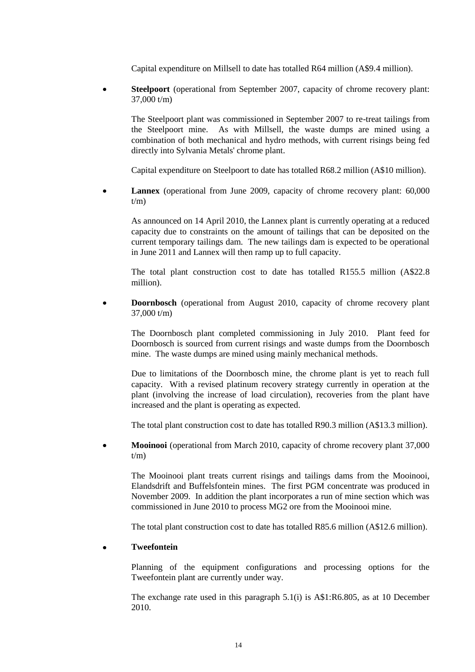Capital expenditure on Millsell to date has totalled R64 million (A\$9.4 million).

**Steelpoort** (operational from September 2007, capacity of chrome recovery plant:  $\bullet$ 37,000 t/m)

The Steelpoort plant was commissioned in September 2007 to re-treat tailings from the Steelpoort mine. As with Millsell, the waste dumps are mined using a combination of both mechanical and hydro methods, with current risings being fed directly into Sylvania Metals' chrome plant.

Capital expenditure on Steelpoort to date has totalled R68.2 million (A\$10 million).

**Lannex** (operational from June 2009, capacity of chrome recovery plant: 60,000  $\bullet$  $t/m$ )

As announced on 14 April 2010, the Lannex plant is currently operating at a reduced capacity due to constraints on the amount of tailings that can be deposited on the current temporary tailings dam. The new tailings dam is expected to be operational in June 2011 and Lannex will then ramp up to full capacity.

The total plant construction cost to date has totalled R155.5 million (A\$22.8 million).

**Doornbosch** (operational from August 2010, capacity of chrome recovery plant  $\bullet$ 37,000 t/m)

The Doornbosch plant completed commissioning in July 2010. Plant feed for Doornbosch is sourced from current risings and waste dumps from the Doornbosch mine. The waste dumps are mined using mainly mechanical methods.

Due to limitations of the Doornbosch mine, the chrome plant is yet to reach full capacity. With a revised platinum recovery strategy currently in operation at the plant (involving the increase of load circulation), recoveries from the plant have increased and the plant is operating as expected.

The total plant construction cost to date has totalled R90.3 million (A\$13.3 million).

**Mooinooi** (operational from March 2010, capacity of chrome recovery plant 37,000  $t/m$ )

The Mooinooi plant treats current risings and tailings dams from the Mooinooi, Elandsdrift and Buffelsfontein mines. The first PGM concentrate was produced in November 2009. In addition the plant incorporates a run of mine section which was commissioned in June 2010 to process MG2 ore from the Mooinooi mine.

The total plant construction cost to date has totalled R85.6 million (A\$12.6 million).

# **Tweefontein**

Planning of the equipment configurations and processing options for the Tweefontein plant are currently under way.

The exchange rate used in this paragraph [5.1\(i\)](#page-9-0) is A\$1:R6.805, as at 10 December 2010.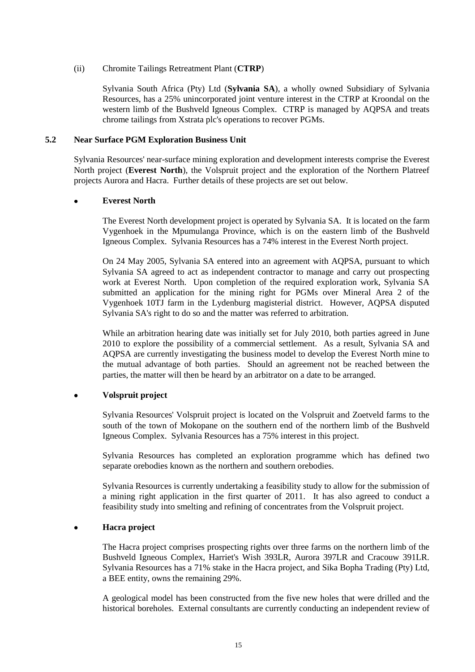# (ii) Chromite Tailings Retreatment Plant (**CTRP**)

Sylvania South Africa (Pty) Ltd (**Sylvania SA**), a wholly owned Subsidiary of Sylvania Resources, has a 25% unincorporated joint venture interest in the CTRP at Kroondal on the western limb of the Bushveld Igneous Complex. CTRP is managed by AQPSA and treats chrome tailings from Xstrata plc's operations to recover PGMs.

### <span id="page-14-0"></span>**5.2 Near Surface PGM Exploration Business Unit**

Sylvania Resources' near-surface mining exploration and development interests comprise the Everest North project (**Everest North**), the Volspruit project and the exploration of the Northern Platreef projects Aurora and Hacra. Further details of these projects are set out below.

#### **Everest North**

The Everest North development project is operated by Sylvania SA. It is located on the farm Vygenhoek in the Mpumulanga Province, which is on the eastern limb of the Bushveld Igneous Complex. Sylvania Resources has a 74% interest in the Everest North project.

On 24 May 2005, Sylvania SA entered into an agreement with AQPSA, pursuant to which Sylvania SA agreed to act as independent contractor to manage and carry out prospecting work at Everest North. Upon completion of the required exploration work, Sylvania SA submitted an application for the mining right for PGMs over Mineral Area 2 of the Vygenhoek 10TJ farm in the Lydenburg magisterial district. However, AQPSA disputed Sylvania SA's right to do so and the matter was referred to arbitration.

While an arbitration hearing date was initially set for July 2010, both parties agreed in June 2010 to explore the possibility of a commercial settlement. As a result, Sylvania SA and AQPSA are currently investigating the business model to develop the Everest North mine to the mutual advantage of both parties. Should an agreement not be reached between the parties, the matter will then be heard by an arbitrator on a date to be arranged.

# **Volspruit project**

Sylvania Resources' Volspruit project is located on the Volspruit and Zoetveld farms to the south of the town of Mokopane on the southern end of the northern limb of the Bushveld Igneous Complex. Sylvania Resources has a 75% interest in this project.

Sylvania Resources has completed an exploration programme which has defined two separate orebodies known as the northern and southern orebodies.

Sylvania Resources is currently undertaking a feasibility study to allow for the submission of a mining right application in the first quarter of 2011. It has also agreed to conduct a feasibility study into smelting and refining of concentrates from the Volspruit project.

# **Hacra project**

The Hacra project comprises prospecting rights over three farms on the northern limb of the Bushveld Igneous Complex, Harriet's Wish 393LR, Aurora 397LR and Cracouw 391LR. Sylvania Resources has a 71% stake in the Hacra project, and Sika Bopha Trading (Pty) Ltd, a BEE entity, owns the remaining 29%.

A geological model has been constructed from the five new holes that were drilled and the historical boreholes. External consultants are currently conducting an independent review of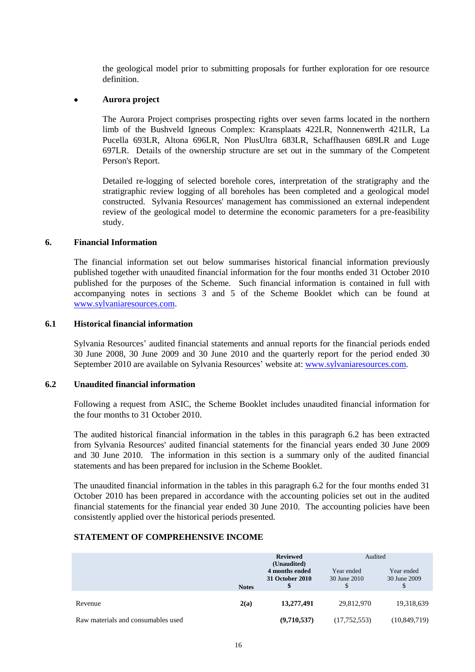the geological model prior to submitting proposals for further exploration for ore resource definition.

### **Aurora project**

The Aurora Project comprises prospecting rights over seven farms located in the northern limb of the Bushveld Igneous Complex: Kransplaats 422LR, Nonnenwerth 421LR, La Pucella 693LR, Altona 696LR, Non PlusUltra 683LR, Schaffhausen 689LR and Luge 697LR. Details of the ownership structure are set out in the summary of the Competent Person's Report.

Detailed re-logging of selected borehole cores, interpretation of the stratigraphy and the stratigraphic review logging of all boreholes has been completed and a geological model constructed. Sylvania Resources' management has commissioned an external independent review of the geological model to determine the economic parameters for a pre-feasibility study.

#### **6. Financial Information**

The financial information set out below summarises historical financial information previously published together with unaudited financial information for the four months ended 31 October 2010 published for the purposes of the Scheme. Such financial information is contained in full with accompanying notes in sections 3 and 5 of the Scheme Booklet which can be found at [www.sylvaniaresources.com.](http://www.sylvaniaresources.com/)

#### <span id="page-15-1"></span>**6.1 Historical financial information**

Sylvania Resources' audited financial statements and annual reports for the financial periods ended 30 June 2008, 30 June 2009 and 30 June 2010 and the quarterly report for the period ended 30 September 2010 are available on Sylvania Resources' website at[: www.sylvaniaresources.com.](http://www.sylvaniaresources.com/)

#### <span id="page-15-0"></span>**6.2 Unaudited financial information**

Following a request from ASIC, the Scheme Booklet includes unaudited financial information for the four months to 31 October 2010.

The audited historical financial information in the tables in this paragraph [6.2](#page-15-0) has been extracted from Sylvania Resources' audited financial statements for the financial years ended 30 June 2009 and 30 June 2010. The information in this section is a summary only of the audited financial statements and has been prepared for inclusion in the Scheme Booklet.

The unaudited financial information in the tables in this paragraph [6.2](#page-15-0) for the four months ended 31 October 2010 has been prepared in accordance with the accounting policies set out in the audited financial statements for the financial year ended 30 June 2010. The accounting policies have been consistently applied over the historical periods presented.

# **STATEMENT OF COMPREHENSIVE INCOME**

|                                    | <b>Notes</b> | <b>Reviewed</b><br>(Unaudited)<br>4 months ended<br>31 October 2010 | Audited<br>Year ended<br>30 June 2010 | Year ended<br>30 June 2009 |
|------------------------------------|--------------|---------------------------------------------------------------------|---------------------------------------|----------------------------|
| Revenue                            | 2(a)         | 13,277,491                                                          | 29,812,970                            | 19,318,639                 |
| Raw materials and consumables used |              | (9,710,537)                                                         | (17,752,553)                          | (10, 849, 719)             |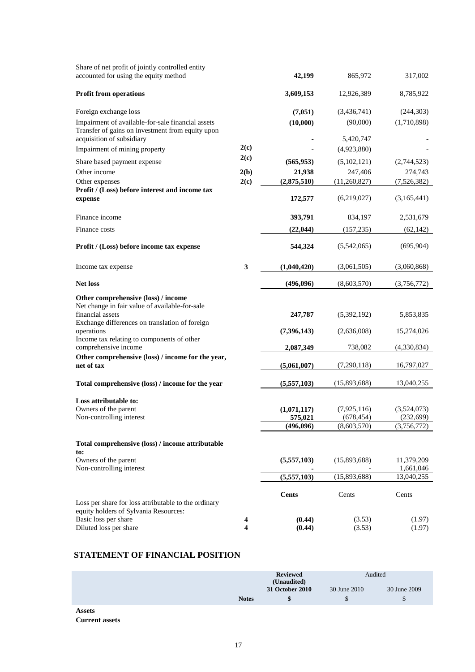| Share of net profit of jointly controlled entity<br>accounted for using the equity method                                                                   |        | 42,199                              | 865,972                                    | 317,002                                  |
|-------------------------------------------------------------------------------------------------------------------------------------------------------------|--------|-------------------------------------|--------------------------------------------|------------------------------------------|
|                                                                                                                                                             |        |                                     | 12,926,389                                 | 8,785,922                                |
| <b>Profit from operations</b>                                                                                                                               |        | 3,609,153                           |                                            |                                          |
| Foreign exchange loss                                                                                                                                       |        | (7,051)                             | (3,436,741)                                | (244, 303)                               |
| Impairment of available-for-sale financial assets<br>Transfer of gains on investment from equity upon<br>acquisition of subsidiary                          |        | (10,000)                            | (90,000)<br>5,420,747                      | (1,710,898)                              |
| Impairment of mining property                                                                                                                               | 2(c)   |                                     | (4,923,880)                                |                                          |
| Share based payment expense                                                                                                                                 | 2(c)   | (565, 953)                          | (5,102,121)                                | (2,744,523)                              |
| Other income                                                                                                                                                | 2(b)   | 21,938                              | 247,406                                    | 274,743                                  |
| Other expenses                                                                                                                                              | 2(c)   | (2,875,510)                         | (11,260,827)                               | (7,526,382)                              |
| Profit / (Loss) before interest and income tax<br>expense                                                                                                   |        | 172,577                             | (6,219,027)                                | (3,165,441)                              |
| Finance income                                                                                                                                              |        | 393,791                             | 834,197                                    | 2,531,679                                |
| Finance costs                                                                                                                                               |        | (22, 044)                           | (157, 235)                                 | (62, 142)                                |
| Profit / (Loss) before income tax expense                                                                                                                   |        | 544,324                             | (5,542,065)                                | (695, 904)                               |
| Income tax expense                                                                                                                                          | 3      | (1,040,420)                         | (3,061,505)                                | (3,060,868)                              |
| <b>Net loss</b>                                                                                                                                             |        | (496,096)                           | (8,603,570)                                | (3,756,772)                              |
| Other comprehensive (loss) / income<br>Net change in fair value of available-for-sale<br>financial assets<br>Exchange differences on translation of foreign |        | 247,787                             | (5,392,192)                                | 5,853,835                                |
| operations<br>Income tax relating to components of other                                                                                                    |        | (7,396,143)                         | (2,636,008)                                | 15,274,026                               |
| comprehensive income                                                                                                                                        |        | 2,087,349                           | 738,082                                    | (4,330,834)                              |
| Other comprehensive (loss) / income for the year,<br>net of tax                                                                                             |        | (5,061,007)                         | (7,290,118)                                | 16,797,027                               |
| Total comprehensive (loss) / income for the year                                                                                                            |        | (5,557,103)                         | (15,893,688)                               | 13,040,255                               |
| Loss attributable to:<br>Owners of the parent<br>Non-controlling interest                                                                                   |        | (1,071,117)<br>575,021<br>(496,096) | (7, 925, 116)<br>(678, 454)<br>(8,603,570) | (3,524,073)<br>(232, 699)<br>(3,756,772) |
| Total comprehensive (loss) / income attributable                                                                                                            |        |                                     |                                            |                                          |
| to:<br>Owners of the parent<br>Non-controlling interest                                                                                                     |        | (5,557,103)                         | (15,893,688)                               | 11,379,209<br>1,661,046                  |
|                                                                                                                                                             |        | (5,557,103)                         | (15,893,688)                               | 13,040,255                               |
| Loss per share for loss attributable to the ordinary                                                                                                        |        | <b>Cents</b>                        | Cents                                      | Cents                                    |
| equity holders of Sylvania Resources:<br>Basic loss per share<br>Diluted loss per share                                                                     | 4<br>4 | (0.44)<br>(0.44)                    | (3.53)<br>(3.53)                           | (1.97)<br>(1.97)                         |

# **STATEMENT OF FINANCIAL POSITION**

|                       |              | <b>Reviewed</b><br>(Unaudited) | Audited      |              |
|-----------------------|--------------|--------------------------------|--------------|--------------|
|                       |              | 31 October 2010                | 30 June 2010 | 30 June 2009 |
|                       | <b>Notes</b> | \$                             | \$           | \$           |
| <b>Assets</b>         |              |                                |              |              |
| <b>Current assets</b> |              |                                |              |              |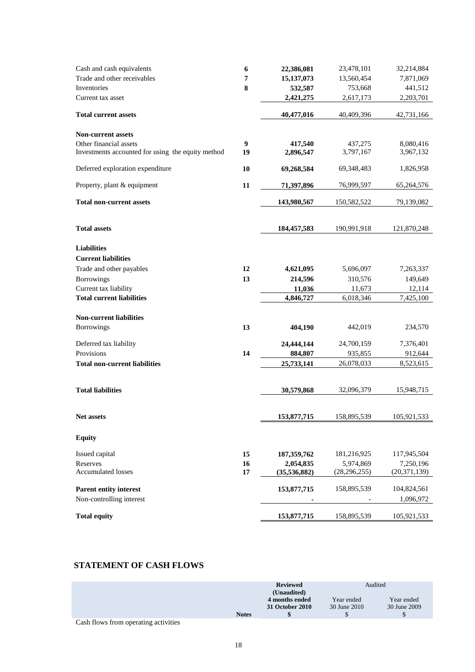| Cash and cash equivalents                                                   | 6       | 22,386,081           | 23,478,101           | 32,214,884             |
|-----------------------------------------------------------------------------|---------|----------------------|----------------------|------------------------|
| Trade and other receivables                                                 | 7       | 15, 137, 073         | 13,560,454           | 7,871,069              |
| Inventories                                                                 | 8       | 532,587              | 753,668              | 441,512                |
| Current tax asset                                                           |         | 2,421,275            | 2,617,173            | 2,203,701              |
| <b>Total current assets</b>                                                 |         | 40,477,016           | 40,409,396           | 42,731,166             |
| <b>Non-current assets</b>                                                   |         |                      |                      |                        |
| Other financial assets<br>Investments accounted for using the equity method | 9<br>19 | 417,540<br>2,896,547 | 437,275<br>3,797,167 | 8,080,416<br>3,967,132 |
| Deferred exploration expenditure                                            | 10      | 69,268,584           | 69,348,483           | 1,826,958              |
| Property, plant & equipment                                                 | 11      | 71,397,896           | 76,999,597           | 65,264,576             |
| <b>Total non-current assets</b>                                             |         | 143,980,567          | 150,582,522          | 79,139,082             |
| <b>Total assets</b>                                                         |         | 184,457,583          | 190,991,918          | 121,870,248            |
| <b>Liabilities</b>                                                          |         |                      |                      |                        |
| <b>Current liabilities</b>                                                  |         |                      |                      |                        |
| Trade and other payables                                                    | 12      | 4,621,095            | 5,696,097            | 7,263,337              |
| Borrowings                                                                  | 13      | 214,596              | 310,576              | 149,649                |
| Current tax liability                                                       |         | 11,036               | 11,673               | 12,114                 |
| <b>Total current liabilities</b>                                            |         | 4,846,727            | 6,018,346            | 7,425,100              |
| <b>Non-current liabilities</b>                                              |         |                      |                      |                        |
| Borrowings                                                                  | 13      | 404,190              | 442,019              | 234,570                |
| Deferred tax liability                                                      |         | 24,444,144           | 24,700,159           | 7,376,401              |
| Provisions                                                                  | 14      | 884,807              | 935,855              | 912,644                |
| <b>Total non-current liabilities</b>                                        |         | 25,733,141           | 26,078,033           | 8,523,615              |
|                                                                             |         |                      |                      |                        |
| <b>Total liabilities</b>                                                    |         | 30,579,868           | 32,096,379           | 15,948,715             |
| <b>Net assets</b>                                                           |         | 153,877,715          | 158,895,539          | 105,921,533            |
| <b>Equity</b>                                                               |         |                      |                      |                        |
| Issued capital                                                              | 15      | 187, 359, 762        | 181,216,925          | 117,945,504            |
| Reserves                                                                    | 16      | 2,054,835            | 5,974,869            | 7,250,196              |
| <b>Accumulated losses</b>                                                   | 17      | (35,536,882)         | (28, 296, 255)       | (20, 371, 139)         |
| <b>Parent entity interest</b>                                               |         | 153,877,715          | 158,895,539          | 104,824,561            |
| Non-controlling interest                                                    |         |                      |                      | 1,096,972              |
| <b>Total equity</b>                                                         |         | 153,877,715          | 158,895,539          | 105,921,533            |
|                                                                             |         |                      |                      |                        |

# **STATEMENT OF CASH FLOWS**

|                                      | <b>Reviewed</b> |                 | Audited      |              |
|--------------------------------------|-----------------|-----------------|--------------|--------------|
|                                      |                 | (Unaudited)     |              |              |
|                                      |                 | 4 months ended  | Year ended   | Year ended   |
|                                      |                 | 31 October 2010 | 30 June 2010 | 30 June 2009 |
|                                      | <b>Notes</b>    |                 |              |              |
| Cash flows from operating activities |                 |                 |              |              |

n operating a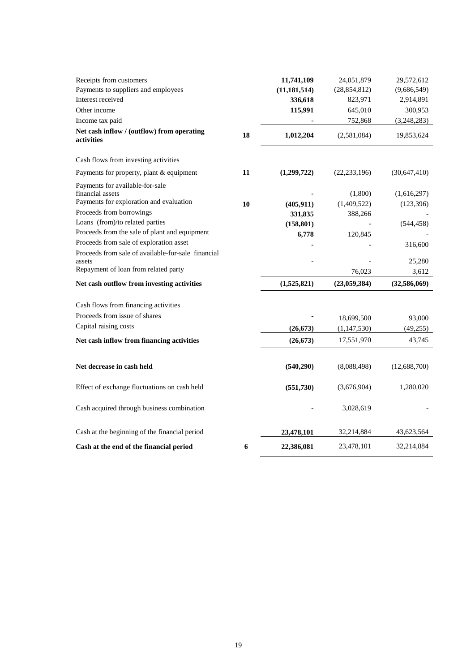| Receipts from customers                                  |    | 11,741,109     | 24,051,879     | 29,572,612     |
|----------------------------------------------------------|----|----------------|----------------|----------------|
| Payments to suppliers and employees                      |    | (11, 181, 514) | (28, 854, 812) | (9,686,549)    |
| Interest received                                        |    | 336,618        | 823,971        | 2,914,891      |
| Other income                                             |    | 115,991        | 645,010        | 300,953        |
| Income tax paid                                          |    |                | 752,868        | (3,248,283)    |
| Net cash inflow / (outflow) from operating<br>activities | 18 | 1,012,204      | (2,581,084)    | 19,853,624     |
| Cash flows from investing activities                     |    |                |                |                |
| Payments for property, plant & equipment                 | 11 | (1,299,722)    | (22, 233, 196) | (30, 647, 410) |
| Payments for available-for-sale<br>financial assets      |    |                | (1,800)        | (1,616,297)    |
| Payments for exploration and evaluation                  | 10 | (405, 911)     | (1,409,522)    | (123, 396)     |
| Proceeds from borrowings                                 |    | 331,835        | 388,266        |                |
| Loans (from)/to related parties                          |    | (158, 801)     |                | (544, 458)     |
| Proceeds from the sale of plant and equipment            |    | 6,778          | 120,845        |                |
| Proceeds from sale of exploration asset                  |    |                |                | 316,600        |
| Proceeds from sale of available-for-sale financial       |    |                |                |                |
| assets                                                   |    |                |                | 25,280         |
| Repayment of loan from related party                     |    |                | 76,023         | 3,612          |
| Net cash outflow from investing activities               |    | (1,525,821)    | (23,059,384)   | (32,586,069)   |
| Cash flows from financing activities                     |    |                |                |                |
| Proceeds from issue of shares                            |    |                | 18,699,500     | 93,000         |
| Capital raising costs                                    |    | (26, 673)      | (1, 147, 530)  | (49, 255)      |
| Net cash inflow from financing activities                |    | (26, 673)      | 17,551,970     | 43,745         |
|                                                          |    |                |                |                |
| Net decrease in cash held                                |    | (540, 290)     | (8,088,498)    | (12,688,700)   |
| Effect of exchange fluctuations on cash held             |    | (551, 730)     | (3,676,904)    | 1,280,020      |
| Cash acquired through business combination               |    |                | 3,028,619      |                |
| Cash at the beginning of the financial period            |    | 23,478,101     | 32,214,884     | 43,623,564     |
| Cash at the end of the financial period                  | 6  | 22,386,081     | 23,478,101     | 32,214,884     |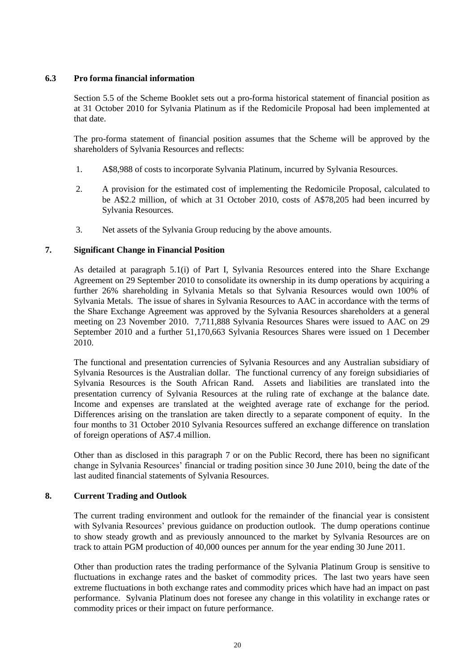# **6.3 Pro forma financial information**

Section 5.5 of the Scheme Booklet sets out a pro-forma historical statement of financial position as at 31 October 2010 for Sylvania Platinum as if the Redomicile Proposal had been implemented at that date.

The pro-forma statement of financial position assumes that the Scheme will be approved by the shareholders of Sylvania Resources and reflects:

- 1. A\$8,988 of costs to incorporate Sylvania Platinum, incurred by Sylvania Resources.
- 2. A provision for the estimated cost of implementing the Redomicile Proposal, calculated to be A\$2.2 million, of which at 31 October 2010, costs of A\$78,205 had been incurred by Sylvania Resources.
- 3. Net assets of the Sylvania Group reducing by the above amounts.

# <span id="page-19-0"></span>**7. Significant Change in Financial Position**

As detailed at paragraph [5.1\(i\)](#page-10-0) of [Part I,](#page-5-0) Sylvania Resources entered into the Share Exchange Agreement on 29 September 2010 to consolidate its ownership in its dump operations by acquiring a further 26% shareholding in Sylvania Metals so that Sylvania Resources would own 100% of Sylvania Metals. The issue of shares in Sylvania Resources to AAC in accordance with the terms of the Share Exchange Agreement was approved by the Sylvania Resources shareholders at a general meeting on 23 November 2010. 7,711,888 Sylvania Resources Shares were issued to AAC on 29 September 2010 and a further 51,170,663 Sylvania Resources Shares were issued on 1 December 2010.

The functional and presentation currencies of Sylvania Resources and any Australian subsidiary of Sylvania Resources is the Australian dollar. The functional currency of any foreign subsidiaries of Sylvania Resources is the South African Rand. Assets and liabilities are translated into the presentation currency of Sylvania Resources at the ruling rate of exchange at the balance date. Income and expenses are translated at the weighted average rate of exchange for the period. Differences arising on the translation are taken directly to a separate component of equity. In the four months to 31 October 2010 Sylvania Resources suffered an exchange difference on translation of foreign operations of A\$7.4 million.

Other than as disclosed in this paragraph [7](#page-19-0) or on the Public Record, there has been no significant change in Sylvania Resources' financial or trading position since 30 June 2010, being the date of the last audited financial statements of Sylvania Resources.

# **8. Current Trading and Outlook**

The current trading environment and outlook for the remainder of the financial year is consistent with Sylvania Resources' previous guidance on production outlook. The dump operations continue to show steady growth and as previously announced to the market by Sylvania Resources are on track to attain PGM production of 40,000 ounces per annum for the year ending 30 June 2011.

Other than production rates the trading performance of the Sylvania Platinum Group is sensitive to fluctuations in exchange rates and the basket of commodity prices. The last two years have seen extreme fluctuations in both exchange rates and commodity prices which have had an impact on past performance. Sylvania Platinum does not foresee any change in this volatility in exchange rates or commodity prices or their impact on future performance.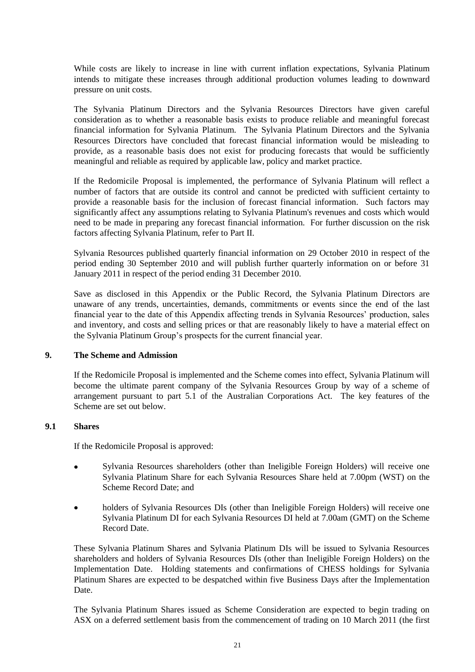While costs are likely to increase in line with current inflation expectations, Sylvania Platinum intends to mitigate these increases through additional production volumes leading to downward pressure on unit costs.

The Sylvania Platinum Directors and the Sylvania Resources Directors have given careful consideration as to whether a reasonable basis exists to produce reliable and meaningful forecast financial information for Sylvania Platinum. The Sylvania Platinum Directors and the Sylvania Resources Directors have concluded that forecast financial information would be misleading to provide, as a reasonable basis does not exist for producing forecasts that would be sufficiently meaningful and reliable as required by applicable law, policy and market practice.

If the Redomicile Proposal is implemented, the performance of Sylvania Platinum will reflect a number of factors that are outside its control and cannot be predicted with sufficient certainty to provide a reasonable basis for the inclusion of forecast financial information. Such factors may significantly affect any assumptions relating to Sylvania Platinum's revenues and costs which would need to be made in preparing any forecast financial information. For further discussion on the risk factors affecting Sylvania Platinum, refer to [Part II.](#page-23-0)

Sylvania Resources published quarterly financial information on 29 October 2010 in respect of the period ending 30 September 2010 and will publish further quarterly information on or before 31 January 2011 in respect of the period ending 31 December 2010.

Save as disclosed in this Appendix or the Public Record, the Sylvania Platinum Directors are unaware of any trends, uncertainties, demands, commitments or events since the end of the last financial year to the date of this Appendix affecting trends in Sylvania Resources' production, sales and inventory, and costs and selling prices or that are reasonably likely to have a material effect on the Sylvania Platinum Group's prospects for the current financial year.

# <span id="page-20-1"></span>**9. The Scheme and Admission**

If the Redomicile Proposal is implemented and the Scheme comes into effect, Sylvania Platinum will become the ultimate parent company of the Sylvania Resources Group by way of a scheme of arrangement pursuant to part 5.1 of the Australian Corporations Act. The key features of the Scheme are set out below.

# <span id="page-20-0"></span>**9.1 Shares**

If the Redomicile Proposal is approved:

- Sylvania Resources shareholders (other than Ineligible Foreign Holders) will receive one Sylvania Platinum Share for each Sylvania Resources Share held at 7.00pm (WST) on the Scheme Record Date; and
- holders of Sylvania Resources DIs (other than Ineligible Foreign Holders) will receive one Sylvania Platinum DI for each Sylvania Resources DI held at 7.00am (GMT) on the Scheme Record Date.

These Sylvania Platinum Shares and Sylvania Platinum DIs will be issued to Sylvania Resources shareholders and holders of Sylvania Resources DIs (other than Ineligible Foreign Holders) on the Implementation Date. Holding statements and confirmations of CHESS holdings for Sylvania Platinum Shares are expected to be despatched within five Business Days after the Implementation Date.

The Sylvania Platinum Shares issued as Scheme Consideration are expected to begin trading on ASX on a deferred settlement basis from the commencement of trading on 10 March 2011 (the first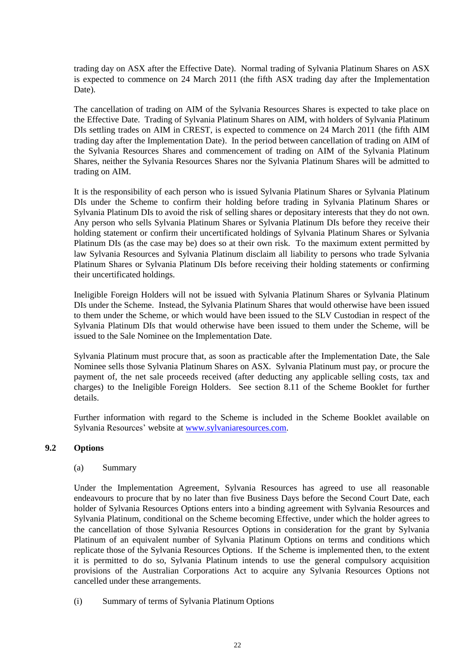trading day on ASX after the Effective Date). Normal trading of Sylvania Platinum Shares on ASX is expected to commence on 24 March 2011 (the fifth ASX trading day after the Implementation Date).

The cancellation of trading on AIM of the Sylvania Resources Shares is expected to take place on the Effective Date. Trading of Sylvania Platinum Shares on AIM, with holders of Sylvania Platinum DIs settling trades on AIM in CREST, is expected to commence on 24 March 2011 (the fifth AIM trading day after the Implementation Date). In the period between cancellation of trading on AIM of the Sylvania Resources Shares and commencement of trading on AIM of the Sylvania Platinum Shares, neither the Sylvania Resources Shares nor the Sylvania Platinum Shares will be admitted to trading on AIM.

It is the responsibility of each person who is issued Sylvania Platinum Shares or Sylvania Platinum DIs under the Scheme to confirm their holding before trading in Sylvania Platinum Shares or Sylvania Platinum DIs to avoid the risk of selling shares or depositary interests that they do not own. Any person who sells Sylvania Platinum Shares or Sylvania Platinum DIs before they receive their holding statement or confirm their uncertificated holdings of Sylvania Platinum Shares or Sylvania Platinum DIs (as the case may be) does so at their own risk. To the maximum extent permitted by law Sylvania Resources and Sylvania Platinum disclaim all liability to persons who trade Sylvania Platinum Shares or Sylvania Platinum DIs before receiving their holding statements or confirming their uncertificated holdings.

Ineligible Foreign Holders will not be issued with Sylvania Platinum Shares or Sylvania Platinum DIs under the Scheme. Instead, the Sylvania Platinum Shares that would otherwise have been issued to them under the Scheme, or which would have been issued to the SLV Custodian in respect of the Sylvania Platinum DIs that would otherwise have been issued to them under the Scheme, will be issued to the Sale Nominee on the Implementation Date.

Sylvania Platinum must procure that, as soon as practicable after the Implementation Date, the Sale Nominee sells those Sylvania Platinum Shares on ASX. Sylvania Platinum must pay, or procure the payment of, the net sale proceeds received (after deducting any applicable selling costs, tax and charges) to the Ineligible Foreign Holders. See section 8.11 of the Scheme Booklet for further details.

Further information with regard to the Scheme is included in the Scheme Booklet available on Sylvania Resources' website at [www.sylvaniaresources.com.](http://www.sylvaniaresources.com/)

# <span id="page-21-0"></span>**9.2 Options**

#### (a) Summary

Under the Implementation Agreement, Sylvania Resources has agreed to use all reasonable endeavours to procure that by no later than five Business Days before the Second Court Date, each holder of Sylvania Resources Options enters into a binding agreement with Sylvania Resources and Sylvania Platinum, conditional on the Scheme becoming Effective, under which the holder agrees to the cancellation of those Sylvania Resources Options in consideration for the grant by Sylvania Platinum of an equivalent number of Sylvania Platinum Options on terms and conditions which replicate those of the Sylvania Resources Options. If the Scheme is implemented then, to the extent it is permitted to do so, Sylvania Platinum intends to use the general compulsory acquisition provisions of the Australian Corporations Act to acquire any Sylvania Resources Options not cancelled under these arrangements.

(i) Summary of terms of Sylvania Platinum Options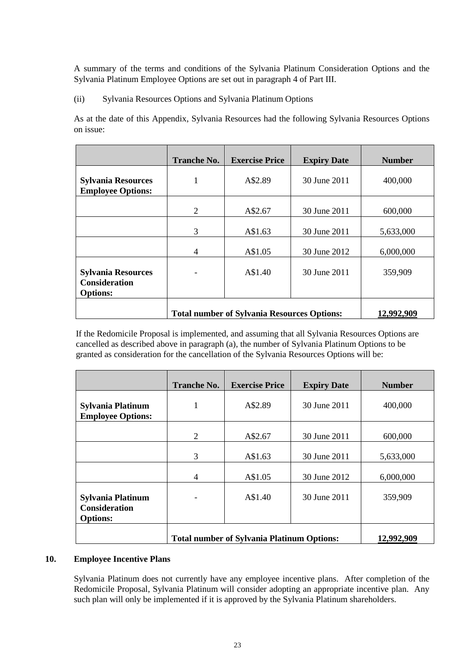A summary of the terms and conditions of the Sylvania Platinum Consideration Options and the Sylvania Platinum Employee Options are set out in paragraph [4](#page-38-0) of [Part III.](#page-33-0)

(ii) Sylvania Resources Options and Sylvania Platinum Options

As at the date of this Appendix, Sylvania Resources had the following Sylvania Resources Options on issue:

|                                                                      | <b>Tranche No.</b>                                 | <b>Exercise Price</b> | <b>Expiry Date</b> | <b>Number</b> |
|----------------------------------------------------------------------|----------------------------------------------------|-----------------------|--------------------|---------------|
| <b>Sylvania Resources</b><br><b>Employee Options:</b>                | 1                                                  | A\$2.89               | 30 June 2011       | 400,000       |
|                                                                      | $\overline{2}$                                     | A\$2.67               | 30 June 2011       | 600,000       |
|                                                                      | 3                                                  | A\$1.63               | 30 June 2011       | 5,633,000     |
|                                                                      | $\overline{4}$                                     | A\$1.05               | 30 June 2012       | 6,000,000     |
| <b>Sylvania Resources</b><br><b>Consideration</b><br><b>Options:</b> |                                                    | A\$1.40               | 30 June 2011       | 359,909       |
|                                                                      | <b>Total number of Sylvania Resources Options:</b> | 12,992,909            |                    |               |

If the Redomicile Proposal is implemented, and assuming that all Sylvania Resources Options are cancelled as described above in paragraph (a), the number of Sylvania Platinum Options to be granted as consideration for the cancellation of the Sylvania Resources Options will be:

|                                                                     | <b>Tranche No.</b> | <b>Exercise Price</b>                             | <b>Expiry Date</b> | <b>Number</b> |
|---------------------------------------------------------------------|--------------------|---------------------------------------------------|--------------------|---------------|
| Sylvania Platinum<br><b>Employee Options:</b>                       | 1                  | A\$2.89                                           | 30 June 2011       | 400,000       |
|                                                                     | $\overline{2}$     | A\$2.67                                           | 30 June 2011       | 600,000       |
|                                                                     | 3                  | A\$1.63                                           | 30 June 2011       | 5,633,000     |
|                                                                     | 4                  | A\$1.05                                           | 30 June 2012       | 6,000,000     |
| <b>Sylvania Platinum</b><br><b>Consideration</b><br><b>Options:</b> |                    | A\$1.40                                           | 30 June 2011       | 359,909       |
|                                                                     |                    | <b>Total number of Sylvania Platinum Options:</b> |                    | 12,992,909    |

# <span id="page-22-0"></span>**10. Employee Incentive Plans**

Sylvania Platinum does not currently have any employee incentive plans. After completion of the Redomicile Proposal, Sylvania Platinum will consider adopting an appropriate incentive plan. Any such plan will only be implemented if it is approved by the Sylvania Platinum shareholders.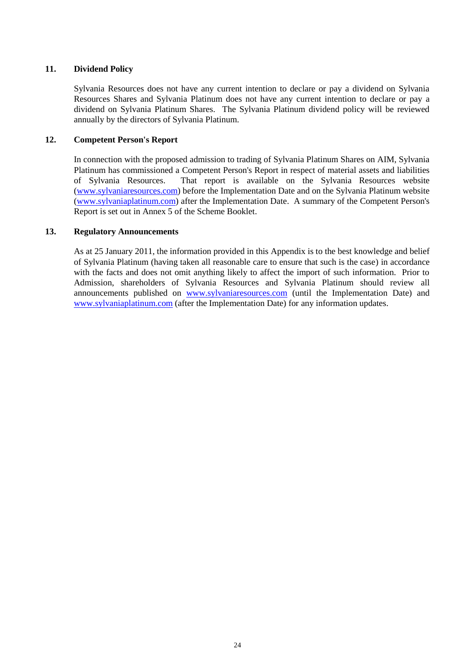# **11. Dividend Policy**

Sylvania Resources does not have any current intention to declare or pay a dividend on Sylvania Resources Shares and Sylvania Platinum does not have any current intention to declare or pay a dividend on Sylvania Platinum Shares. The Sylvania Platinum dividend policy will be reviewed annually by the directors of Sylvania Platinum.

# **12. Competent Person's Report**

In connection with the proposed admission to trading of Sylvania Platinum Shares on AIM, Sylvania Platinum has commissioned a Competent Person's Report in respect of material assets and liabilities of Sylvania Resources. That report is available on the Sylvania Resources website [\(www.sylvaniaresources.com\)](http://www.sylvaniaresources.com/) before the Implementation Date and on the Sylvania Platinum website [\(www.sylvaniaplatinum.com\)](http://www.sylvaniaplatinum.com/) after the Implementation Date. A summary of the Competent Person's Report is set out in Annex 5 of the Scheme Booklet.

# **13. Regulatory Announcements**

<span id="page-23-0"></span>As at 25 January 2011, the information provided in this Appendix is to the best knowledge and belief of Sylvania Platinum (having taken all reasonable care to ensure that such is the case) in accordance with the facts and does not omit anything likely to affect the import of such information. Prior to Admission, shareholders of Sylvania Resources and Sylvania Platinum should review all announcements published on [www.sylvaniaresources.com](http://www.sylvaniaresources.com/) (until the Implementation Date) and [www.sylvaniaplatinum.com](http://www.sylvaniaplatinum.com/) (after the Implementation Date) for any information updates.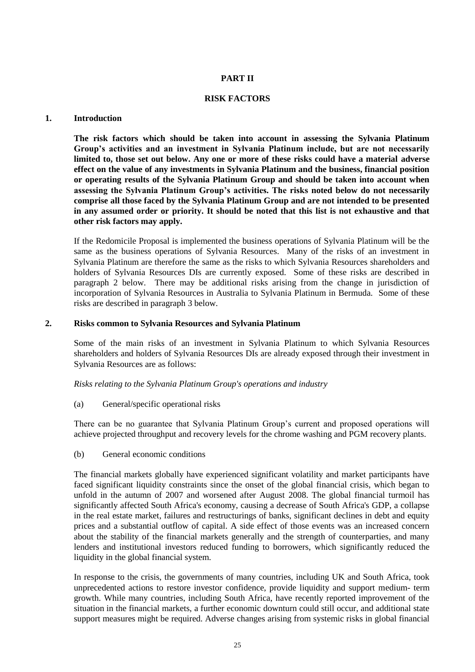# **PART II**

### **RISK FACTORS**

#### **1. Introduction**

**The risk factors which should be taken into account in assessing the Sylvania Platinum Group's activities and an investment in Sylvania Platinum include, but are not necessarily limited to, those set out below. Any one or more of these risks could have a material adverse effect on the value of any investments in Sylvania Platinum and the business, financial position or operating results of the Sylvania Platinum Group and should be taken into account when assessing the Sylvania Platinum Group's activities. The risks noted below do not necessarily comprise all those faced by the Sylvania Platinum Group and are not intended to be presented in any assumed order or priority. It should be noted that this list is not exhaustive and that other risk factors may apply.**

If the Redomicile Proposal is implemented the business operations of Sylvania Platinum will be the same as the business operations of Sylvania Resources. Many of the risks of an investment in Sylvania Platinum are therefore the same as the risks to which Sylvania Resources shareholders and holders of Sylvania Resources DIs are currently exposed. Some of these risks are described in paragraph [2](#page-24-0) below. There may be additional risks arising from the change in jurisdiction of incorporation of Sylvania Resources in Australia to Sylvania Platinum in Bermuda. Some of these risks are described in paragraph [3](#page-32-0) below.

# <span id="page-24-0"></span>**2. Risks common to Sylvania Resources and Sylvania Platinum**

Some of the main risks of an investment in Sylvania Platinum to which Sylvania Resources shareholders and holders of Sylvania Resources DIs are already exposed through their investment in Sylvania Resources are as follows:

*Risks relating to the Sylvania Platinum Group's operations and industry*

(a) General/specific operational risks

There can be no guarantee that Sylvania Platinum Group's current and proposed operations will achieve projected throughput and recovery levels for the chrome washing and PGM recovery plants.

(b) General economic conditions

The financial markets globally have experienced significant volatility and market participants have faced significant liquidity constraints since the onset of the global financial crisis, which began to unfold in the autumn of 2007 and worsened after August 2008. The global financial turmoil has significantly affected South Africa's economy, causing a decrease of South Africa's GDP, a collapse in the real estate market, failures and restructurings of banks, significant declines in debt and equity prices and a substantial outflow of capital. A side effect of those events was an increased concern about the stability of the financial markets generally and the strength of counterparties, and many lenders and institutional investors reduced funding to borrowers, which significantly reduced the liquidity in the global financial system.

In response to the crisis, the governments of many countries, including UK and South Africa, took unprecedented actions to restore investor confidence, provide liquidity and support medium- term growth. While many countries, including South Africa, have recently reported improvement of the situation in the financial markets, a further economic downturn could still occur, and additional state support measures might be required. Adverse changes arising from systemic risks in global financial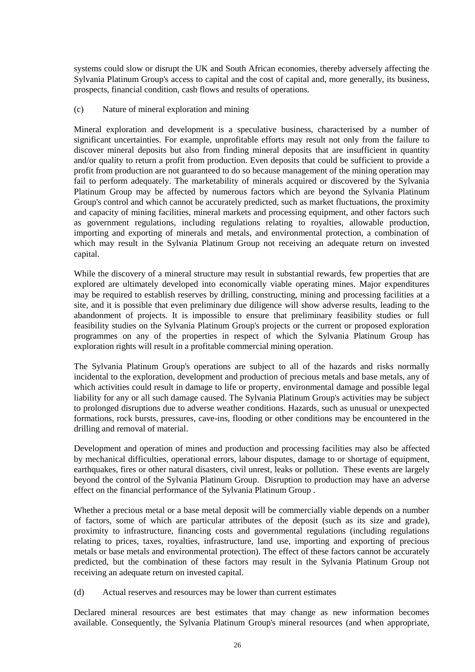systems could slow or disrupt the UK and South African economies, thereby adversely affecting the Sylvania Platinum Group's access to capital and the cost of capital and, more generally, its business, prospects, financial condition, cash flows and results of operations.

# (c) Nature of mineral exploration and mining

Mineral exploration and development is a speculative business, characterised by a number of significant uncertainties. For example, unprofitable efforts may result not only from the failure to discover mineral deposits but also from finding mineral deposits that are insufficient in quantity and/or quality to return a profit from production. Even deposits that could be sufficient to provide a profit from production are not guaranteed to do so because management of the mining operation may fail to perform adequately. The marketability of minerals acquired or discovered by the Sylvania Platinum Group may be affected by numerous factors which are beyond the Sylvania Platinum Group's control and which cannot be accurately predicted, such as market fluctuations, the proximity and capacity of mining facilities, mineral markets and processing equipment, and other factors such as government regulations, including regulations relating to royalties, allowable production, importing and exporting of minerals and metals, and environmental protection, a combination of which may result in the Sylvania Platinum Group not receiving an adequate return on invested capital.

While the discovery of a mineral structure may result in substantial rewards, few properties that are explored are ultimately developed into economically viable operating mines. Major expenditures may be required to establish reserves by drilling, constructing, mining and processing facilities at a site, and it is possible that even preliminary due diligence will show adverse results, leading to the abandonment of projects. It is impossible to ensure that preliminary feasibility studies or full feasibility studies on the Sylvania Platinum Group's projects or the current or proposed exploration programmes on any of the properties in respect of which the Sylvania Platinum Group has exploration rights will result in a profitable commercial mining operation.

The Sylvania Platinum Group's operations are subject to all of the hazards and risks normally incidental to the exploration, development and production of precious metals and base metals, any of which activities could result in damage to life or property, environmental damage and possible legal liability for any or all such damage caused. The Sylvania Platinum Group's activities may be subject to prolonged disruptions due to adverse weather conditions. Hazards, such as unusual or unexpected formations, rock bursts, pressures, cave-ins, flooding or other conditions may be encountered in the drilling and removal of material.

Development and operation of mines and production and processing facilities may also be affected by mechanical difficulties, operational errors, labour disputes, damage to or shortage of equipment, earthquakes, fires or other natural disasters, civil unrest, leaks or pollution. These events are largely beyond the control of the Sylvania Platinum Group. Disruption to production may have an adverse effect on the financial performance of the Sylvania Platinum Group .

Whether a precious metal or a base metal deposit will be commercially viable depends on a number of factors, some of which are particular attributes of the deposit (such as its size and grade), proximity to infrastructure, financing costs and governmental regulations (including regulations relating to prices, taxes, royalties, infrastructure, land use, importing and exporting of precious metals or base metals and environmental protection). The effect of these factors cannot be accurately predicted, but the combination of these factors may result in the Sylvania Platinum Group not receiving an adequate return on invested capital.

(d) Actual reserves and resources may be lower than current estimates

Declared mineral resources are best estimates that may change as new information becomes available. Consequently, the Sylvania Platinum Group's mineral resources (and when appropriate,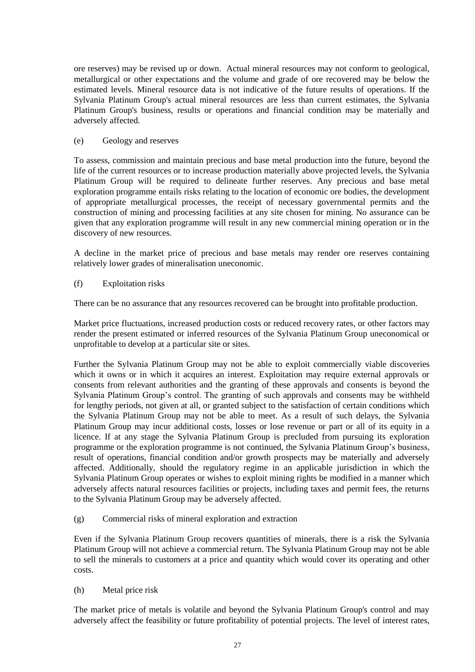ore reserves) may be revised up or down. Actual mineral resources may not conform to geological, metallurgical or other expectations and the volume and grade of ore recovered may be below the estimated levels. Mineral resource data is not indicative of the future results of operations. If the Sylvania Platinum Group's actual mineral resources are less than current estimates, the Sylvania Platinum Group's business, results or operations and financial condition may be materially and adversely affected.

# (e) Geology and reserves

To assess, commission and maintain precious and base metal production into the future, beyond the life of the current resources or to increase production materially above projected levels, the Sylvania Platinum Group will be required to delineate further reserves. Any precious and base metal exploration programme entails risks relating to the location of economic ore bodies, the development of appropriate metallurgical processes, the receipt of necessary governmental permits and the construction of mining and processing facilities at any site chosen for mining. No assurance can be given that any exploration programme will result in any new commercial mining operation or in the discovery of new resources.

A decline in the market price of precious and base metals may render ore reserves containing relatively lower grades of mineralisation uneconomic.

# (f) Exploitation risks

There can be no assurance that any resources recovered can be brought into profitable production.

Market price fluctuations, increased production costs or reduced recovery rates, or other factors may render the present estimated or inferred resources of the Sylvania Platinum Group uneconomical or unprofitable to develop at a particular site or sites.

Further the Sylvania Platinum Group may not be able to exploit commercially viable discoveries which it owns or in which it acquires an interest. Exploitation may require external approvals or consents from relevant authorities and the granting of these approvals and consents is beyond the Sylvania Platinum Group's control. The granting of such approvals and consents may be withheld for lengthy periods, not given at all, or granted subject to the satisfaction of certain conditions which the Sylvania Platinum Group may not be able to meet. As a result of such delays, the Sylvania Platinum Group may incur additional costs, losses or lose revenue or part or all of its equity in a licence. If at any stage the Sylvania Platinum Group is precluded from pursuing its exploration programme or the exploration programme is not continued, the Sylvania Platinum Group's business, result of operations, financial condition and/or growth prospects may be materially and adversely affected. Additionally, should the regulatory regime in an applicable jurisdiction in which the Sylvania Platinum Group operates or wishes to exploit mining rights be modified in a manner which adversely affects natural resources facilities or projects, including taxes and permit fees, the returns to the Sylvania Platinum Group may be adversely affected.

(g) Commercial risks of mineral exploration and extraction

Even if the Sylvania Platinum Group recovers quantities of minerals, there is a risk the Sylvania Platinum Group will not achieve a commercial return. The Sylvania Platinum Group may not be able to sell the minerals to customers at a price and quantity which would cover its operating and other costs.

# (h) Metal price risk

The market price of metals is volatile and beyond the Sylvania Platinum Group's control and may adversely affect the feasibility or future profitability of potential projects. The level of interest rates,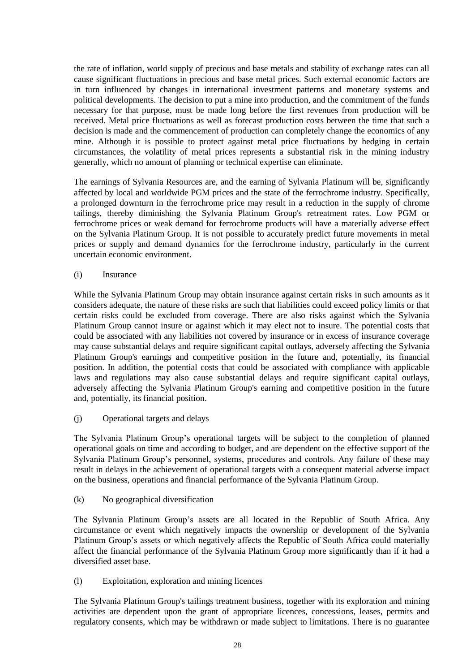the rate of inflation, world supply of precious and base metals and stability of exchange rates can all cause significant fluctuations in precious and base metal prices. Such external economic factors are in turn influenced by changes in international investment patterns and monetary systems and political developments. The decision to put a mine into production, and the commitment of the funds necessary for that purpose, must be made long before the first revenues from production will be received. Metal price fluctuations as well as forecast production costs between the time that such a decision is made and the commencement of production can completely change the economics of any mine. Although it is possible to protect against metal price fluctuations by hedging in certain circumstances, the volatility of metal prices represents a substantial risk in the mining industry generally, which no amount of planning or technical expertise can eliminate.

The earnings of Sylvania Resources are, and the earning of Sylvania Platinum will be, significantly affected by local and worldwide PGM prices and the state of the ferrochrome industry. Specifically, a prolonged downturn in the ferrochrome price may result in a reduction in the supply of chrome tailings, thereby diminishing the Sylvania Platinum Group's retreatment rates. Low PGM or ferrochrome prices or weak demand for ferrochrome products will have a materially adverse effect on the Sylvania Platinum Group. It is not possible to accurately predict future movements in metal prices or supply and demand dynamics for the ferrochrome industry, particularly in the current uncertain economic environment.

(i) Insurance

While the Sylvania Platinum Group may obtain insurance against certain risks in such amounts as it considers adequate, the nature of these risks are such that liabilities could exceed policy limits or that certain risks could be excluded from coverage. There are also risks against which the Sylvania Platinum Group cannot insure or against which it may elect not to insure. The potential costs that could be associated with any liabilities not covered by insurance or in excess of insurance coverage may cause substantial delays and require significant capital outlays, adversely affecting the Sylvania Platinum Group's earnings and competitive position in the future and, potentially, its financial position. In addition, the potential costs that could be associated with compliance with applicable laws and regulations may also cause substantial delays and require significant capital outlays, adversely affecting the Sylvania Platinum Group's earning and competitive position in the future and, potentially, its financial position.

(j) Operational targets and delays

The Sylvania Platinum Group's operational targets will be subject to the completion of planned operational goals on time and according to budget, and are dependent on the effective support of the Sylvania Platinum Group's personnel, systems, procedures and controls. Any failure of these may result in delays in the achievement of operational targets with a consequent material adverse impact on the business, operations and financial performance of the Sylvania Platinum Group.

(k) No geographical diversification

The Sylvania Platinum Group's assets are all located in the Republic of South Africa. Any circumstance or event which negatively impacts the ownership or development of the Sylvania Platinum Group's assets or which negatively affects the Republic of South Africa could materially affect the financial performance of the Sylvania Platinum Group more significantly than if it had a diversified asset base.

(l) Exploitation, exploration and mining licences

The Sylvania Platinum Group's tailings treatment business, together with its exploration and mining activities are dependent upon the grant of appropriate licences, concessions, leases, permits and regulatory consents, which may be withdrawn or made subject to limitations. There is no guarantee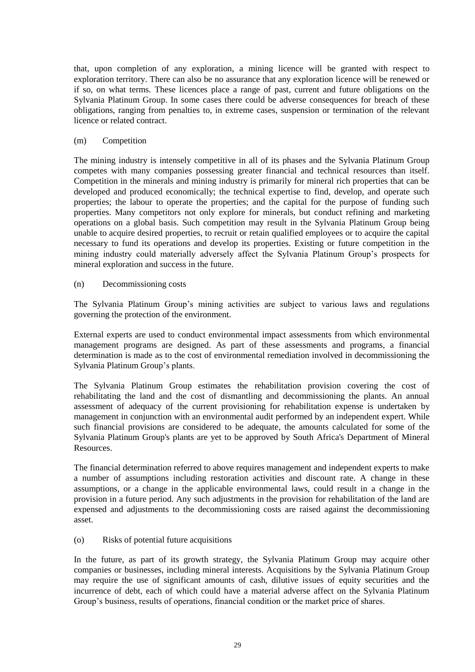that, upon completion of any exploration, a mining licence will be granted with respect to exploration territory. There can also be no assurance that any exploration licence will be renewed or if so, on what terms. These licences place a range of past, current and future obligations on the Sylvania Platinum Group. In some cases there could be adverse consequences for breach of these obligations, ranging from penalties to, in extreme cases, suspension or termination of the relevant licence or related contract.

# (m) Competition

The mining industry is intensely competitive in all of its phases and the Sylvania Platinum Group competes with many companies possessing greater financial and technical resources than itself. Competition in the minerals and mining industry is primarily for mineral rich properties that can be developed and produced economically; the technical expertise to find, develop, and operate such properties; the labour to operate the properties; and the capital for the purpose of funding such properties. Many competitors not only explore for minerals, but conduct refining and marketing operations on a global basis. Such competition may result in the Sylvania Platinum Group being unable to acquire desired properties, to recruit or retain qualified employees or to acquire the capital necessary to fund its operations and develop its properties. Existing or future competition in the mining industry could materially adversely affect the Sylvania Platinum Group's prospects for mineral exploration and success in the future.

(n) Decommissioning costs

The Sylvania Platinum Group's mining activities are subject to various laws and regulations governing the protection of the environment.

External experts are used to conduct environmental impact assessments from which environmental management programs are designed. As part of these assessments and programs, a financial determination is made as to the cost of environmental remediation involved in decommissioning the Sylvania Platinum Group's plants.

The Sylvania Platinum Group estimates the rehabilitation provision covering the cost of rehabilitating the land and the cost of dismantling and decommissioning the plants. An annual assessment of adequacy of the current provisioning for rehabilitation expense is undertaken by management in conjunction with an environmental audit performed by an independent expert. While such financial provisions are considered to be adequate, the amounts calculated for some of the Sylvania Platinum Group's plants are yet to be approved by South Africa's Department of Mineral Resources.

The financial determination referred to above requires management and independent experts to make a number of assumptions including restoration activities and discount rate. A change in these assumptions, or a change in the applicable environmental laws, could result in a change in the provision in a future period. Any such adjustments in the provision for rehabilitation of the land are expensed and adjustments to the decommissioning costs are raised against the decommissioning asset.

(o) Risks of potential future acquisitions

In the future, as part of its growth strategy, the Sylvania Platinum Group may acquire other companies or businesses, including mineral interests. Acquisitions by the Sylvania Platinum Group may require the use of significant amounts of cash, dilutive issues of equity securities and the incurrence of debt, each of which could have a material adverse affect on the Sylvania Platinum Group's business, results of operations, financial condition or the market price of shares.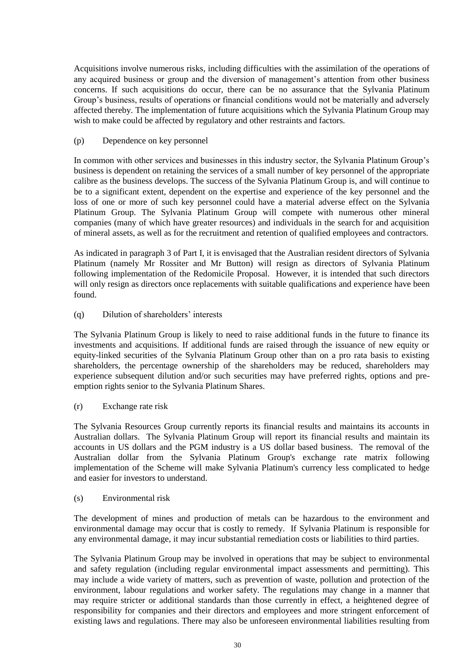Acquisitions involve numerous risks, including difficulties with the assimilation of the operations of any acquired business or group and the diversion of management's attention from other business concerns. If such acquisitions do occur, there can be no assurance that the Sylvania Platinum Group's business, results of operations or financial conditions would not be materially and adversely affected thereby. The implementation of future acquisitions which the Sylvania Platinum Group may wish to make could be affected by regulatory and other restraints and factors.

# (p) Dependence on key personnel

In common with other services and businesses in this industry sector, the Sylvania Platinum Group's business is dependent on retaining the services of a small number of key personnel of the appropriate calibre as the business develops. The success of the Sylvania Platinum Group is, and will continue to be to a significant extent, dependent on the expertise and experience of the key personnel and the loss of one or more of such key personnel could have a material adverse effect on the Sylvania Platinum Group. The Sylvania Platinum Group will compete with numerous other mineral companies (many of which have greater resources) and individuals in the search for and acquisition of mineral assets, as well as for the recruitment and retention of qualified employees and contractors.

As indicated in paragraph [3](#page-7-0) of [Part I,](#page-5-0) it is envisaged that the Australian resident directors of Sylvania Platinum (namely Mr Rossiter and Mr Button) will resign as directors of Sylvania Platinum following implementation of the Redomicile Proposal. However, it is intended that such directors will only resign as directors once replacements with suitable qualifications and experience have been found.

# (q) Dilution of shareholders' interests

The Sylvania Platinum Group is likely to need to raise additional funds in the future to finance its investments and acquisitions. If additional funds are raised through the issuance of new equity or equity-linked securities of the Sylvania Platinum Group other than on a pro rata basis to existing shareholders, the percentage ownership of the shareholders may be reduced, shareholders may experience subsequent dilution and/or such securities may have preferred rights, options and preemption rights senior to the Sylvania Platinum Shares.

# (r) Exchange rate risk

The Sylvania Resources Group currently reports its financial results and maintains its accounts in Australian dollars. The Sylvania Platinum Group will report its financial results and maintain its accounts in US dollars and the PGM industry is a US dollar based business. The removal of the Australian dollar from the Sylvania Platinum Group's exchange rate matrix following implementation of the Scheme will make Sylvania Platinum's currency less complicated to hedge and easier for investors to understand.

# (s) Environmental risk

The development of mines and production of metals can be hazardous to the environment and environmental damage may occur that is costly to remedy. If Sylvania Platinum is responsible for any environmental damage, it may incur substantial remediation costs or liabilities to third parties.

The Sylvania Platinum Group may be involved in operations that may be subject to environmental and safety regulation (including regular environmental impact assessments and permitting). This may include a wide variety of matters, such as prevention of waste, pollution and protection of the environment, labour regulations and worker safety. The regulations may change in a manner that may require stricter or additional standards than those currently in effect, a heightened degree of responsibility for companies and their directors and employees and more stringent enforcement of existing laws and regulations. There may also be unforeseen environmental liabilities resulting from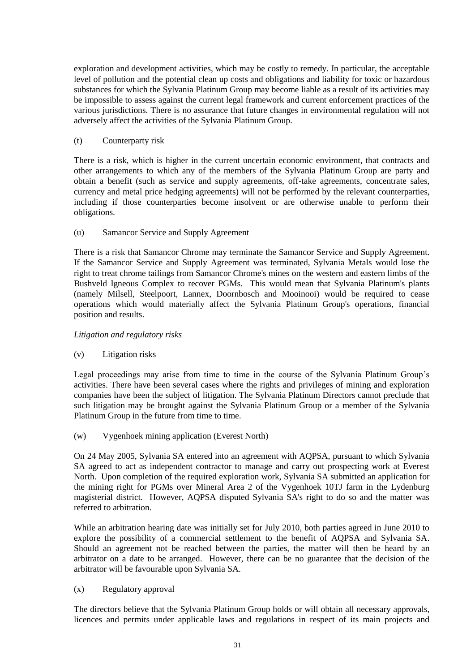exploration and development activities, which may be costly to remedy. In particular, the acceptable level of pollution and the potential clean up costs and obligations and liability for toxic or hazardous substances for which the Sylvania Platinum Group may become liable as a result of its activities may be impossible to assess against the current legal framework and current enforcement practices of the various jurisdictions. There is no assurance that future changes in environmental regulation will not adversely affect the activities of the Sylvania Platinum Group.

# (t) Counterparty risk

There is a risk, which is higher in the current uncertain economic environment, that contracts and other arrangements to which any of the members of the Sylvania Platinum Group are party and obtain a benefit (such as service and supply agreements, off-take agreements, concentrate sales, currency and metal price hedging agreements) will not be performed by the relevant counterparties, including if those counterparties become insolvent or are otherwise unable to perform their obligations.

# (u) Samancor Service and Supply Agreement

There is a risk that Samancor Chrome may terminate the Samancor Service and Supply Agreement. If the Samancor Service and Supply Agreement was terminated, Sylvania Metals would lose the right to treat chrome tailings from Samancor Chrome's mines on the western and eastern limbs of the Bushveld Igneous Complex to recover PGMs. This would mean that Sylvania Platinum's plants (namely Milsell, Steelpoort, Lannex, Doornbosch and Mooinooi) would be required to cease operations which would materially affect the Sylvania Platinum Group's operations, financial position and results.

# *Litigation and regulatory risks*

# (v) Litigation risks

Legal proceedings may arise from time to time in the course of the Sylvania Platinum Group's activities. There have been several cases where the rights and privileges of mining and exploration companies have been the subject of litigation. The Sylvania Platinum Directors cannot preclude that such litigation may be brought against the Sylvania Platinum Group or a member of the Sylvania Platinum Group in the future from time to time.

# (w) Vygenhoek mining application (Everest North)

On 24 May 2005, Sylvania SA entered into an agreement with AQPSA, pursuant to which Sylvania SA agreed to act as independent contractor to manage and carry out prospecting work at Everest North. Upon completion of the required exploration work, Sylvania SA submitted an application for the mining right for PGMs over Mineral Area 2 of the Vygenhoek 10TJ farm in the Lydenburg magisterial district. However, AQPSA disputed Sylvania SA's right to do so and the matter was referred to arbitration.

While an arbitration hearing date was initially set for July 2010, both parties agreed in June 2010 to explore the possibility of a commercial settlement to the benefit of AQPSA and Sylvania SA. Should an agreement not be reached between the parties, the matter will then be heard by an arbitrator on a date to be arranged. However, there can be no guarantee that the decision of the arbitrator will be favourable upon Sylvania SA.

# (x) Regulatory approval

The directors believe that the Sylvania Platinum Group holds or will obtain all necessary approvals, licences and permits under applicable laws and regulations in respect of its main projects and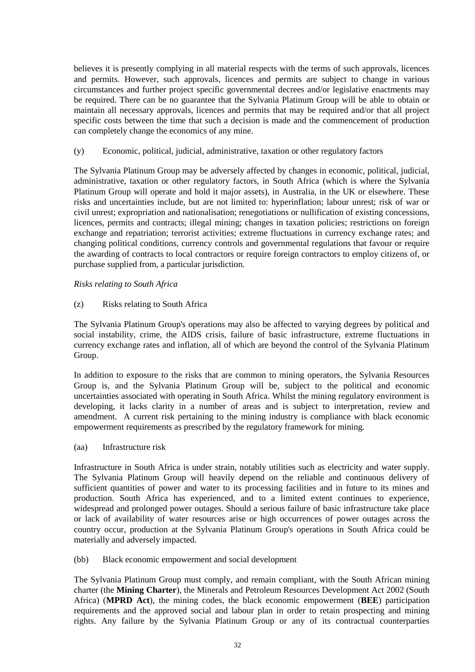believes it is presently complying in all material respects with the terms of such approvals, licences and permits. However, such approvals, licences and permits are subject to change in various circumstances and further project specific governmental decrees and/or legislative enactments may be required. There can be no guarantee that the Sylvania Platinum Group will be able to obtain or maintain all necessary approvals, licences and permits that may be required and/or that all project specific costs between the time that such a decision is made and the commencement of production can completely change the economics of any mine.

(y) Economic, political, judicial, administrative, taxation or other regulatory factors

The Sylvania Platinum Group may be adversely affected by changes in economic, political, judicial, administrative, taxation or other regulatory factors, in South Africa (which is where the Sylvania Platinum Group will operate and hold it major assets), in Australia, in the UK or elsewhere. These risks and uncertainties include, but are not limited to: hyperinflation; labour unrest; risk of war or civil unrest; expropriation and nationalisation; renegotiations or nullification of existing concessions, licences, permits and contracts; illegal mining; changes in taxation policies; restrictions on foreign exchange and repatriation; terrorist activities; extreme fluctuations in currency exchange rates; and changing political conditions, currency controls and governmental regulations that favour or require the awarding of contracts to local contractors or require foreign contractors to employ citizens of, or purchase supplied from, a particular jurisdiction.

*Risks relating to South Africa*

(z) Risks relating to South Africa

The Sylvania Platinum Group's operations may also be affected to varying degrees by political and social instability, crime, the AIDS crisis, failure of basic infrastructure, extreme fluctuations in currency exchange rates and inflation, all of which are beyond the control of the Sylvania Platinum Group.

In addition to exposure to the risks that are common to mining operators, the Sylvania Resources Group is, and the Sylvania Platinum Group will be, subject to the political and economic uncertainties associated with operating in South Africa. Whilst the mining regulatory environment is developing, it lacks clarity in a number of areas and is subject to interpretation, review and amendment. A current risk pertaining to the mining industry is compliance with black economic empowerment requirements as prescribed by the regulatory framework for mining.

(aa) Infrastructure risk

Infrastructure in South Africa is under strain, notably utilities such as electricity and water supply. The Sylvania Platinum Group will heavily depend on the reliable and continuous delivery of sufficient quantities of power and water to its processing facilities and in future to its mines and production. South Africa has experienced, and to a limited extent continues to experience, widespread and prolonged power outages. Should a serious failure of basic infrastructure take place or lack of availability of water resources arise or high occurrences of power outages across the country occur, production at the Sylvania Platinum Group's operations in South Africa could be materially and adversely impacted.

<span id="page-31-0"></span>(bb) Black economic empowerment and social development

The Sylvania Platinum Group must comply, and remain compliant, with the South African mining charter (the **Mining Charter**), the Minerals and Petroleum Resources Development Act 2002 (South Africa) (**MPRD Act**), the mining codes, the black economic empowerment (**BEE**) participation requirements and the approved social and labour plan in order to retain prospecting and mining rights. Any failure by the Sylvania Platinum Group or any of its contractual counterparties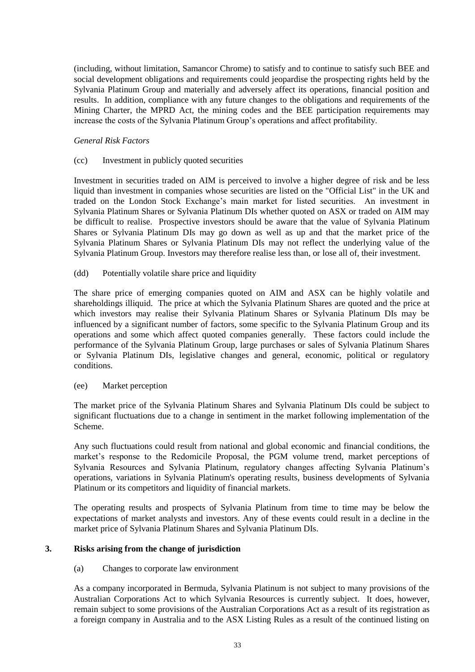(including, without limitation, Samancor Chrome) to satisfy and to continue to satisfy such BEE and social development obligations and requirements could jeopardise the prospecting rights held by the Sylvania Platinum Group and materially and adversely affect its operations, financial position and results. In addition, compliance with any future changes to the obligations and requirements of the Mining Charter, the MPRD Act, the mining codes and the BEE participation requirements may increase the costs of the Sylvania Platinum Group's operations and affect profitability.

# *General Risk Factors*

### (cc) Investment in publicly quoted securities

Investment in securities traded on AIM is perceived to involve a higher degree of risk and be less liquid than investment in companies whose securities are listed on the "Official List" in the UK and traded on the London Stock Exchange's main market for listed securities. An investment in Sylvania Platinum Shares or Sylvania Platinum DIs whether quoted on ASX or traded on AIM may be difficult to realise. Prospective investors should be aware that the value of Sylvania Platinum Shares or Sylvania Platinum DIs may go down as well as up and that the market price of the Sylvania Platinum Shares or Sylvania Platinum DIs may not reflect the underlying value of the Sylvania Platinum Group. Investors may therefore realise less than, or lose all of, their investment.

# (dd) Potentially volatile share price and liquidity

The share price of emerging companies quoted on AIM and ASX can be highly volatile and shareholdings illiquid. The price at which the Sylvania Platinum Shares are quoted and the price at which investors may realise their Sylvania Platinum Shares or Sylvania Platinum DIs may be influenced by a significant number of factors, some specific to the Sylvania Platinum Group and its operations and some which affect quoted companies generally. These factors could include the performance of the Sylvania Platinum Group, large purchases or sales of Sylvania Platinum Shares or Sylvania Platinum DIs, legislative changes and general, economic, political or regulatory conditions.

#### (ee) Market perception

The market price of the Sylvania Platinum Shares and Sylvania Platinum DIs could be subject to significant fluctuations due to a change in sentiment in the market following implementation of the Scheme.

Any such fluctuations could result from national and global economic and financial conditions, the market's response to the Redomicile Proposal, the PGM volume trend, market perceptions of Sylvania Resources and Sylvania Platinum, regulatory changes affecting Sylvania Platinum's operations, variations in Sylvania Platinum's operating results, business developments of Sylvania Platinum or its competitors and liquidity of financial markets.

The operating results and prospects of Sylvania Platinum from time to time may be below the expectations of market analysts and investors. Any of these events could result in a decline in the market price of Sylvania Platinum Shares and Sylvania Platinum DIs.

# <span id="page-32-0"></span>**3. Risks arising from the change of jurisdiction**

#### (a) Changes to corporate law environment

As a company incorporated in Bermuda, Sylvania Platinum is not subject to many provisions of the Australian Corporations Act to which Sylvania Resources is currently subject. It does, however, remain subject to some provisions of the Australian Corporations Act as a result of its registration as a foreign company in Australia and to the ASX Listing Rules as a result of the continued listing on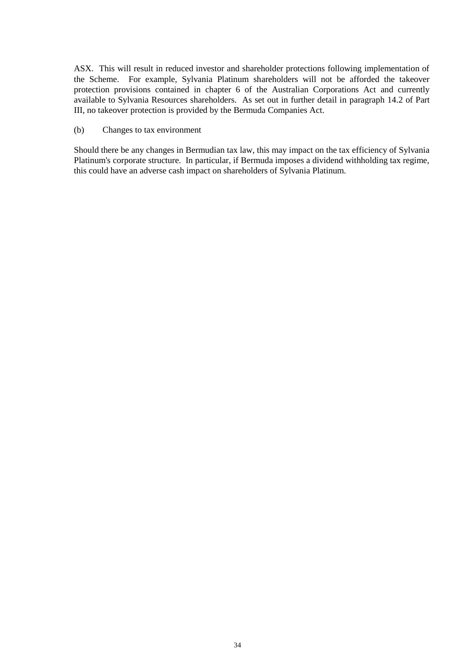ASX. This will result in reduced investor and shareholder protections following implementation of the Scheme. For example, Sylvania Platinum shareholders will not be afforded the takeover protection provisions contained in chapter 6 of the Australian Corporations Act and currently available to Sylvania Resources shareholders. As set out in further detail in paragraph [14.2](#page-49-0) of [Part](#page-33-0)  [III,](#page-33-0) no takeover protection is provided by the Bermuda Companies Act.

#### (b) Changes to tax environment

<span id="page-33-0"></span>Should there be any changes in Bermudian tax law, this may impact on the tax efficiency of Sylvania Platinum's corporate structure. In particular, if Bermuda imposes a dividend withholding tax regime, this could have an adverse cash impact on shareholders of Sylvania Platinum.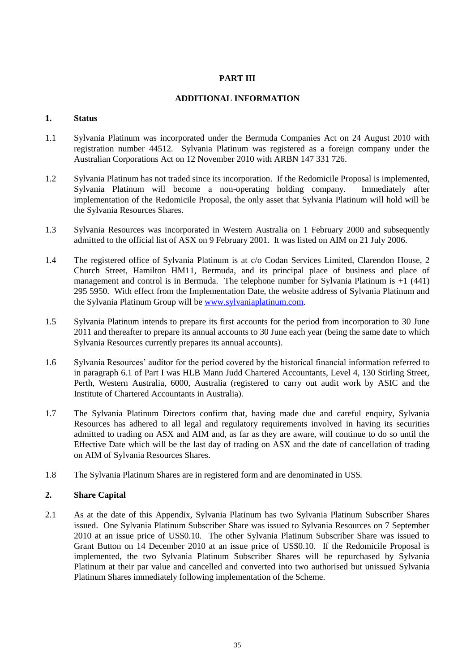# **PART III**

# **ADDITIONAL INFORMATION**

# **1. Status**

- 1.1 Sylvania Platinum was incorporated under the Bermuda Companies Act on 24 August 2010 with registration number 44512. Sylvania Platinum was registered as a foreign company under the Australian Corporations Act on 12 November 2010 with ARBN 147 331 726.
- 1.2 Sylvania Platinum has not traded since its incorporation. If the Redomicile Proposal is implemented, Sylvania Platinum will become a non-operating holding company. Immediately after implementation of the Redomicile Proposal, the only asset that Sylvania Platinum will hold will be the Sylvania Resources Shares.
- 1.3 Sylvania Resources was incorporated in Western Australia on 1 February 2000 and subsequently admitted to the official list of ASX on 9 February 2001. It was listed on AIM on 21 July 2006.
- 1.4 The registered office of Sylvania Platinum is at c/o Codan Services Limited, Clarendon House, 2 Church Street, Hamilton HM11, Bermuda, and its principal place of business and place of management and control is in Bermuda. The telephone number for Sylvania Platinum is +1 (441) 295 5950. With effect from the Implementation Date, the website address of Sylvania Platinum and the Sylvania Platinum Group will be [www.sylvaniaplatinum.com.](http://www.sylvaniaplatinum.com/)
- 1.5 Sylvania Platinum intends to prepare its first accounts for the period from incorporation to 30 June 2011 and thereafter to prepare its annual accounts to 30 June each year (being the same date to which Sylvania Resources currently prepares its annual accounts).
- 1.6 Sylvania Resources' auditor for the period covered by the historical financial information referred to in paragraph [6.1](#page-15-1) of [Part I](#page-5-0) was HLB Mann Judd Chartered Accountants, Level 4, 130 Stirling Street, Perth, Western Australia, 6000, Australia (registered to carry out audit work by ASIC and the Institute of Chartered Accountants in Australia).
- 1.7 The Sylvania Platinum Directors confirm that, having made due and careful enquiry, Sylvania Resources has adhered to all legal and regulatory requirements involved in having its securities admitted to trading on ASX and AIM and, as far as they are aware, will continue to do so until the Effective Date which will be the last day of trading on ASX and the date of cancellation of trading on AIM of Sylvania Resources Shares.
- 1.8 The Sylvania Platinum Shares are in registered form and are denominated in US\$.

# <span id="page-34-0"></span>**2. Share Capital**

2.1 As at the date of this Appendix, Sylvania Platinum has two Sylvania Platinum Subscriber Shares issued. One Sylvania Platinum Subscriber Share was issued to Sylvania Resources on 7 September 2010 at an issue price of US\$0.10. The other Sylvania Platinum Subscriber Share was issued to Grant Button on 14 December 2010 at an issue price of US\$0.10. If the Redomicile Proposal is implemented, the two Sylvania Platinum Subscriber Shares will be repurchased by Sylvania Platinum at their par value and cancelled and converted into two authorised but unissued Sylvania Platinum Shares immediately following implementation of the Scheme.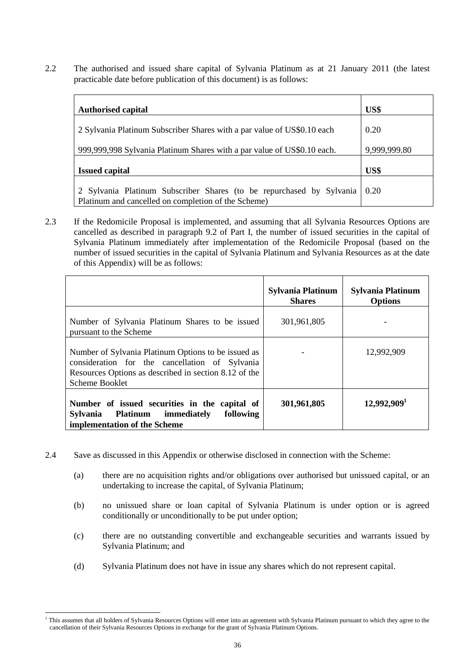2.2 The authorised and issued share capital of Sylvania Platinum as at 21 January 2011 (the latest practicable date before publication of this document) is as follows:

| <b>Authorised capital</b>                                               | US\$         |
|-------------------------------------------------------------------------|--------------|
| 2 Sylvania Platinum Subscriber Shares with a par value of US\$0.10 each | 0.20         |
| 999,999,998 Sylvania Platinum Shares with a par value of US\$0.10 each. | 9,999,999.80 |
| <b>Issued capital</b>                                                   | US\$         |
| 2 Sylvania Platinum Subscriber Shares (to be repurchased by Sylvania    | 0.20         |
| Platinum and cancelled on completion of the Scheme)                     |              |

2.3 If the Redomicile Proposal is implemented, and assuming that all Sylvania Resources Options are cancelled as described in paragraph [9.2](#page-21-0) of [Part I,](#page-5-0) the number of issued securities in the capital of Sylvania Platinum immediately after implementation of the Redomicile Proposal (based on the number of issued securities in the capital of Sylvania Platinum and Sylvania Resources as at the date of this Appendix) will be as follows:

|                                                                                                                                                                                  | <b>Sylvania Platinum</b><br><b>Shares</b> | Sylvania Platinum<br><b>Options</b> |
|----------------------------------------------------------------------------------------------------------------------------------------------------------------------------------|-------------------------------------------|-------------------------------------|
| Number of Sylvania Platinum Shares to be issued<br>pursuant to the Scheme                                                                                                        | 301,961,805                               |                                     |
| Number of Sylvania Platinum Options to be issued as<br>consideration for the cancellation of Sylvania<br>Resources Options as described in section 8.12 of the<br>Scheme Booklet |                                           | 12,992,909                          |
| Number of issued securities in the capital of<br>following<br>Sylvania Platinum<br>immediately<br>implementation of the Scheme                                                   | 301,961,805                               | 12,992,909 <sup>1</sup>             |

- 2.4 Save as discussed in this Appendix or otherwise disclosed in connection with the Scheme:
	- (a) there are no acquisition rights and/or obligations over authorised but unissued capital, or an undertaking to increase the capital, of Sylvania Platinum;
	- (b) no unissued share or loan capital of Sylvania Platinum is under option or is agreed conditionally or unconditionally to be put under option;
	- (c) there are no outstanding convertible and exchangeable securities and warrants issued by Sylvania Platinum; and
	- (d) Sylvania Platinum does not have in issue any shares which do not represent capital.

<sup>-</sup><sup>1</sup> This assumes that all holders of Sylvania Resources Options will enter into an agreement with Sylvania Platinum pursuant to which they agree to the cancellation of their Sylvania Resources Options in exchange for the grant of Sylvania Platinum Options.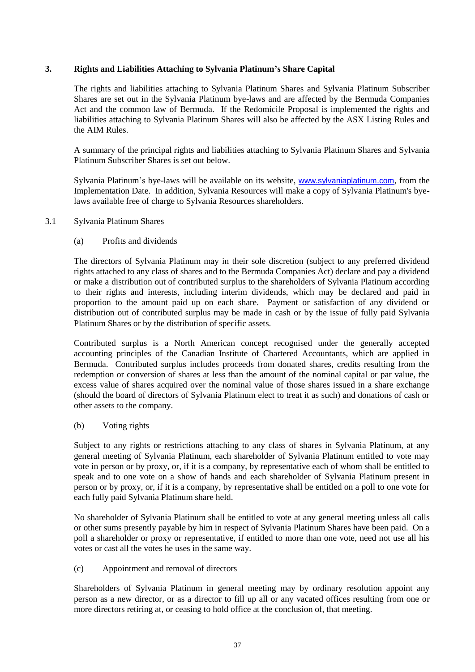# **3. Rights and Liabilities Attaching to Sylvania Platinum's Share Capital**

The rights and liabilities attaching to Sylvania Platinum Shares and Sylvania Platinum Subscriber Shares are set out in the Sylvania Platinum bye-laws and are affected by the Bermuda Companies Act and the common law of Bermuda. If the Redomicile Proposal is implemented the rights and liabilities attaching to Sylvania Platinum Shares will also be affected by the ASX Listing Rules and the AIM Rules.

A summary of the principal rights and liabilities attaching to Sylvania Platinum Shares and Sylvania Platinum Subscriber Shares is set out below.

Sylvania Platinum's bye-laws will be available on its website, [www.sylvaniaplatinum.com](http://www.sylvaniaplatinum.com/), from the Implementation Date. In addition, Sylvania Resources will make a copy of Sylvania Platinum's byelaws available free of charge to Sylvania Resources shareholders.

# 3.1 Sylvania Platinum Shares

# (a) Profits and dividends

The directors of Sylvania Platinum may in their sole discretion (subject to any preferred dividend rights attached to any class of shares and to the Bermuda Companies Act) declare and pay a dividend or make a distribution out of contributed surplus to the shareholders of Sylvania Platinum according to their rights and interests, including interim dividends, which may be declared and paid in proportion to the amount paid up on each share. Payment or satisfaction of any dividend or distribution out of contributed surplus may be made in cash or by the issue of fully paid Sylvania Platinum Shares or by the distribution of specific assets.

Contributed surplus is a North American concept recognised under the generally accepted accounting principles of the Canadian Institute of Chartered Accountants, which are applied in Bermuda. Contributed surplus includes proceeds from donated shares, credits resulting from the redemption or conversion of shares at less than the amount of the nominal capital or par value, the excess value of shares acquired over the nominal value of those shares issued in a share exchange (should the board of directors of Sylvania Platinum elect to treat it as such) and donations of cash or other assets to the company.

# (b) Voting rights

Subject to any rights or restrictions attaching to any class of shares in Sylvania Platinum, at any general meeting of Sylvania Platinum, each shareholder of Sylvania Platinum entitled to vote may vote in person or by proxy, or, if it is a company, by representative each of whom shall be entitled to speak and to one vote on a show of hands and each shareholder of Sylvania Platinum present in person or by proxy, or, if it is a company, by representative shall be entitled on a poll to one vote for each fully paid Sylvania Platinum share held.

No shareholder of Sylvania Platinum shall be entitled to vote at any general meeting unless all calls or other sums presently payable by him in respect of Sylvania Platinum Shares have been paid. On a poll a shareholder or proxy or representative, if entitled to more than one vote, need not use all his votes or cast all the votes he uses in the same way.

(c) Appointment and removal of directors

Shareholders of Sylvania Platinum in general meeting may by ordinary resolution appoint any person as a new director, or as a director to fill up all or any vacated offices resulting from one or more directors retiring at, or ceasing to hold office at the conclusion of, that meeting.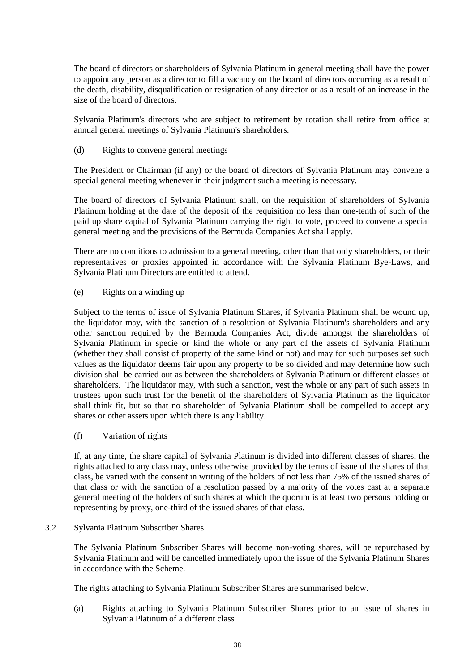The board of directors or shareholders of Sylvania Platinum in general meeting shall have the power to appoint any person as a director to fill a vacancy on the board of directors occurring as a result of the death, disability, disqualification or resignation of any director or as a result of an increase in the size of the board of directors.

Sylvania Platinum's directors who are subject to retirement by rotation shall retire from office at annual general meetings of Sylvania Platinum's shareholders.

(d) Rights to convene general meetings

The President or Chairman (if any) or the board of directors of Sylvania Platinum may convene a special general meeting whenever in their judgment such a meeting is necessary.

The board of directors of Sylvania Platinum shall, on the requisition of shareholders of Sylvania Platinum holding at the date of the deposit of the requisition no less than one-tenth of such of the paid up share capital of Sylvania Platinum carrying the right to vote, proceed to convene a special general meeting and the provisions of the Bermuda Companies Act shall apply.

There are no conditions to admission to a general meeting, other than that only shareholders, or their representatives or proxies appointed in accordance with the Sylvania Platinum Bye-Laws, and Sylvania Platinum Directors are entitled to attend.

(e) Rights on a winding up

Subject to the terms of issue of Sylvania Platinum Shares, if Sylvania Platinum shall be wound up, the liquidator may, with the sanction of a resolution of Sylvania Platinum's shareholders and any other sanction required by the Bermuda Companies Act, divide amongst the shareholders of Sylvania Platinum in specie or kind the whole or any part of the assets of Sylvania Platinum (whether they shall consist of property of the same kind or not) and may for such purposes set such values as the liquidator deems fair upon any property to be so divided and may determine how such division shall be carried out as between the shareholders of Sylvania Platinum or different classes of shareholders. The liquidator may, with such a sanction, vest the whole or any part of such assets in trustees upon such trust for the benefit of the shareholders of Sylvania Platinum as the liquidator shall think fit, but so that no shareholder of Sylvania Platinum shall be compelled to accept any shares or other assets upon which there is any liability.

(f) Variation of rights

If, at any time, the share capital of Sylvania Platinum is divided into different classes of shares, the rights attached to any class may, unless otherwise provided by the terms of issue of the shares of that class, be varied with the consent in writing of the holders of not less than 75% of the issued shares of that class or with the sanction of a resolution passed by a majority of the votes cast at a separate general meeting of the holders of such shares at which the quorum is at least two persons holding or representing by proxy, one-third of the issued shares of that class.

<span id="page-37-0"></span>3.2 Sylvania Platinum Subscriber Shares

The Sylvania Platinum Subscriber Shares will become non-voting shares, will be repurchased by Sylvania Platinum and will be cancelled immediately upon the issue of the Sylvania Platinum Shares in accordance with the Scheme.

The rights attaching to Sylvania Platinum Subscriber Shares are summarised below.

(a) Rights attaching to Sylvania Platinum Subscriber Shares prior to an issue of shares in Sylvania Platinum of a different class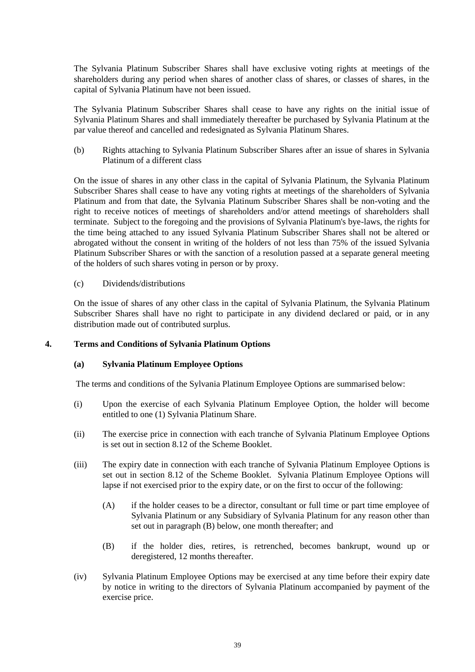The Sylvania Platinum Subscriber Shares shall have exclusive voting rights at meetings of the shareholders during any period when shares of another class of shares, or classes of shares, in the capital of Sylvania Platinum have not been issued.

The Sylvania Platinum Subscriber Shares shall cease to have any rights on the initial issue of Sylvania Platinum Shares and shall immediately thereafter be purchased by Sylvania Platinum at the par value thereof and cancelled and redesignated as Sylvania Platinum Shares.

(b) Rights attaching to Sylvania Platinum Subscriber Shares after an issue of shares in Sylvania Platinum of a different class

On the issue of shares in any other class in the capital of Sylvania Platinum, the Sylvania Platinum Subscriber Shares shall cease to have any voting rights at meetings of the shareholders of Sylvania Platinum and from that date, the Sylvania Platinum Subscriber Shares shall be non-voting and the right to receive notices of meetings of shareholders and/or attend meetings of shareholders shall terminate. Subject to the foregoing and the provisions of Sylvania Platinum's bye-laws, the rights for the time being attached to any issued Sylvania Platinum Subscriber Shares shall not be altered or abrogated without the consent in writing of the holders of not less than 75% of the issued Sylvania Platinum Subscriber Shares or with the sanction of a resolution passed at a separate general meeting of the holders of such shares voting in person or by proxy.

# (c) Dividends/distributions

On the issue of shares of any other class in the capital of Sylvania Platinum, the Sylvania Platinum Subscriber Shares shall have no right to participate in any dividend declared or paid, or in any distribution made out of contributed surplus.

# <span id="page-38-0"></span>**4. Terms and Conditions of Sylvania Platinum Options**

# **(a) Sylvania Platinum Employee Options**

The terms and conditions of the Sylvania Platinum Employee Options are summarised below:

- (i) Upon the exercise of each Sylvania Platinum Employee Option, the holder will become entitled to one (1) Sylvania Platinum Share.
- (ii) The exercise price in connection with each tranche of Sylvania Platinum Employee Options is set out in section 8.12 of the Scheme Booklet.
- (iii) The expiry date in connection with each tranche of Sylvania Platinum Employee Options is set out in section 8.12 of the Scheme Booklet. Sylvania Platinum Employee Options will lapse if not exercised prior to the expiry date, or on the first to occur of the following:
	- (A) if the holder ceases to be a director, consultant or full time or part time employee of Sylvania Platinum or any Subsidiary of Sylvania Platinum for any reason other than set out in paragraph [\(B\)](#page-38-1) below, one month thereafter; and
	- (B) if the holder dies, retires, is retrenched, becomes bankrupt, wound up or deregistered, 12 months thereafter.
- <span id="page-38-1"></span>(iv) Sylvania Platinum Employee Options may be exercised at any time before their expiry date by notice in writing to the directors of Sylvania Platinum accompanied by payment of the exercise price.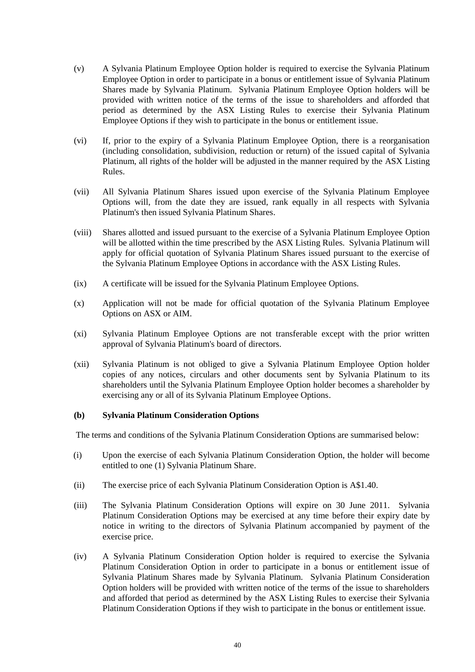- (v) A Sylvania Platinum Employee Option holder is required to exercise the Sylvania Platinum Employee Option in order to participate in a bonus or entitlement issue of Sylvania Platinum Shares made by Sylvania Platinum. Sylvania Platinum Employee Option holders will be provided with written notice of the terms of the issue to shareholders and afforded that period as determined by the ASX Listing Rules to exercise their Sylvania Platinum Employee Options if they wish to participate in the bonus or entitlement issue.
- (vi) If, prior to the expiry of a Sylvania Platinum Employee Option, there is a reorganisation (including consolidation, subdivision, reduction or return) of the issued capital of Sylvania Platinum, all rights of the holder will be adjusted in the manner required by the ASX Listing Rules.
- (vii) All Sylvania Platinum Shares issued upon exercise of the Sylvania Platinum Employee Options will, from the date they are issued, rank equally in all respects with Sylvania Platinum's then issued Sylvania Platinum Shares.
- (viii) Shares allotted and issued pursuant to the exercise of a Sylvania Platinum Employee Option will be allotted within the time prescribed by the ASX Listing Rules. Sylvania Platinum will apply for official quotation of Sylvania Platinum Shares issued pursuant to the exercise of the Sylvania Platinum Employee Options in accordance with the ASX Listing Rules.
- (ix) A certificate will be issued for the Sylvania Platinum Employee Options.
- (x) Application will not be made for official quotation of the Sylvania Platinum Employee Options on ASX or AIM.
- (xi) Sylvania Platinum Employee Options are not transferable except with the prior written approval of Sylvania Platinum's board of directors.
- (xii) Sylvania Platinum is not obliged to give a Sylvania Platinum Employee Option holder copies of any notices, circulars and other documents sent by Sylvania Platinum to its shareholders until the Sylvania Platinum Employee Option holder becomes a shareholder by exercising any or all of its Sylvania Platinum Employee Options.

#### **(b) Sylvania Platinum Consideration Options**

The terms and conditions of the Sylvania Platinum Consideration Options are summarised below:

- (i) Upon the exercise of each Sylvania Platinum Consideration Option, the holder will become entitled to one (1) Sylvania Platinum Share.
- (ii) The exercise price of each Sylvania Platinum Consideration Option is A\$1.40.
- (iii) The Sylvania Platinum Consideration Options will expire on 30 June 2011. Sylvania Platinum Consideration Options may be exercised at any time before their expiry date by notice in writing to the directors of Sylvania Platinum accompanied by payment of the exercise price.
- (iv) A Sylvania Platinum Consideration Option holder is required to exercise the Sylvania Platinum Consideration Option in order to participate in a bonus or entitlement issue of Sylvania Platinum Shares made by Sylvania Platinum. Sylvania Platinum Consideration Option holders will be provided with written notice of the terms of the issue to shareholders and afforded that period as determined by the ASX Listing Rules to exercise their Sylvania Platinum Consideration Options if they wish to participate in the bonus or entitlement issue.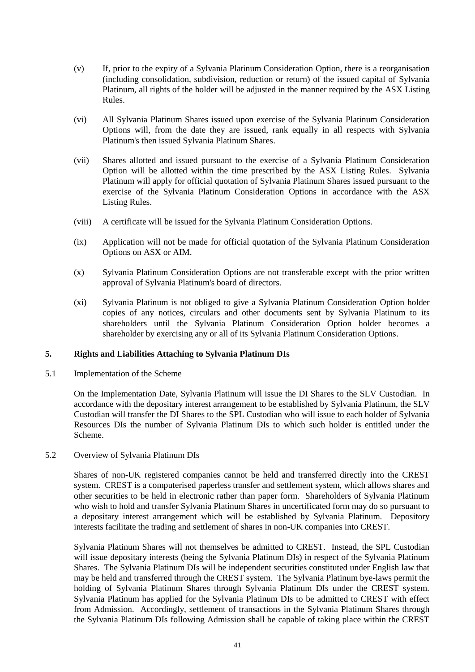- (v) If, prior to the expiry of a Sylvania Platinum Consideration Option, there is a reorganisation (including consolidation, subdivision, reduction or return) of the issued capital of Sylvania Platinum, all rights of the holder will be adjusted in the manner required by the ASX Listing Rules.
- (vi) All Sylvania Platinum Shares issued upon exercise of the Sylvania Platinum Consideration Options will, from the date they are issued, rank equally in all respects with Sylvania Platinum's then issued Sylvania Platinum Shares.
- (vii) Shares allotted and issued pursuant to the exercise of a Sylvania Platinum Consideration Option will be allotted within the time prescribed by the ASX Listing Rules. Sylvania Platinum will apply for official quotation of Sylvania Platinum Shares issued pursuant to the exercise of the Sylvania Platinum Consideration Options in accordance with the ASX Listing Rules.
- (viii) A certificate will be issued for the Sylvania Platinum Consideration Options.
- (ix) Application will not be made for official quotation of the Sylvania Platinum Consideration Options on ASX or AIM.
- (x) Sylvania Platinum Consideration Options are not transferable except with the prior written approval of Sylvania Platinum's board of directors.
- (xi) Sylvania Platinum is not obliged to give a Sylvania Platinum Consideration Option holder copies of any notices, circulars and other documents sent by Sylvania Platinum to its shareholders until the Sylvania Platinum Consideration Option holder becomes a shareholder by exercising any or all of its Sylvania Platinum Consideration Options.

# **5. Rights and Liabilities Attaching to Sylvania Platinum DIs**

5.1 Implementation of the Scheme

On the Implementation Date, Sylvania Platinum will issue the DI Shares to the SLV Custodian. In accordance with the depositary interest arrangement to be established by Sylvania Platinum, the SLV Custodian will transfer the DI Shares to the SPL Custodian who will issue to each holder of Sylvania Resources DIs the number of Sylvania Platinum DIs to which such holder is entitled under the Scheme.

# 5.2 Overview of Sylvania Platinum DIs

Shares of non-UK registered companies cannot be held and transferred directly into the CREST system. CREST is a computerised paperless transfer and settlement system, which allows shares and other securities to be held in electronic rather than paper form. Shareholders of Sylvania Platinum who wish to hold and transfer Sylvania Platinum Shares in uncertificated form may do so pursuant to a depositary interest arrangement which will be established by Sylvania Platinum. Depository interests facilitate the trading and settlement of shares in non-UK companies into CREST.

Sylvania Platinum Shares will not themselves be admitted to CREST. Instead, the SPL Custodian will issue depositary interests (being the Sylvania Platinum DIs) in respect of the Sylvania Platinum Shares. The Sylvania Platinum DIs will be independent securities constituted under English law that may be held and transferred through the CREST system. The Sylvania Platinum bye-laws permit the holding of Sylvania Platinum Shares through Sylvania Platinum DIs under the CREST system. Sylvania Platinum has applied for the Sylvania Platinum DIs to be admitted to CREST with effect from Admission. Accordingly, settlement of transactions in the Sylvania Platinum Shares through the Sylvania Platinum DIs following Admission shall be capable of taking place within the CREST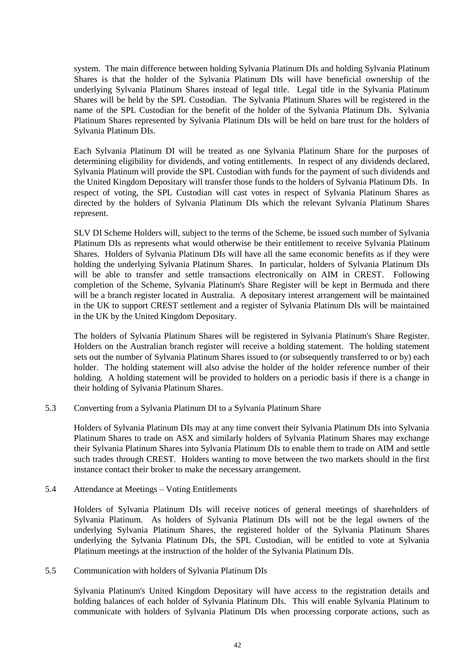system. The main difference between holding Sylvania Platinum DIs and holding Sylvania Platinum Shares is that the holder of the Sylvania Platinum DIs will have beneficial ownership of the underlying Sylvania Platinum Shares instead of legal title. Legal title in the Sylvania Platinum Shares will be held by the SPL Custodian. The Sylvania Platinum Shares will be registered in the name of the SPL Custodian for the benefit of the holder of the Sylvania Platinum DIs. Sylvania Platinum Shares represented by Sylvania Platinum DIs will be held on bare trust for the holders of Sylvania Platinum DIs.

Each Sylvania Platinum DI will be treated as one Sylvania Platinum Share for the purposes of determining eligibility for dividends, and voting entitlements. In respect of any dividends declared, Sylvania Platinum will provide the SPL Custodian with funds for the payment of such dividends and the United Kingdom Depositary will transfer those funds to the holders of Sylvania Platinum DIs. In respect of voting, the SPL Custodian will cast votes in respect of Sylvania Platinum Shares as directed by the holders of Sylvania Platinum DIs which the relevant Sylvania Platinum Shares represent.

SLV DI Scheme Holders will, subject to the terms of the Scheme, be issued such number of Sylvania Platinum DIs as represents what would otherwise be their entitlement to receive Sylvania Platinum Shares. Holders of Sylvania Platinum DIs will have all the same economic benefits as if they were holding the underlying Sylvania Platinum Shares. In particular, holders of Sylvania Platinum DIs will be able to transfer and settle transactions electronically on AIM in CREST. Following completion of the Scheme, Sylvania Platinum's Share Register will be kept in Bermuda and there will be a branch register located in Australia. A depositary interest arrangement will be maintained in the UK to support CREST settlement and a register of Sylvania Platinum DIs will be maintained in the UK by the United Kingdom Depositary.

The holders of Sylvania Platinum Shares will be registered in Sylvania Platinum's Share Register. Holders on the Australian branch register will receive a holding statement. The holding statement sets out the number of Sylvania Platinum Shares issued to (or subsequently transferred to or by) each holder. The holding statement will also advise the holder of the holder reference number of their holding. A holding statement will be provided to holders on a periodic basis if there is a change in their holding of Sylvania Platinum Shares.

#### 5.3 Converting from a Sylvania Platinum DI to a Sylvania Platinum Share

Holders of Sylvania Platinum DIs may at any time convert their Sylvania Platinum DIs into Sylvania Platinum Shares to trade on ASX and similarly holders of Sylvania Platinum Shares may exchange their Sylvania Platinum Shares into Sylvania Platinum DIs to enable them to trade on AIM and settle such trades through CREST. Holders wanting to move between the two markets should in the first instance contact their broker to make the necessary arrangement.

#### 5.4 Attendance at Meetings – Voting Entitlements

Holders of Sylvania Platinum DIs will receive notices of general meetings of shareholders of Sylvania Platinum. As holders of Sylvania Platinum DIs will not be the legal owners of the underlying Sylvania Platinum Shares, the registered holder of the Sylvania Platinum Shares underlying the Sylvania Platinum DIs, the SPL Custodian, will be entitled to vote at Sylvania Platinum meetings at the instruction of the holder of the Sylvania Platinum DIs.

#### 5.5 Communication with holders of Sylvania Platinum DIs

Sylvania Platinum's United Kingdom Depositary will have access to the registration details and holding balances of each holder of Sylvania Platinum DIs. This will enable Sylvania Platinum to communicate with holders of Sylvania Platinum DIs when processing corporate actions, such as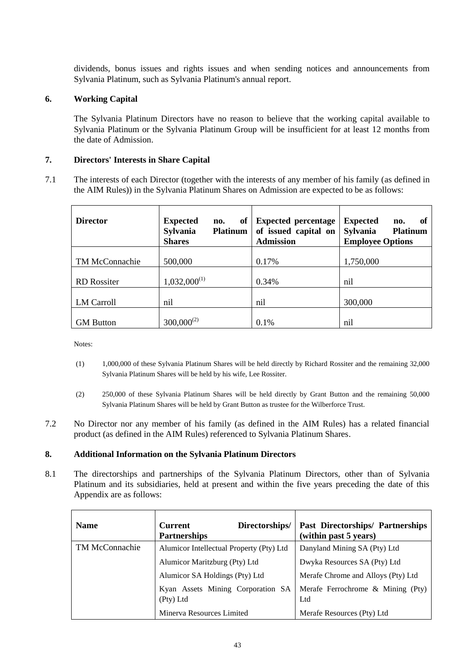dividends, bonus issues and rights issues and when sending notices and announcements from Sylvania Platinum, such as Sylvania Platinum's annual report.

# **6. Working Capital**

The Sylvania Platinum Directors have no reason to believe that the working capital available to Sylvania Platinum or the Sylvania Platinum Group will be insufficient for at least 12 months from the date of Admission.

# **7. Directors' Interests in Share Capital**

<span id="page-42-0"></span>7.1 The interests of each Director (together with the interests of any member of his family (as defined in the AIM Rules)) in the Sylvania Platinum Shares on Admission are expected to be as follows:

| <b>Director</b>    | <b>Expected</b><br>of<br>no.<br>Sylvania<br><b>Platinum</b><br><b>Shares</b> | <b>Expected percentage</b><br>of issued capital on<br><b>Admission</b> | <b>Expected</b><br>of<br>no.<br><b>Sylvania</b><br><b>Platinum</b><br><b>Employee Options</b> |
|--------------------|------------------------------------------------------------------------------|------------------------------------------------------------------------|-----------------------------------------------------------------------------------------------|
| TM McConnachie     | 500,000                                                                      | 0.17%                                                                  | 1,750,000                                                                                     |
| <b>RD</b> Rossiter | $1,032,000^{(1)}$                                                            | 0.34%                                                                  | nil                                                                                           |
| <b>LM Carroll</b>  | nil                                                                          | nil                                                                    | 300,000                                                                                       |
| <b>GM</b> Button   | $300,000^{(2)}$                                                              | 0.1%                                                                   | nil                                                                                           |

Notes:

- (1) 1,000,000 of these Sylvania Platinum Shares will be held directly by Richard Rossiter and the remaining 32,000 Sylvania Platinum Shares will be held by his wife, Lee Rossiter.
- (2) 250,000 of these Sylvania Platinum Shares will be held directly by Grant Button and the remaining 50,000 Sylvania Platinum Shares will be held by Grant Button as trustee for the Wilberforce Trust.
- 7.2 No Director nor any member of his family (as defined in the AIM Rules) has a related financial product (as defined in the AIM Rules) referenced to Sylvania Platinum Shares.

# **8. Additional Information on the Sylvania Platinum Directors**

8.1 The directorships and partnerships of the Sylvania Platinum Directors, other than of Sylvania Platinum and its subsidiaries, held at present and within the five years preceding the date of this Appendix are as follows:

| <b>Name</b>           | Directorships/<br><b>Current</b><br><b>Partnerships</b> | <b>Past Directorships/ Partnerships</b><br>(within past 5 years) |
|-----------------------|---------------------------------------------------------|------------------------------------------------------------------|
| <b>TM McConnachie</b> | Alumicor Intellectual Property (Pty) Ltd                | Danyland Mining SA (Pty) Ltd                                     |
|                       | Alumicor Maritzburg (Pty) Ltd                           | Dwyka Resources SA (Pty) Ltd                                     |
|                       | Alumicor SA Holdings (Pty) Ltd                          | Merafe Chrome and Alloys (Pty) Ltd                               |
|                       | Kyan Assets Mining Corporation SA<br>(Pty) Ltd          | Merafe Ferrochrome & Mining (Pty)<br>Ltd                         |
|                       | Minerva Resources Limited                               | Merafe Resources (Pty) Ltd                                       |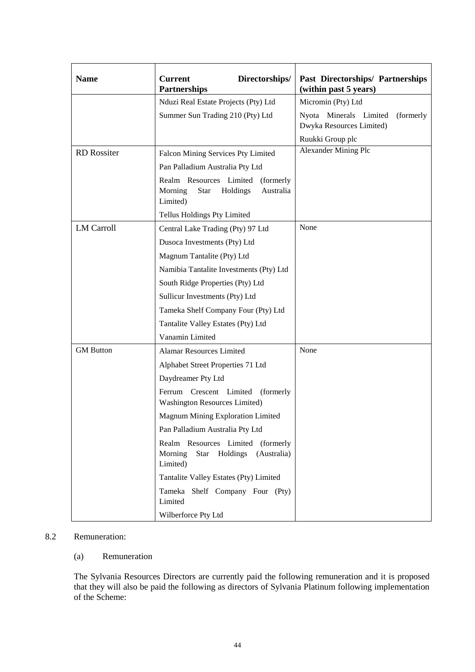| <b>Name</b>        | <b>Current</b><br>Directorships/<br><b>Partnerships</b>                                      | <b>Past Directorships/ Partnerships</b><br>(within past 5 years) |
|--------------------|----------------------------------------------------------------------------------------------|------------------------------------------------------------------|
|                    | Nduzi Real Estate Projects (Pty) Ltd                                                         | Micromin (Pty) Ltd                                               |
|                    | Summer Sun Trading 210 (Pty) Ltd                                                             | Nyota Minerals Limited<br>(formerly<br>Dwyka Resources Limited)  |
|                    |                                                                                              | Ruukki Group plc                                                 |
| <b>RD</b> Rossiter | Falcon Mining Services Pty Limited                                                           | <b>Alexander Mining Plc</b>                                      |
|                    | Pan Palladium Australia Pty Ltd                                                              |                                                                  |
|                    | Realm Resources Limited<br>(formerly<br>Holdings<br>Australia<br>Morning<br>Star<br>Limited) |                                                                  |
|                    | Tellus Holdings Pty Limited                                                                  |                                                                  |
| <b>LM Carroll</b>  | Central Lake Trading (Pty) 97 Ltd                                                            | None                                                             |
|                    | Dusoca Investments (Pty) Ltd                                                                 |                                                                  |
|                    | Magnum Tantalite (Pty) Ltd                                                                   |                                                                  |
|                    | Namibia Tantalite Investments (Pty) Ltd                                                      |                                                                  |
|                    | South Ridge Properties (Pty) Ltd                                                             |                                                                  |
|                    | Sullicur Investments (Pty) Ltd                                                               |                                                                  |
|                    | Tameka Shelf Company Four (Pty) Ltd                                                          |                                                                  |
|                    | Tantalite Valley Estates (Pty) Ltd                                                           |                                                                  |
|                    | Vanamin Limited                                                                              |                                                                  |
| <b>GM</b> Button   | <b>Alamar Resources Limited</b>                                                              | None                                                             |
|                    | Alphabet Street Properties 71 Ltd                                                            |                                                                  |
|                    | Daydreamer Pty Ltd                                                                           |                                                                  |
|                    | Crescent Limited<br>(formerly)<br>Ferrum<br>Washington Resources Limited)                    |                                                                  |
|                    | Magnum Mining Exploration Limited                                                            |                                                                  |
|                    | Pan Palladium Australia Pty Ltd                                                              |                                                                  |
|                    | Realm Resources Limited (formerly<br>Holdings<br>Morning<br>Star<br>(Australia)<br>Limited)  |                                                                  |
|                    | Tantalite Valley Estates (Pty) Limited                                                       |                                                                  |
|                    | Tameka Shelf Company Four (Pty)<br>Limited                                                   |                                                                  |
|                    | Wilberforce Pty Ltd                                                                          |                                                                  |

# 8.2 Remuneration:

# (a) Remuneration

The Sylvania Resources Directors are currently paid the following remuneration and it is proposed that they will also be paid the following as directors of Sylvania Platinum following implementation of the Scheme: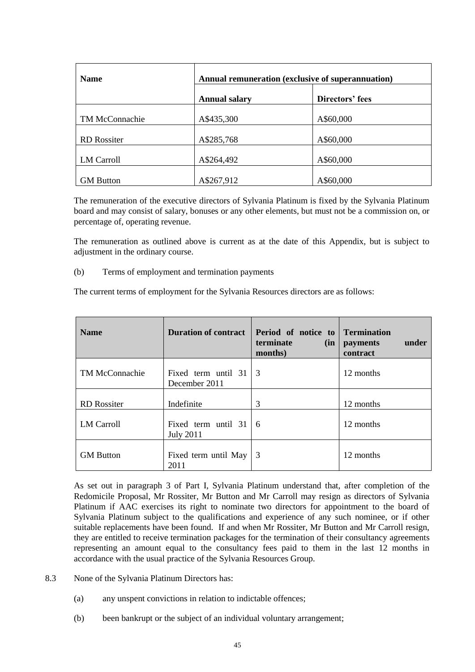| <b>Name</b>           | Annual remuneration (exclusive of superannuation) |                 |  |
|-----------------------|---------------------------------------------------|-----------------|--|
|                       | <b>Annual salary</b>                              | Directors' fees |  |
| <b>TM McConnachie</b> | A\$435,300                                        | A\$60,000       |  |
| <b>RD</b> Rossiter    | A\$285,768                                        | A\$60,000       |  |
| LM Carroll            | A\$264,492                                        | A\$60,000       |  |
| <b>GM</b> Button      | A\$267,912                                        | A\$60,000       |  |

The remuneration of the executive directors of Sylvania Platinum is fixed by the Sylvania Platinum board and may consist of salary, bonuses or any other elements, but must not be a commission on, or percentage of, operating revenue.

The remuneration as outlined above is current as at the date of this Appendix, but is subject to adjustment in the ordinary course.

(b) Terms of employment and termination payments

The current terms of employment for the Sylvania Resources directors are as follows:

| <b>Name</b>           | <b>Duration of contract</b>                    | Period of notice to<br>terminate<br>(in)<br>months) | <b>Termination</b><br>under<br>payments<br>contract |
|-----------------------|------------------------------------------------|-----------------------------------------------------|-----------------------------------------------------|
| <b>TM McConnachie</b> | Fixed term until 31<br>December 2011           | $\vert 3$                                           | 12 months                                           |
| <b>RD</b> Rossiter    | Indefinite                                     | 3                                                   | 12 months                                           |
| <b>LM Carroll</b>     | Fixed term until 31<br><b>July 2011</b>        | -6                                                  | 12 months                                           |
| <b>GM</b> Button      | Fixed term until May $\vert 3 \rangle$<br>2011 |                                                     | 12 months                                           |

As set out in paragraph [3](#page-7-0) of [Part I,](#page-5-0) Sylvania Platinum understand that, after completion of the Redomicile Proposal, Mr Rossiter, Mr Button and Mr Carroll may resign as directors of Sylvania Platinum if AAC exercises its right to nominate two directors for appointment to the board of Sylvania Platinum subject to the qualifications and experience of any such nominee, or if other suitable replacements have been found. If and when Mr Rossiter, Mr Button and Mr Carroll resign, they are entitled to receive termination packages for the termination of their consultancy agreements representing an amount equal to the consultancy fees paid to them in the last 12 months in accordance with the usual practice of the Sylvania Resources Group.

- 8.3 None of the Sylvania Platinum Directors has:
	- (a) any unspent convictions in relation to indictable offences;
	- (b) been bankrupt or the subject of an individual voluntary arrangement;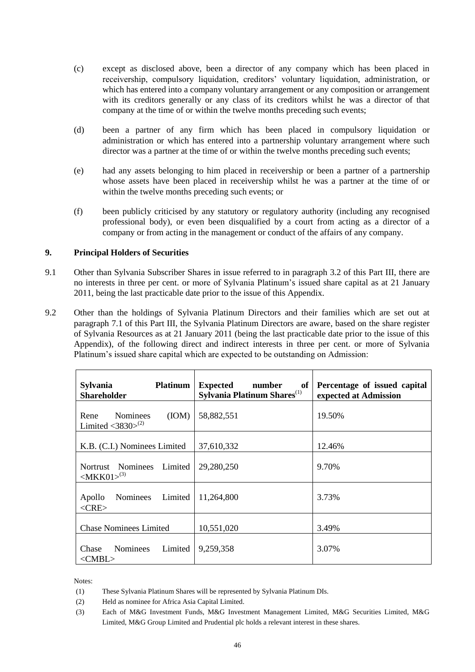- (c) except as disclosed above, been a director of any company which has been placed in receivership, compulsory liquidation, creditors' voluntary liquidation, administration, or which has entered into a company voluntary arrangement or any composition or arrangement with its creditors generally or any class of its creditors whilst he was a director of that company at the time of or within the twelve months preceding such events;
- (d) been a partner of any firm which has been placed in compulsory liquidation or administration or which has entered into a partnership voluntary arrangement where such director was a partner at the time of or within the twelve months preceding such events;
- (e) had any assets belonging to him placed in receivership or been a partner of a partnership whose assets have been placed in receivership whilst he was a partner at the time of or within the twelve months preceding such events; or
- (f) been publicly criticised by any statutory or regulatory authority (including any recognised professional body), or even been disqualified by a court from acting as a director of a company or from acting in the management or conduct of the affairs of any company.

# <span id="page-45-0"></span>**9. Principal Holders of Securities**

- 9.1 Other than Sylvania Subscriber Shares in issue referred to in paragraph [3.2](#page-37-0) of this [Part III,](#page-33-0) there are no interests in three per cent. or more of Sylvania Platinum's issued share capital as at 21 January 2011, being the last practicable date prior to the issue of this Appendix.
- <span id="page-45-1"></span>9.2 Other than the holdings of Sylvania Platinum Directors and their families which are set out at paragraph [7.1](#page-42-0) of this [Part III,](#page-33-0) the Sylvania Platinum Directors are aware, based on the share register of Sylvania Resources as at 21 January 2011 (being the last practicable date prior to the issue of this Appendix), of the following direct and indirect interests in three per cent. or more of Sylvania Platinum's issued share capital which are expected to be outstanding on Admission:

| <b>Sylvania</b><br><b>Platinum</b><br><b>Shareholder</b>                 | <b>Expected</b><br>number<br>of<br>Sylvania Platinum Shares <sup>(1)</sup> | Percentage of issued capital<br>expected at Admission |
|--------------------------------------------------------------------------|----------------------------------------------------------------------------|-------------------------------------------------------|
| (ION)<br>Rene<br><b>Nominees</b><br>Limited $\langle 3830 \rangle^{(2)}$ | 58,882,551                                                                 | 19.50%                                                |
| K.B. (C.I.) Nominees Limited                                             | 37,610,332                                                                 | 12.46%                                                |
| Nortrust Nominees<br>Limited<br>$ MKK01\rangle^{(3)}$                    | 29,280,250                                                                 | 9.70%                                                 |
| Apollo<br>Limited<br>Nominees<br>$<$ CRE $>$                             | 11,264,800                                                                 | 3.73%                                                 |
| <b>Chase Nominees Limited</b>                                            | 10,551,020                                                                 | 3.49%                                                 |
| Limited<br><b>Nominees</b><br>Chase<br>$<$ CMBL $>$                      | 9,259,358                                                                  | 3.07%                                                 |

Notes:

<sup>(1)</sup> These Sylvania Platinum Shares will be represented by Sylvania Platinum DIs.

<sup>(2)</sup> Held as nominee for Africa Asia Capital Limited.

<sup>(3)</sup> Each of M&G Investment Funds, M&G Investment Management Limited, M&G Securities Limited, M&G Limited, M&G Group Limited and Prudential plc holds a relevant interest in these shares.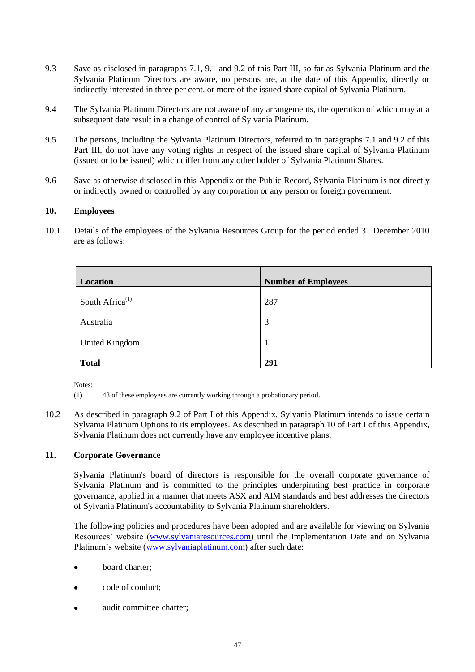- 9.3 Save as disclosed in paragraphs [7.1,](#page-42-0) [9.1](#page-45-0) and [9.2](#page-45-1) of this [Part III,](#page-33-0) so far as Sylvania Platinum and the Sylvania Platinum Directors are aware, no persons are, at the date of this Appendix, directly or indirectly interested in three per cent. or more of the issued share capital of Sylvania Platinum.
- 9.4 The Sylvania Platinum Directors are not aware of any arrangements, the operation of which may at a subsequent date result in a change of control of Sylvania Platinum.
- 9.5 The persons, including the Sylvania Platinum Directors, referred to in paragraphs [7.1](#page-42-0) and [9.2](#page-45-1) of this [Part III,](#page-33-0) do not have any voting rights in respect of the issued share capital of Sylvania Platinum (issued or to be issued) which differ from any other holder of Sylvania Platinum Shares.
- 9.6 Save as otherwise disclosed in this Appendix or the Public Record, Sylvania Platinum is not directly or indirectly owned or controlled by any corporation or any person or foreign government.

# **10. Employees**

10.1 Details of the employees of the Sylvania Resources Group for the period ended 31 December 2010 are as follows:

| Location                    | <b>Number of Employees</b> |
|-----------------------------|----------------------------|
| South Africa <sup>(1)</sup> | 287                        |
| Australia                   | 3                          |
| <b>United Kingdom</b>       |                            |
| <b>Total</b>                | 291                        |

Notes:

- (1) 43 of these employees are currently working through a probationary period.
- 10.2 As described in paragraph [9.2](#page-21-0) of [Part I](#page-5-0) of this Appendix, Sylvania Platinum intends to issue certain Sylvania Platinum Options to its employees. As described in paragraph [10](#page-22-0) of [Part I](#page-5-0) of this Appendix, Sylvania Platinum does not currently have any employee incentive plans.

# **11. Corporate Governance**

Sylvania Platinum's board of directors is responsible for the overall corporate governance of Sylvania Platinum and is committed to the principles underpinning best practice in corporate governance, applied in a manner that meets ASX and AIM standards and best addresses the directors of Sylvania Platinum's accountability to Sylvania Platinum shareholders.

The following policies and procedures have been adopted and are available for viewing on Sylvania Resources' website [\(www.sylvaniaresources.com\)](http://www.sylvaniaresources.com/) until the Implementation Date and on Sylvania Platinum's website [\(www.sylvaniaplatinum.com\)](http://www.sylvaniaplatinum.com/) after such date:

- board charter;
- code of conduct;
- audit committee charter;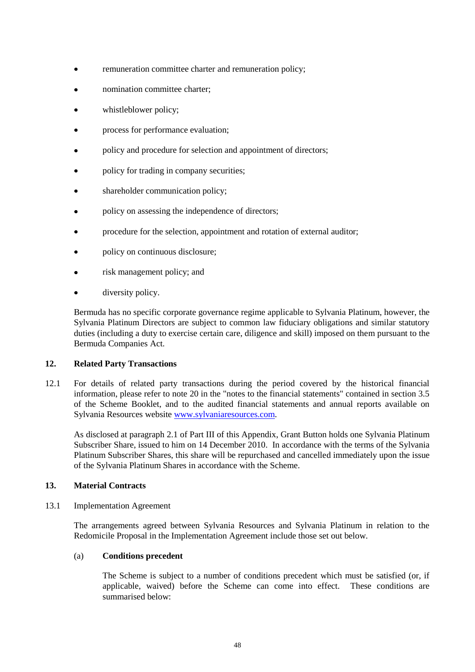- remuneration committee charter and remuneration policy;
- nomination committee charter;
- whistleblower policy;
- process for performance evaluation;
- policy and procedure for selection and appointment of directors;
- policy for trading in company securities;
- shareholder communication policy;
- policy on assessing the independence of directors;
- procedure for the selection, appointment and rotation of external auditor;
- policy on continuous disclosure;
- risk management policy; and
- diversity policy.

Bermuda has no specific corporate governance regime applicable to Sylvania Platinum, however, the Sylvania Platinum Directors are subject to common law fiduciary obligations and similar statutory duties (including a duty to exercise certain care, diligence and skill) imposed on them pursuant to the Bermuda Companies Act*.*

# **12. Related Party Transactions**

12.1 For details of related party transactions during the period covered by the historical financial information, please refer to note 20 in the "notes to the financial statements" contained in section 3.5 of the Scheme Booklet, and to the audited financial statements and annual reports available on Sylvania Resources website [www.sylvaniaresources.com.](http://www.sylvaniaresources.com/)

As disclosed at paragraph [2.1](#page-34-0) of [Part III](#page-33-0) of this Appendix, Grant Button holds one Sylvania Platinum Subscriber Share, issued to him on 14 December 2010. In accordance with the terms of the Sylvania Platinum Subscriber Shares, this share will be repurchased and cancelled immediately upon the issue of the Sylvania Platinum Shares in accordance with the Scheme.

# <span id="page-47-0"></span>**13. Material Contracts**

13.1 Implementation Agreement

The arrangements agreed between Sylvania Resources and Sylvania Platinum in relation to the Redomicile Proposal in the Implementation Agreement include those set out below.

# (a) **Conditions precedent**

The Scheme is subject to a number of conditions precedent which must be satisfied (or, if applicable, waived) before the Scheme can come into effect. These conditions are summarised below: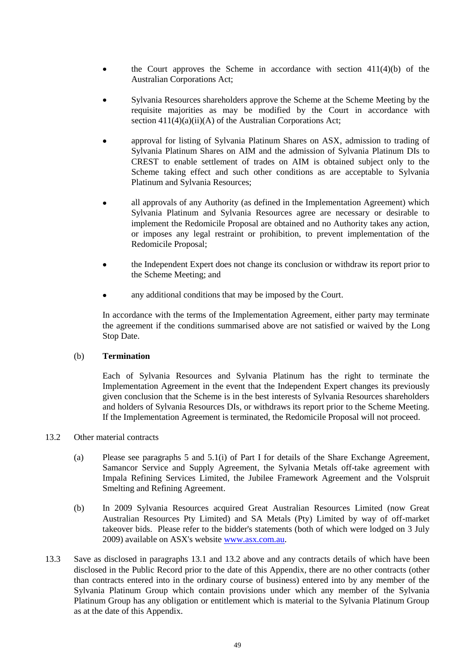- the Court approves the Scheme in accordance with section 411(4)(b) of the Australian Corporations Act;
- Sylvania Resources shareholders approve the Scheme at the Scheme Meeting by the requisite majorities as may be modified by the Court in accordance with section  $411(4)(a)(ii)(A)$  of the Australian Corporations Act;
- approval for listing of Sylvania Platinum Shares on ASX, admission to trading of Sylvania Platinum Shares on AIM and the admission of Sylvania Platinum DIs to CREST to enable settlement of trades on AIM is obtained subject only to the Scheme taking effect and such other conditions as are acceptable to Sylvania Platinum and Sylvania Resources;
- all approvals of any Authority (as defined in the Implementation Agreement) which  $\bullet$ Sylvania Platinum and Sylvania Resources agree are necessary or desirable to implement the Redomicile Proposal are obtained and no Authority takes any action, or imposes any legal restraint or prohibition, to prevent implementation of the Redomicile Proposal;
- the Independent Expert does not change its conclusion or withdraw its report prior to  $\bullet$ the Scheme Meeting; and
- any additional conditions that may be imposed by the Court.

In accordance with the terms of the Implementation Agreement, either party may terminate the agreement if the conditions summarised above are not satisfied or waived by the Long Stop Date.

#### (b) **Termination**

Each of Sylvania Resources and Sylvania Platinum has the right to terminate the Implementation Agreement in the event that the Independent Expert changes its previously given conclusion that the Scheme is in the best interests of Sylvania Resources shareholders and holders of Sylvania Resources DIs, or withdraws its report prior to the Scheme Meeting. If the Implementation Agreement is terminated, the Redomicile Proposal will not proceed.

# <span id="page-48-0"></span>13.2 Other material contracts

- (a) Please see paragraphs [5](#page-8-1) and [5.1\(i\)](#page-10-0) of [Part I](#page-5-0) for details of the Share Exchange Agreement, Samancor Service and Supply Agreement, the Sylvania Metals off-take agreement with Impala Refining Services Limited, the Jubilee Framework Agreement and the Volspruit Smelting and Refining Agreement.
- (b) In 2009 Sylvania Resources acquired Great Australian Resources Limited (now Great Australian Resources Pty Limited) and SA Metals (Pty) Limited by way of off-market takeover bids. Please refer to the bidder's statements (both of which were lodged on 3 July 2009) available on ASX's websit[e www.asx.com.au.](http://www.asx.com.au/)
- 13.3 Save as disclosed in paragraphs [13.1](#page-47-0) and [13.2](#page-48-0) above and any contracts details of which have been disclosed in the Public Record prior to the date of this Appendix, there are no other contracts (other than contracts entered into in the ordinary course of business) entered into by any member of the Sylvania Platinum Group which contain provisions under which any member of the Sylvania Platinum Group has any obligation or entitlement which is material to the Sylvania Platinum Group as at the date of this Appendix.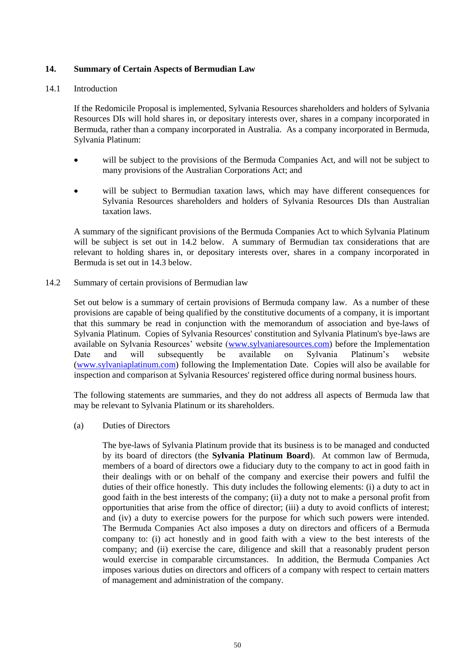# **14. Summary of Certain Aspects of Bermudian Law**

# 14.1 Introduction

If the Redomicile Proposal is implemented, Sylvania Resources shareholders and holders of Sylvania Resources DIs will hold shares in, or depositary interests over, shares in a company incorporated in Bermuda, rather than a company incorporated in Australia. As a company incorporated in Bermuda, Sylvania Platinum:

- will be subject to the provisions of the Bermuda Companies Act, and will not be subject to many provisions of the Australian Corporations Act; and
- will be subject to Bermudian taxation laws, which may have different consequences for Sylvania Resources shareholders and holders of Sylvania Resources DIs than Australian taxation laws.

A summary of the significant provisions of the Bermuda Companies Act to which Sylvania Platinum will be subject is set out in [14.2](#page-49-0) below. A summary of Bermudian tax considerations that are relevant to holding shares in, or depositary interests over, shares in a company incorporated in Bermuda is set out in [14.3](#page-54-0) below.

<span id="page-49-0"></span>14.2 Summary of certain provisions of Bermudian law

Set out below is a summary of certain provisions of Bermuda company law. As a number of these provisions are capable of being qualified by the constitutive documents of a company, it is important that this summary be read in conjunction with the memorandum of association and bye-laws of Sylvania Platinum. Copies of Sylvania Resources' constitution and Sylvania Platinum's bye-laws are available on Sylvania Resources' website [\(www.sylvaniaresources.com\)](http://www.sylvaniaresources.com/) before the Implementation Date and will subsequently be available on Sylvania Platinum's website [\(www.sylvaniaplatinum.com\)](http://www.sylvaniaplatinum.com/) following the Implementation Date. Copies will also be available for inspection and comparison at Sylvania Resources' registered office during normal business hours.

The following statements are summaries, and they do not address all aspects of Bermuda law that may be relevant to Sylvania Platinum or its shareholders.

(a) Duties of Directors

The bye-laws of Sylvania Platinum provide that its business is to be managed and conducted by its board of directors (the **Sylvania Platinum Board**). At common law of Bermuda, members of a board of directors owe a fiduciary duty to the company to act in good faith in their dealings with or on behalf of the company and exercise their powers and fulfil the duties of their office honestly. This duty includes the following elements: (i) a duty to act in good faith in the best interests of the company; (ii) a duty not to make a personal profit from opportunities that arise from the office of director; (iii) a duty to avoid conflicts of interest; and (iv) a duty to exercise powers for the purpose for which such powers were intended. The Bermuda Companies Act also imposes a duty on directors and officers of a Bermuda company to: (i) act honestly and in good faith with a view to the best interests of the company; and (ii) exercise the care, diligence and skill that a reasonably prudent person would exercise in comparable circumstances. In addition, the Bermuda Companies Act imposes various duties on directors and officers of a company with respect to certain matters of management and administration of the company.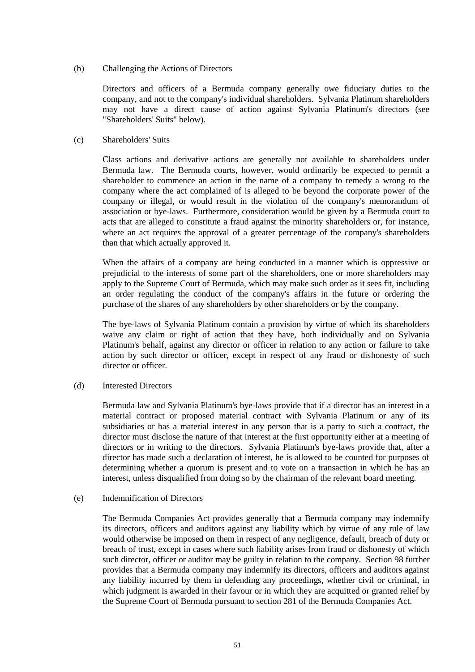### (b) Challenging the Actions of Directors

Directors and officers of a Bermuda company generally owe fiduciary duties to the company, and not to the company's individual shareholders. Sylvania Platinum shareholders may not have a direct cause of action against Sylvania Platinum's directors (see "Shareholders' Suits" below).

### (c) Shareholders' Suits

Class actions and derivative actions are generally not available to shareholders under Bermuda law. The Bermuda courts, however, would ordinarily be expected to permit a shareholder to commence an action in the name of a company to remedy a wrong to the company where the act complained of is alleged to be beyond the corporate power of the company or illegal, or would result in the violation of the company's memorandum of association or bye-laws. Furthermore, consideration would be given by a Bermuda court to acts that are alleged to constitute a fraud against the minority shareholders or, for instance, where an act requires the approval of a greater percentage of the company's shareholders than that which actually approved it.

When the affairs of a company are being conducted in a manner which is oppressive or prejudicial to the interests of some part of the shareholders, one or more shareholders may apply to the Supreme Court of Bermuda, which may make such order as it sees fit, including an order regulating the conduct of the company's affairs in the future or ordering the purchase of the shares of any shareholders by other shareholders or by the company.

The bye-laws of Sylvania Platinum contain a provision by virtue of which its shareholders waive any claim or right of action that they have, both individually and on Sylvania Platinum's behalf, against any director or officer in relation to any action or failure to take action by such director or officer, except in respect of any fraud or dishonesty of such director or officer.

# (d) Interested Directors

Bermuda law and Sylvania Platinum's bye-laws provide that if a director has an interest in a material contract or proposed material contract with Sylvania Platinum or any of its subsidiaries or has a material interest in any person that is a party to such a contract, the director must disclose the nature of that interest at the first opportunity either at a meeting of directors or in writing to the directors. Sylvania Platinum's bye-laws provide that, after a director has made such a declaration of interest, he is allowed to be counted for purposes of determining whether a quorum is present and to vote on a transaction in which he has an interest, unless disqualified from doing so by the chairman of the relevant board meeting.

# (e) Indemnification of Directors

The Bermuda Companies Act provides generally that a Bermuda company may indemnify its directors, officers and auditors against any liability which by virtue of any rule of law would otherwise be imposed on them in respect of any negligence, default, breach of duty or breach of trust, except in cases where such liability arises from fraud or dishonesty of which such director, officer or auditor may be guilty in relation to the company. Section 98 further provides that a Bermuda company may indemnify its directors, officers and auditors against any liability incurred by them in defending any proceedings, whether civil or criminal, in which judgment is awarded in their favour or in which they are acquitted or granted relief by the Supreme Court of Bermuda pursuant to section 281 of the Bermuda Companies Act.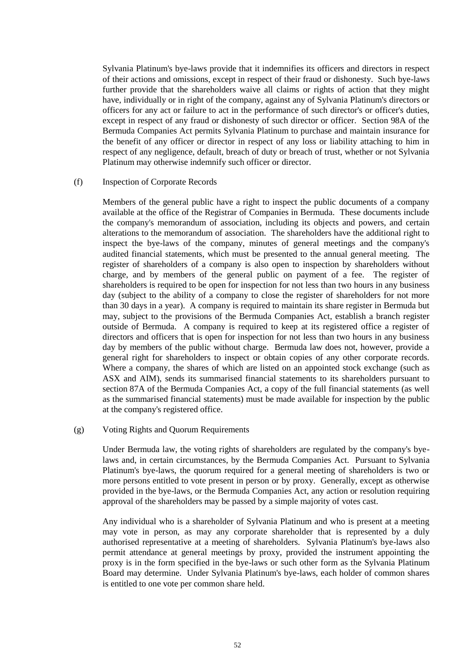Sylvania Platinum's bye-laws provide that it indemnifies its officers and directors in respect of their actions and omissions, except in respect of their fraud or dishonesty. Such bye-laws further provide that the shareholders waive all claims or rights of action that they might have, individually or in right of the company, against any of Sylvania Platinum's directors or officers for any act or failure to act in the performance of such director's or officer's duties, except in respect of any fraud or dishonesty of such director or officer. Section 98A of the Bermuda Companies Act permits Sylvania Platinum to purchase and maintain insurance for the benefit of any officer or director in respect of any loss or liability attaching to him in respect of any negligence, default, breach of duty or breach of trust, whether or not Sylvania Platinum may otherwise indemnify such officer or director.

#### (f) Inspection of Corporate Records

Members of the general public have a right to inspect the public documents of a company available at the office of the Registrar of Companies in Bermuda. These documents include the company's memorandum of association, including its objects and powers, and certain alterations to the memorandum of association. The shareholders have the additional right to inspect the bye-laws of the company, minutes of general meetings and the company's audited financial statements, which must be presented to the annual general meeting. The register of shareholders of a company is also open to inspection by shareholders without charge, and by members of the general public on payment of a fee. The register of shareholders is required to be open for inspection for not less than two hours in any business day (subject to the ability of a company to close the register of shareholders for not more than 30 days in a year). A company is required to maintain its share register in Bermuda but may, subject to the provisions of the Bermuda Companies Act, establish a branch register outside of Bermuda. A company is required to keep at its registered office a register of directors and officers that is open for inspection for not less than two hours in any business day by members of the public without charge. Bermuda law does not, however, provide a general right for shareholders to inspect or obtain copies of any other corporate records. Where a company, the shares of which are listed on an appointed stock exchange (such as ASX and AIM), sends its summarised financial statements to its shareholders pursuant to section 87A of the Bermuda Companies Act, a copy of the full financial statements (as well as the summarised financial statements) must be made available for inspection by the public at the company's registered office.

#### (g) Voting Rights and Quorum Requirements

Under Bermuda law, the voting rights of shareholders are regulated by the company's byelaws and, in certain circumstances, by the Bermuda Companies Act. Pursuant to Sylvania Platinum's bye-laws, the quorum required for a general meeting of shareholders is two or more persons entitled to vote present in person or by proxy. Generally, except as otherwise provided in the bye-laws, or the Bermuda Companies Act, any action or resolution requiring approval of the shareholders may be passed by a simple majority of votes cast.

Any individual who is a shareholder of Sylvania Platinum and who is present at a meeting may vote in person, as may any corporate shareholder that is represented by a duly authorised representative at a meeting of shareholders. Sylvania Platinum's bye-laws also permit attendance at general meetings by proxy, provided the instrument appointing the proxy is in the form specified in the bye-laws or such other form as the Sylvania Platinum Board may determine. Under Sylvania Platinum's bye-laws, each holder of common shares is entitled to one vote per common share held.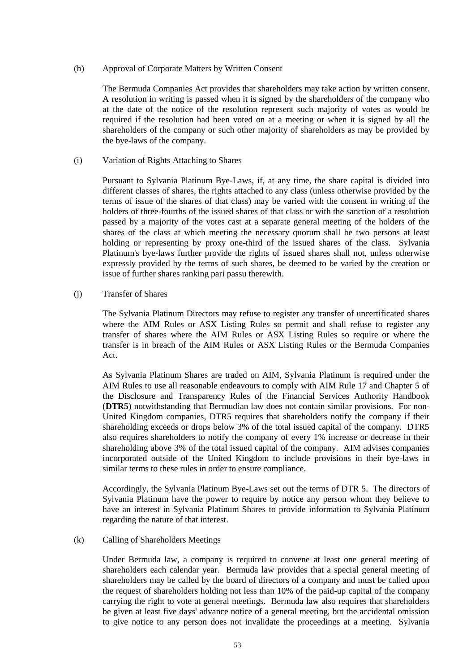# (h) Approval of Corporate Matters by Written Consent

The Bermuda Companies Act provides that shareholders may take action by written consent. A resolution in writing is passed when it is signed by the shareholders of the company who at the date of the notice of the resolution represent such majority of votes as would be required if the resolution had been voted on at a meeting or when it is signed by all the shareholders of the company or such other majority of shareholders as may be provided by the bye-laws of the company.

# (i) Variation of Rights Attaching to Shares

Pursuant to Sylvania Platinum Bye-Laws, if, at any time, the share capital is divided into different classes of shares, the rights attached to any class (unless otherwise provided by the terms of issue of the shares of that class) may be varied with the consent in writing of the holders of three-fourths of the issued shares of that class or with the sanction of a resolution passed by a majority of the votes cast at a separate general meeting of the holders of the shares of the class at which meeting the necessary quorum shall be two persons at least holding or representing by proxy one-third of the issued shares of the class. Sylvania Platinum's bye-laws further provide the rights of issued shares shall not, unless otherwise expressly provided by the terms of such shares, be deemed to be varied by the creation or issue of further shares ranking pari passu therewith.

#### (j) Transfer of Shares

The Sylvania Platinum Directors may refuse to register any transfer of uncertificated shares where the AIM Rules or ASX Listing Rules so permit and shall refuse to register any transfer of shares where the AIM Rules or ASX Listing Rules so require or where the transfer is in breach of the AIM Rules or ASX Listing Rules or the Bermuda Companies Act.

As Sylvania Platinum Shares are traded on AIM, Sylvania Platinum is required under the AIM Rules to use all reasonable endeavours to comply with AIM Rule 17 and Chapter 5 of the Disclosure and Transparency Rules of the Financial Services Authority Handbook (**DTR5**) notwithstanding that Bermudian law does not contain similar provisions. For non-United Kingdom companies, DTR5 requires that shareholders notify the company if their shareholding exceeds or drops below 3% of the total issued capital of the company. DTR5 also requires shareholders to notify the company of every 1% increase or decrease in their shareholding above 3% of the total issued capital of the company. AIM advises companies incorporated outside of the United Kingdom to include provisions in their bye-laws in similar terms to these rules in order to ensure compliance.

Accordingly, the Sylvania Platinum Bye-Laws set out the terms of DTR 5. The directors of Sylvania Platinum have the power to require by notice any person whom they believe to have an interest in Sylvania Platinum Shares to provide information to Sylvania Platinum regarding the nature of that interest.

# (k) Calling of Shareholders Meetings

Under Bermuda law, a company is required to convene at least one general meeting of shareholders each calendar year. Bermuda law provides that a special general meeting of shareholders may be called by the board of directors of a company and must be called upon the request of shareholders holding not less than 10% of the paid-up capital of the company carrying the right to vote at general meetings. Bermuda law also requires that shareholders be given at least five days' advance notice of a general meeting, but the accidental omission to give notice to any person does not invalidate the proceedings at a meeting. Sylvania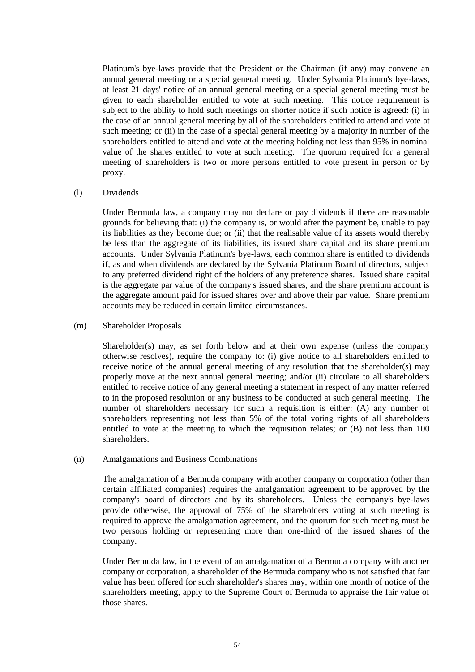Platinum's bye-laws provide that the President or the Chairman (if any) may convene an annual general meeting or a special general meeting. Under Sylvania Platinum's bye-laws, at least 21 days' notice of an annual general meeting or a special general meeting must be given to each shareholder entitled to vote at such meeting. This notice requirement is subject to the ability to hold such meetings on shorter notice if such notice is agreed: (i) in the case of an annual general meeting by all of the shareholders entitled to attend and vote at such meeting; or (ii) in the case of a special general meeting by a majority in number of the shareholders entitled to attend and vote at the meeting holding not less than 95% in nominal value of the shares entitled to vote at such meeting. The quorum required for a general meeting of shareholders is two or more persons entitled to vote present in person or by proxy.

#### (l) Dividends

Under Bermuda law, a company may not declare or pay dividends if there are reasonable grounds for believing that: (i) the company is, or would after the payment be, unable to pay its liabilities as they become due; or (ii) that the realisable value of its assets would thereby be less than the aggregate of its liabilities, its issued share capital and its share premium accounts. Under Sylvania Platinum's bye-laws, each common share is entitled to dividends if, as and when dividends are declared by the Sylvania Platinum Board of directors, subject to any preferred dividend right of the holders of any preference shares. Issued share capital is the aggregate par value of the company's issued shares, and the share premium account is the aggregate amount paid for issued shares over and above their par value. Share premium accounts may be reduced in certain limited circumstances.

#### (m) Shareholder Proposals

Shareholder(s) may, as set forth below and at their own expense (unless the company otherwise resolves), require the company to: (i) give notice to all shareholders entitled to receive notice of the annual general meeting of any resolution that the shareholder(s) may properly move at the next annual general meeting; and/or (ii) circulate to all shareholders entitled to receive notice of any general meeting a statement in respect of any matter referred to in the proposed resolution or any business to be conducted at such general meeting. The number of shareholders necessary for such a requisition is either: (A) any number of shareholders representing not less than 5% of the total voting rights of all shareholders entitled to vote at the meeting to which the requisition relates; or (B) not less than 100 shareholders.

# (n) Amalgamations and Business Combinations

The amalgamation of a Bermuda company with another company or corporation (other than certain affiliated companies) requires the amalgamation agreement to be approved by the company's board of directors and by its shareholders. Unless the company's bye-laws provide otherwise, the approval of 75% of the shareholders voting at such meeting is required to approve the amalgamation agreement, and the quorum for such meeting must be two persons holding or representing more than one-third of the issued shares of the company.

Under Bermuda law, in the event of an amalgamation of a Bermuda company with another company or corporation, a shareholder of the Bermuda company who is not satisfied that fair value has been offered for such shareholder's shares may, within one month of notice of the shareholders meeting, apply to the Supreme Court of Bermuda to appraise the fair value of those shares.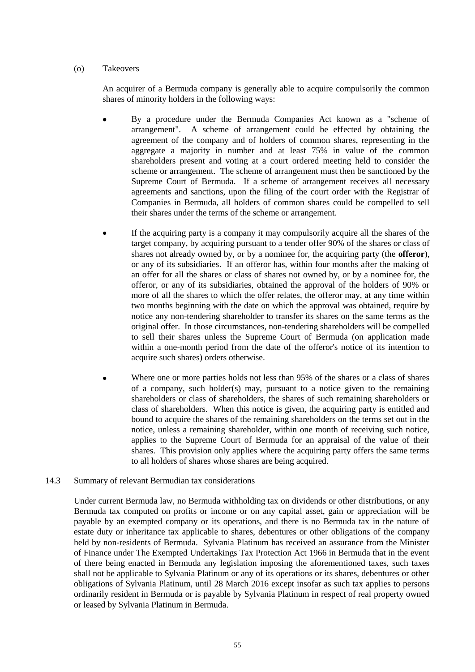### (o) Takeovers

An acquirer of a Bermuda company is generally able to acquire compulsorily the common shares of minority holders in the following ways:

- By a procedure under the Bermuda Companies Act known as a "scheme of arrangement". A scheme of arrangement could be effected by obtaining the agreement of the company and of holders of common shares, representing in the aggregate a majority in number and at least 75% in value of the common shareholders present and voting at a court ordered meeting held to consider the scheme or arrangement. The scheme of arrangement must then be sanctioned by the Supreme Court of Bermuda. If a scheme of arrangement receives all necessary agreements and sanctions, upon the filing of the court order with the Registrar of Companies in Bermuda, all holders of common shares could be compelled to sell their shares under the terms of the scheme or arrangement.
- If the acquiring party is a company it may compulsorily acquire all the shares of the target company, by acquiring pursuant to a tender offer 90% of the shares or class of shares not already owned by, or by a nominee for, the acquiring party (the **offeror**), or any of its subsidiaries. If an offeror has, within four months after the making of an offer for all the shares or class of shares not owned by, or by a nominee for, the offeror, or any of its subsidiaries, obtained the approval of the holders of 90% or more of all the shares to which the offer relates, the offeror may, at any time within two months beginning with the date on which the approval was obtained, require by notice any non-tendering shareholder to transfer its shares on the same terms as the original offer. In those circumstances, non-tendering shareholders will be compelled to sell their shares unless the Supreme Court of Bermuda (on application made within a one-month period from the date of the offeror's notice of its intention to acquire such shares) orders otherwise.
- Where one or more parties holds not less than 95% of the shares or a class of shares of a company, such holder(s) may, pursuant to a notice given to the remaining shareholders or class of shareholders, the shares of such remaining shareholders or class of shareholders. When this notice is given, the acquiring party is entitled and bound to acquire the shares of the remaining shareholders on the terms set out in the notice, unless a remaining shareholder, within one month of receiving such notice, applies to the Supreme Court of Bermuda for an appraisal of the value of their shares. This provision only applies where the acquiring party offers the same terms to all holders of shares whose shares are being acquired.

# <span id="page-54-0"></span>14.3 Summary of relevant Bermudian tax considerations

Under current Bermuda law, no Bermuda withholding tax on dividends or other distributions, or any Bermuda tax computed on profits or income or on any capital asset, gain or appreciation will be payable by an exempted company or its operations, and there is no Bermuda tax in the nature of estate duty or inheritance tax applicable to shares, debentures or other obligations of the company held by non-residents of Bermuda. Sylvania Platinum has received an assurance from the Minister of Finance under The Exempted Undertakings Tax Protection Act 1966 in Bermuda that in the event of there being enacted in Bermuda any legislation imposing the aforementioned taxes, such taxes shall not be applicable to Sylvania Platinum or any of its operations or its shares, debentures or other obligations of Sylvania Platinum, until 28 March 2016 except insofar as such tax applies to persons ordinarily resident in Bermuda or is payable by Sylvania Platinum in respect of real property owned or leased by Sylvania Platinum in Bermuda.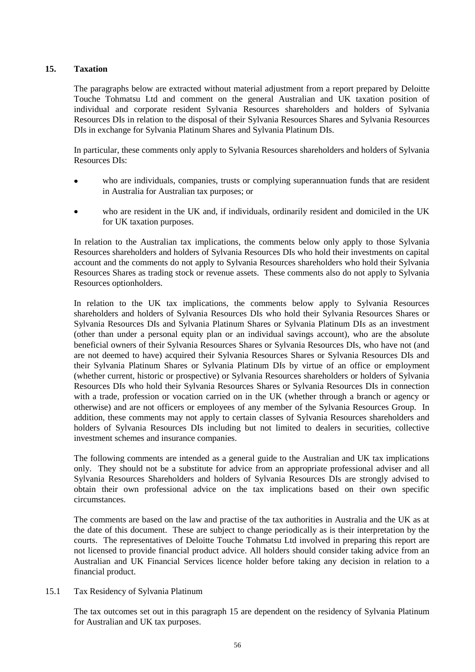# <span id="page-55-0"></span>**15. Taxation**

The paragraphs below are extracted without material adjustment from a report prepared by Deloitte Touche Tohmatsu Ltd and comment on the general Australian and UK taxation position of individual and corporate resident Sylvania Resources shareholders and holders of Sylvania Resources DIs in relation to the disposal of their Sylvania Resources Shares and Sylvania Resources DIs in exchange for Sylvania Platinum Shares and Sylvania Platinum DIs.

In particular, these comments only apply to Sylvania Resources shareholders and holders of Sylvania Resources DIs:

- who are individuals, companies, trusts or complying superannuation funds that are resident in Australia for Australian tax purposes; or
- who are resident in the UK and, if individuals, ordinarily resident and domiciled in the UK for UK taxation purposes.

In relation to the Australian tax implications, the comments below only apply to those Sylvania Resources shareholders and holders of Sylvania Resources DIs who hold their investments on capital account and the comments do not apply to Sylvania Resources shareholders who hold their Sylvania Resources Shares as trading stock or revenue assets. These comments also do not apply to Sylvania Resources optionholders.

In relation to the UK tax implications, the comments below apply to Sylvania Resources shareholders and holders of Sylvania Resources DIs who hold their Sylvania Resources Shares or Sylvania Resources DIs and Sylvania Platinum Shares or Sylvania Platinum DIs as an investment (other than under a personal equity plan or an individual savings account), who are the absolute beneficial owners of their Sylvania Resources Shares or Sylvania Resources DIs, who have not (and are not deemed to have) acquired their Sylvania Resources Shares or Sylvania Resources DIs and their Sylvania Platinum Shares or Sylvania Platinum DIs by virtue of an office or employment (whether current, historic or prospective) or Sylvania Resources shareholders or holders of Sylvania Resources DIs who hold their Sylvania Resources Shares or Sylvania Resources DIs in connection with a trade, profession or vocation carried on in the UK (whether through a branch or agency or otherwise) and are not officers or employees of any member of the Sylvania Resources Group. In addition, these comments may not apply to certain classes of Sylvania Resources shareholders and holders of Sylvania Resources DIs including but not limited to dealers in securities, collective investment schemes and insurance companies.

The following comments are intended as a general guide to the Australian and UK tax implications only. They should not be a substitute for advice from an appropriate professional adviser and all Sylvania Resources Shareholders and holders of Sylvania Resources DIs are strongly advised to obtain their own professional advice on the tax implications based on their own specific circumstances.

The comments are based on the law and practise of the tax authorities in Australia and the UK as at the date of this document. These are subject to change periodically as is their interpretation by the courts. The representatives of Deloitte Touche Tohmatsu Ltd involved in preparing this report are not licensed to provide financial product advice. All holders should consider taking advice from an Australian and UK Financial Services licence holder before taking any decision in relation to a financial product.

# 15.1 Tax Residency of Sylvania Platinum

The tax outcomes set out in this paragraph [15](#page-55-0) are dependent on the residency of Sylvania Platinum for Australian and UK tax purposes.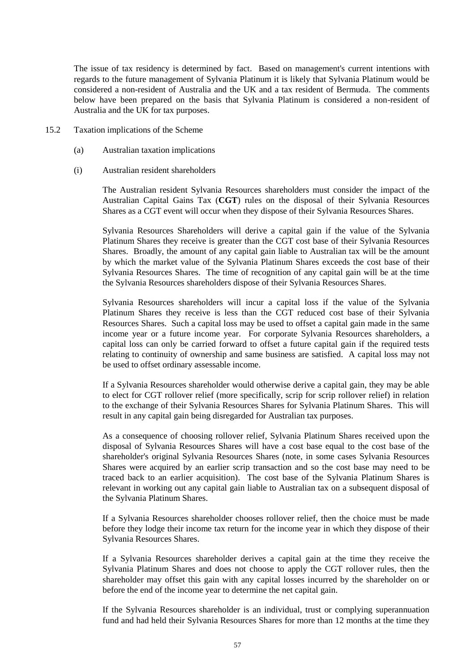The issue of tax residency is determined by fact. Based on management's current intentions with regards to the future management of Sylvania Platinum it is likely that Sylvania Platinum would be considered a non-resident of Australia and the UK and a tax resident of Bermuda. The comments below have been prepared on the basis that Sylvania Platinum is considered a non-resident of Australia and the UK for tax purposes.

- 15.2 Taxation implications of the Scheme
	- (a) Australian taxation implications
	- (i) Australian resident shareholders

The Australian resident Sylvania Resources shareholders must consider the impact of the Australian Capital Gains Tax (**CGT**) rules on the disposal of their Sylvania Resources Shares as a CGT event will occur when they dispose of their Sylvania Resources Shares.

Sylvania Resources Shareholders will derive a capital gain if the value of the Sylvania Platinum Shares they receive is greater than the CGT cost base of their Sylvania Resources Shares. Broadly, the amount of any capital gain liable to Australian tax will be the amount by which the market value of the Sylvania Platinum Shares exceeds the cost base of their Sylvania Resources Shares. The time of recognition of any capital gain will be at the time the Sylvania Resources shareholders dispose of their Sylvania Resources Shares.

Sylvania Resources shareholders will incur a capital loss if the value of the Sylvania Platinum Shares they receive is less than the CGT reduced cost base of their Sylvania Resources Shares. Such a capital loss may be used to offset a capital gain made in the same income year or a future income year. For corporate Sylvania Resources shareholders, a capital loss can only be carried forward to offset a future capital gain if the required tests relating to continuity of ownership and same business are satisfied. A capital loss may not be used to offset ordinary assessable income.

If a Sylvania Resources shareholder would otherwise derive a capital gain, they may be able to elect for CGT rollover relief (more specifically, scrip for scrip rollover relief) in relation to the exchange of their Sylvania Resources Shares for Sylvania Platinum Shares. This will result in any capital gain being disregarded for Australian tax purposes.

As a consequence of choosing rollover relief, Sylvania Platinum Shares received upon the disposal of Sylvania Resources Shares will have a cost base equal to the cost base of the shareholder's original Sylvania Resources Shares (note, in some cases Sylvania Resources Shares were acquired by an earlier scrip transaction and so the cost base may need to be traced back to an earlier acquisition). The cost base of the Sylvania Platinum Shares is relevant in working out any capital gain liable to Australian tax on a subsequent disposal of the Sylvania Platinum Shares.

If a Sylvania Resources shareholder chooses rollover relief, then the choice must be made before they lodge their income tax return for the income year in which they dispose of their Sylvania Resources Shares.

If a Sylvania Resources shareholder derives a capital gain at the time they receive the Sylvania Platinum Shares and does not choose to apply the CGT rollover rules, then the shareholder may offset this gain with any capital losses incurred by the shareholder on or before the end of the income year to determine the net capital gain.

If the Sylvania Resources shareholder is an individual, trust or complying superannuation fund and had held their Sylvania Resources Shares for more than 12 months at the time they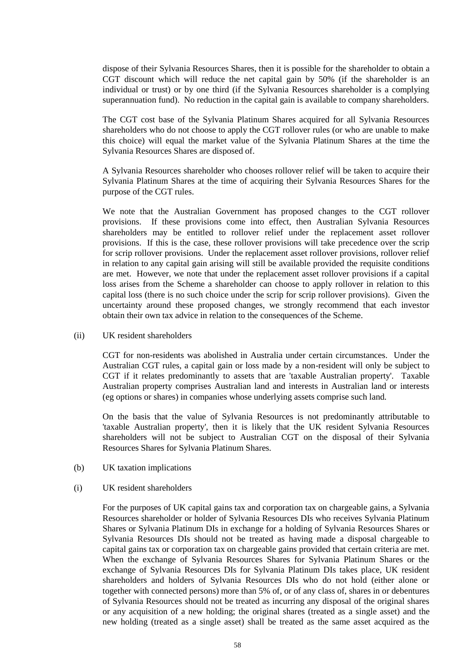dispose of their Sylvania Resources Shares, then it is possible for the shareholder to obtain a CGT discount which will reduce the net capital gain by 50% (if the shareholder is an individual or trust) or by one third (if the Sylvania Resources shareholder is a complying superannuation fund). No reduction in the capital gain is available to company shareholders.

The CGT cost base of the Sylvania Platinum Shares acquired for all Sylvania Resources shareholders who do not choose to apply the CGT rollover rules (or who are unable to make this choice) will equal the market value of the Sylvania Platinum Shares at the time the Sylvania Resources Shares are disposed of.

A Sylvania Resources shareholder who chooses rollover relief will be taken to acquire their Sylvania Platinum Shares at the time of acquiring their Sylvania Resources Shares for the purpose of the CGT rules.

We note that the Australian Government has proposed changes to the CGT rollover provisions. If these provisions come into effect, then Australian Sylvania Resources shareholders may be entitled to rollover relief under the replacement asset rollover provisions. If this is the case, these rollover provisions will take precedence over the scrip for scrip rollover provisions. Under the replacement asset rollover provisions, rollover relief in relation to any capital gain arising will still be available provided the requisite conditions are met. However, we note that under the replacement asset rollover provisions if a capital loss arises from the Scheme a shareholder can choose to apply rollover in relation to this capital loss (there is no such choice under the scrip for scrip rollover provisions). Given the uncertainty around these proposed changes, we strongly recommend that each investor obtain their own tax advice in relation to the consequences of the Scheme.

#### (ii) UK resident shareholders

CGT for non-residents was abolished in Australia under certain circumstances. Under the Australian CGT rules, a capital gain or loss made by a non-resident will only be subject to CGT if it relates predominantly to assets that are 'taxable Australian property'. Taxable Australian property comprises Australian land and interests in Australian land or interests (eg options or shares) in companies whose underlying assets comprise such land.

On the basis that the value of Sylvania Resources is not predominantly attributable to 'taxable Australian property', then it is likely that the UK resident Sylvania Resources shareholders will not be subject to Australian CGT on the disposal of their Sylvania Resources Shares for Sylvania Platinum Shares.

(b) UK taxation implications

#### (i) UK resident shareholders

For the purposes of UK capital gains tax and corporation tax on chargeable gains, a Sylvania Resources shareholder or holder of Sylvania Resources DIs who receives Sylvania Platinum Shares or Sylvania Platinum DIs in exchange for a holding of Sylvania Resources Shares or Sylvania Resources DIs should not be treated as having made a disposal chargeable to capital gains tax or corporation tax on chargeable gains provided that certain criteria are met. When the exchange of Sylvania Resources Shares for Sylvania Platinum Shares or the exchange of Sylvania Resources DIs for Sylvania Platinum DIs takes place, UK resident shareholders and holders of Sylvania Resources DIs who do not hold (either alone or together with connected persons) more than 5% of, or of any class of, shares in or debentures of Sylvania Resources should not be treated as incurring any disposal of the original shares or any acquisition of a new holding; the original shares (treated as a single asset) and the new holding (treated as a single asset) shall be treated as the same asset acquired as the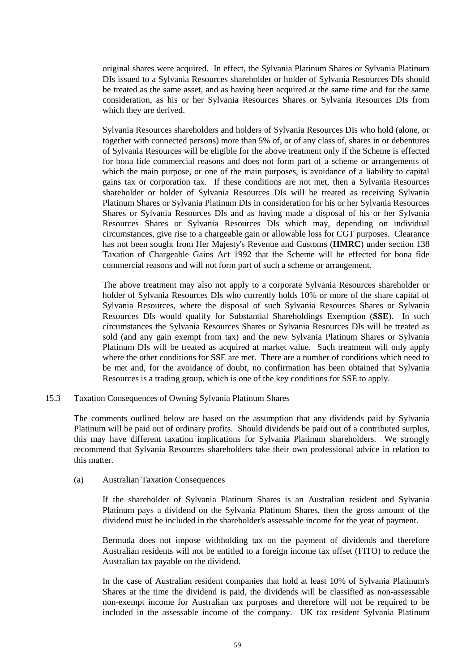original shares were acquired. In effect, the Sylvania Platinum Shares or Sylvania Platinum DIs issued to a Sylvania Resources shareholder or holder of Sylvania Resources DIs should be treated as the same asset, and as having been acquired at the same time and for the same consideration, as his or her Sylvania Resources Shares or Sylvania Resources DIs from which they are derived.

Sylvania Resources shareholders and holders of Sylvania Resources DIs who hold (alone, or together with connected persons) more than 5% of, or of any class of, shares in or debentures of Sylvania Resources will be eligible for the above treatment only if the Scheme is effected for bona fide commercial reasons and does not form part of a scheme or arrangements of which the main purpose, or one of the main purposes, is avoidance of a liability to capital gains tax or corporation tax. If these conditions are not met, then a Sylvania Resources shareholder or holder of Sylvania Resources DIs will be treated as receiving Sylvania Platinum Shares or Sylvania Platinum DIs in consideration for his or her Sylvania Resources Shares or Sylvania Resources DIs and as having made a disposal of his or her Sylvania Resources Shares or Sylvania Resources DIs which may, depending on individual circumstances, give rise to a chargeable gain or allowable loss for CGT purposes. Clearance has not been sought from Her Majesty's Revenue and Customs (**HMRC**) under section 138 Taxation of Chargeable Gains Act 1992 that the Scheme will be effected for bona fide commercial reasons and will not form part of such a scheme or arrangement.

The above treatment may also not apply to a corporate Sylvania Resources shareholder or holder of Sylvania Resources DIs who currently holds 10% or more of the share capital of Sylvania Resources, where the disposal of such Sylvania Resources Shares or Sylvania Resources DIs would qualify for Substantial Shareholdings Exemption (**SSE**). In such circumstances the Sylvania Resources Shares or Sylvania Resources DIs will be treated as sold (and any gain exempt from tax) and the new Sylvania Platinum Shares or Sylvania Platinum DIs will be treated as acquired at market value. Such treatment will only apply where the other conditions for SSE are met. There are a number of conditions which need to be met and, for the avoidance of doubt, no confirmation has been obtained that Sylvania Resources is a trading group, which is one of the key conditions for SSE to apply.

# 15.3 Taxation Consequences of Owning Sylvania Platinum Shares

The comments outlined below are based on the assumption that any dividends paid by Sylvania Platinum will be paid out of ordinary profits. Should dividends be paid out of a contributed surplus, this may have different taxation implications for Sylvania Platinum shareholders. We strongly recommend that Sylvania Resources shareholders take their own professional advice in relation to this matter.

#### (a) Australian Taxation Consequences

If the shareholder of Sylvania Platinum Shares is an Australian resident and Sylvania Platinum pays a dividend on the Sylvania Platinum Shares, then the gross amount of the dividend must be included in the shareholder's assessable income for the year of payment.

Bermuda does not impose withholding tax on the payment of dividends and therefore Australian residents will not be entitled to a foreign income tax offset (FITO) to reduce the Australian tax payable on the dividend.

In the case of Australian resident companies that hold at least 10% of Sylvania Platinum's Shares at the time the dividend is paid, the dividends will be classified as non-assessable non-exempt income for Australian tax purposes and therefore will not be required to be included in the assessable income of the company. UK tax resident Sylvania Platinum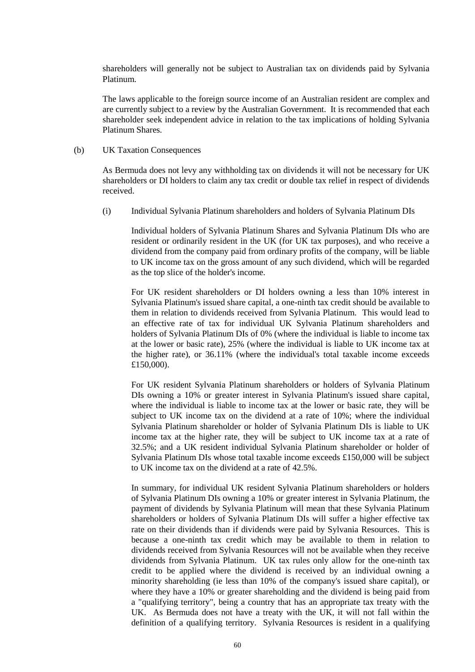shareholders will generally not be subject to Australian tax on dividends paid by Sylvania Platinum.

The laws applicable to the foreign source income of an Australian resident are complex and are currently subject to a review by the Australian Government. It is recommended that each shareholder seek independent advice in relation to the tax implications of holding Sylvania Platinum Shares.

#### (b) UK Taxation Consequences

As Bermuda does not levy any withholding tax on dividends it will not be necessary for UK shareholders or DI holders to claim any tax credit or double tax relief in respect of dividends received.

(i) Individual Sylvania Platinum shareholders and holders of Sylvania Platinum DIs

Individual holders of Sylvania Platinum Shares and Sylvania Platinum DIs who are resident or ordinarily resident in the UK (for UK tax purposes), and who receive a dividend from the company paid from ordinary profits of the company, will be liable to UK income tax on the gross amount of any such dividend, which will be regarded as the top slice of the holder's income.

For UK resident shareholders or DI holders owning a less than 10% interest in Sylvania Platinum's issued share capital, a one-ninth tax credit should be available to them in relation to dividends received from Sylvania Platinum. This would lead to an effective rate of tax for individual UK Sylvania Platinum shareholders and holders of Sylvania Platinum DIs of 0% (where the individual is liable to income tax at the lower or basic rate), 25% (where the individual is liable to UK income tax at the higher rate), or 36.11% (where the individual's total taxable income exceeds £150,000).

For UK resident Sylvania Platinum shareholders or holders of Sylvania Platinum DIs owning a 10% or greater interest in Sylvania Platinum's issued share capital, where the individual is liable to income tax at the lower or basic rate, they will be subject to UK income tax on the dividend at a rate of 10%; where the individual Sylvania Platinum shareholder or holder of Sylvania Platinum DIs is liable to UK income tax at the higher rate, they will be subject to UK income tax at a rate of 32.5%; and a UK resident individual Sylvania Platinum shareholder or holder of Sylvania Platinum DIs whose total taxable income exceeds £150,000 will be subject to UK income tax on the dividend at a rate of 42.5%.

In summary, for individual UK resident Sylvania Platinum shareholders or holders of Sylvania Platinum DIs owning a 10% or greater interest in Sylvania Platinum, the payment of dividends by Sylvania Platinum will mean that these Sylvania Platinum shareholders or holders of Sylvania Platinum DIs will suffer a higher effective tax rate on their dividends than if dividends were paid by Sylvania Resources. This is because a one-ninth tax credit which may be available to them in relation to dividends received from Sylvania Resources will not be available when they receive dividends from Sylvania Platinum. UK tax rules only allow for the one-ninth tax credit to be applied where the dividend is received by an individual owning a minority shareholding (ie less than 10% of the company's issued share capital), or where they have a 10% or greater shareholding and the dividend is being paid from a "qualifying territory", being a country that has an appropriate tax treaty with the UK. As Bermuda does not have a treaty with the UK, it will not fall within the definition of a qualifying territory. Sylvania Resources is resident in a qualifying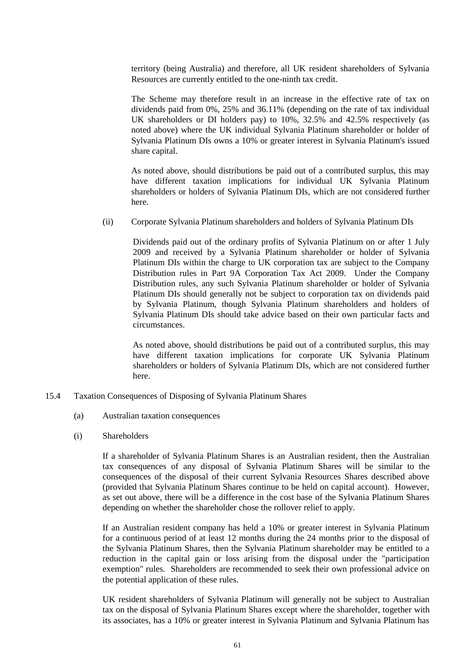territory (being Australia) and therefore, all UK resident shareholders of Sylvania Resources are currently entitled to the one-ninth tax credit.

The Scheme may therefore result in an increase in the effective rate of tax on dividends paid from 0%, 25% and 36.11% (depending on the rate of tax individual UK shareholders or DI holders pay) to 10%, 32.5% and 42.5% respectively (as noted above) where the UK individual Sylvania Platinum shareholder or holder of Sylvania Platinum DIs owns a 10% or greater interest in Sylvania Platinum's issued share capital.

As noted above, should distributions be paid out of a contributed surplus, this may have different taxation implications for individual UK Sylvania Platinum shareholders or holders of Sylvania Platinum DIs, which are not considered further here.

(ii) Corporate Sylvania Platinum shareholders and holders of Sylvania Platinum DIs

Dividends paid out of the ordinary profits of Sylvania Platinum on or after 1 July 2009 and received by a Sylvania Platinum shareholder or holder of Sylvania Platinum DIs within the charge to UK corporation tax are subject to the Company Distribution rules in Part 9A Corporation Tax Act 2009. Under the Company Distribution rules, any such Sylvania Platinum shareholder or holder of Sylvania Platinum DIs should generally not be subject to corporation tax on dividends paid by Sylvania Platinum, though Sylvania Platinum shareholders and holders of Sylvania Platinum DIs should take advice based on their own particular facts and circumstances.

As noted above, should distributions be paid out of a contributed surplus, this may have different taxation implications for corporate UK Sylvania Platinum shareholders or holders of Sylvania Platinum DIs, which are not considered further here.

- 15.4 Taxation Consequences of Disposing of Sylvania Platinum Shares
	- (a) Australian taxation consequences
	- (i) Shareholders

If a shareholder of Sylvania Platinum Shares is an Australian resident, then the Australian tax consequences of any disposal of Sylvania Platinum Shares will be similar to the consequences of the disposal of their current Sylvania Resources Shares described above (provided that Sylvania Platinum Shares continue to be held on capital account). However, as set out above, there will be a difference in the cost base of the Sylvania Platinum Shares depending on whether the shareholder chose the rollover relief to apply.

If an Australian resident company has held a 10% or greater interest in Sylvania Platinum for a continuous period of at least 12 months during the 24 months prior to the disposal of the Sylvania Platinum Shares, then the Sylvania Platinum shareholder may be entitled to a reduction in the capital gain or loss arising from the disposal under the "participation exemption" rules. Shareholders are recommended to seek their own professional advice on the potential application of these rules.

UK resident shareholders of Sylvania Platinum will generally not be subject to Australian tax on the disposal of Sylvania Platinum Shares except where the shareholder, together with its associates, has a 10% or greater interest in Sylvania Platinum and Sylvania Platinum has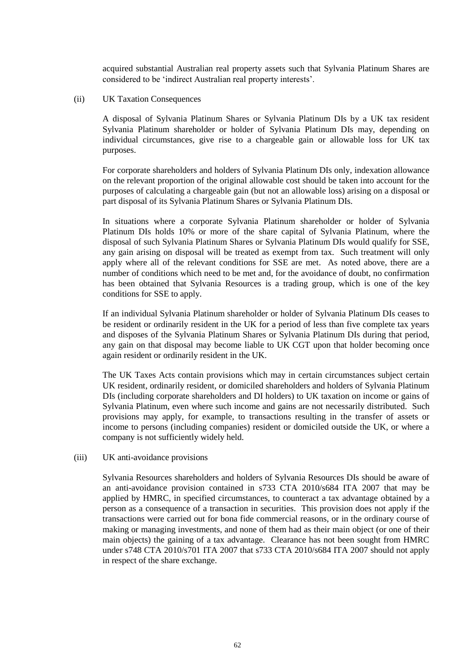acquired substantial Australian real property assets such that Sylvania Platinum Shares are considered to be 'indirect Australian real property interests'.

#### (ii) UK Taxation Consequences

A disposal of Sylvania Platinum Shares or Sylvania Platinum DIs by a UK tax resident Sylvania Platinum shareholder or holder of Sylvania Platinum DIs may, depending on individual circumstances, give rise to a chargeable gain or allowable loss for UK tax purposes.

For corporate shareholders and holders of Sylvania Platinum DIs only, indexation allowance on the relevant proportion of the original allowable cost should be taken into account for the purposes of calculating a chargeable gain (but not an allowable loss) arising on a disposal or part disposal of its Sylvania Platinum Shares or Sylvania Platinum DIs.

In situations where a corporate Sylvania Platinum shareholder or holder of Sylvania Platinum DIs holds 10% or more of the share capital of Sylvania Platinum, where the disposal of such Sylvania Platinum Shares or Sylvania Platinum DIs would qualify for SSE, any gain arising on disposal will be treated as exempt from tax. Such treatment will only apply where all of the relevant conditions for SSE are met. As noted above, there are a number of conditions which need to be met and, for the avoidance of doubt, no confirmation has been obtained that Sylvania Resources is a trading group, which is one of the key conditions for SSE to apply.

If an individual Sylvania Platinum shareholder or holder of Sylvania Platinum DIs ceases to be resident or ordinarily resident in the UK for a period of less than five complete tax years and disposes of the Sylvania Platinum Shares or Sylvania Platinum DIs during that period, any gain on that disposal may become liable to UK CGT upon that holder becoming once again resident or ordinarily resident in the UK.

The UK Taxes Acts contain provisions which may in certain circumstances subject certain UK resident, ordinarily resident, or domiciled shareholders and holders of Sylvania Platinum DIs (including corporate shareholders and DI holders) to UK taxation on income or gains of Sylvania Platinum, even where such income and gains are not necessarily distributed. Such provisions may apply, for example, to transactions resulting in the transfer of assets or income to persons (including companies) resident or domiciled outside the UK, or where a company is not sufficiently widely held.

#### (iii) UK anti-avoidance provisions

Sylvania Resources shareholders and holders of Sylvania Resources DIs should be aware of an anti-avoidance provision contained in s733 CTA 2010/s684 ITA 2007 that may be applied by HMRC, in specified circumstances, to counteract a tax advantage obtained by a person as a consequence of a transaction in securities. This provision does not apply if the transactions were carried out for bona fide commercial reasons, or in the ordinary course of making or managing investments, and none of them had as their main object (or one of their main objects) the gaining of a tax advantage. Clearance has not been sought from HMRC under s748 CTA 2010/s701 ITA 2007 that s733 CTA 2010/s684 ITA 2007 should not apply in respect of the share exchange.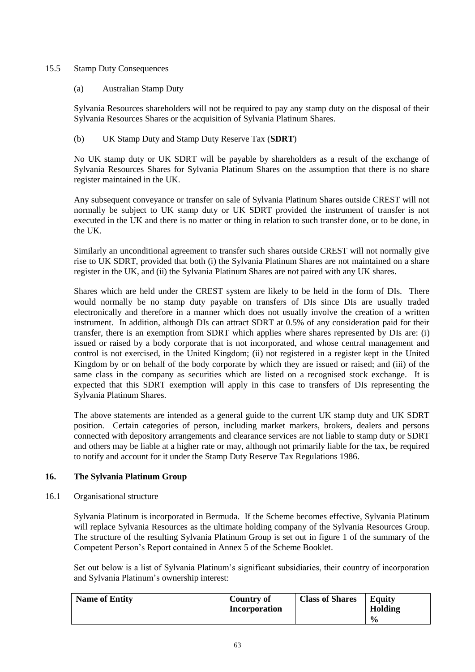# 15.5 Stamp Duty Consequences

(a) Australian Stamp Duty

Sylvania Resources shareholders will not be required to pay any stamp duty on the disposal of their Sylvania Resources Shares or the acquisition of Sylvania Platinum Shares.

# (b) UK Stamp Duty and Stamp Duty Reserve Tax (**SDRT**)

No UK stamp duty or UK SDRT will be payable by shareholders as a result of the exchange of Sylvania Resources Shares for Sylvania Platinum Shares on the assumption that there is no share register maintained in the UK.

Any subsequent conveyance or transfer on sale of Sylvania Platinum Shares outside CREST will not normally be subject to UK stamp duty or UK SDRT provided the instrument of transfer is not executed in the UK and there is no matter or thing in relation to such transfer done, or to be done, in the UK.

Similarly an unconditional agreement to transfer such shares outside CREST will not normally give rise to UK SDRT, provided that both (i) the Sylvania Platinum Shares are not maintained on a share register in the UK, and (ii) the Sylvania Platinum Shares are not paired with any UK shares.

Shares which are held under the CREST system are likely to be held in the form of DIs. There would normally be no stamp duty payable on transfers of DIs since DIs are usually traded electronically and therefore in a manner which does not usually involve the creation of a written instrument. In addition, although DIs can attract SDRT at 0.5% of any consideration paid for their transfer, there is an exemption from SDRT which applies where shares represented by DIs are: (i) issued or raised by a body corporate that is not incorporated, and whose central management and control is not exercised, in the United Kingdom; (ii) not registered in a register kept in the United Kingdom by or on behalf of the body corporate by which they are issued or raised; and (iii) of the same class in the company as securities which are listed on a recognised stock exchange. It is expected that this SDRT exemption will apply in this case to transfers of DIs representing the Sylvania Platinum Shares.

The above statements are intended as a general guide to the current UK stamp duty and UK SDRT position. Certain categories of person, including market markers, brokers, dealers and persons connected with depository arrangements and clearance services are not liable to stamp duty or SDRT and others may be liable at a higher rate or may, although not primarily liable for the tax, be required to notify and account for it under the Stamp Duty Reserve Tax Regulations 1986.

# **16. The Sylvania Platinum Group**

16.1 Organisational structure

Sylvania Platinum is incorporated in Bermuda. If the Scheme becomes effective, Sylvania Platinum will replace Sylvania Resources as the ultimate holding company of the Sylvania Resources Group. The structure of the resulting Sylvania Platinum Group is set out in figure 1 of the summary of the Competent Person's Report contained in Annex 5 of the Scheme Booklet.

Set out below is a list of Sylvania Platinum's significant subsidiaries, their country of incorporation and Sylvania Platinum's ownership interest:

| <b>Name of Entity</b> | <b>Country of</b><br>Incorporation | <b>Class of Shares</b> | <b>Equity</b><br>Holding |
|-----------------------|------------------------------------|------------------------|--------------------------|
|                       |                                    |                        | $\frac{0}{0}$            |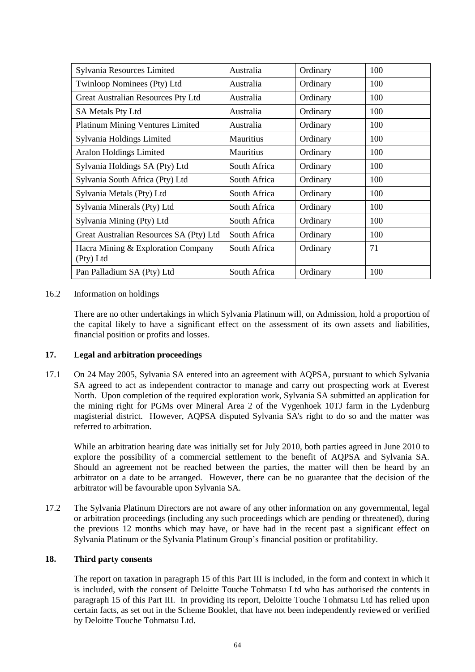| Sylvania Resources Limited                      | Australia        | Ordinary | 100 |
|-------------------------------------------------|------------------|----------|-----|
| Twinloop Nominees (Pty) Ltd                     | Australia        | Ordinary | 100 |
| Great Australian Resources Pty Ltd              | Australia        | Ordinary | 100 |
| <b>SA Metals Pty Ltd</b>                        | Australia        | Ordinary | 100 |
| Platinum Mining Ventures Limited                | Australia        | Ordinary | 100 |
| Sylvania Holdings Limited                       | <b>Mauritius</b> | Ordinary | 100 |
| <b>Aralon Holdings Limited</b>                  | Mauritius        | Ordinary | 100 |
| Sylvania Holdings SA (Pty) Ltd                  | South Africa     | Ordinary | 100 |
| Sylvania South Africa (Pty) Ltd                 | South Africa     | Ordinary | 100 |
| Sylvania Metals (Pty) Ltd                       | South Africa     | Ordinary | 100 |
| Sylvania Minerals (Pty) Ltd                     | South Africa     | Ordinary | 100 |
| Sylvania Mining (Pty) Ltd                       | South Africa     | Ordinary | 100 |
| Great Australian Resources SA (Pty) Ltd         | South Africa     | Ordinary | 100 |
| Hacra Mining & Exploration Company<br>(Pty) Ltd | South Africa     | Ordinary | 71  |
| Pan Palladium SA (Pty) Ltd                      | South Africa     | Ordinary | 100 |

# 16.2 Information on holdings

There are no other undertakings in which Sylvania Platinum will, on Admission, hold a proportion of the capital likely to have a significant effect on the assessment of its own assets and liabilities, financial position or profits and losses.

# **17. Legal and arbitration proceedings**

17.1 On 24 May 2005, Sylvania SA entered into an agreement with AQPSA, pursuant to which Sylvania SA agreed to act as independent contractor to manage and carry out prospecting work at Everest North. Upon completion of the required exploration work, Sylvania SA submitted an application for the mining right for PGMs over Mineral Area 2 of the Vygenhoek 10TJ farm in the Lydenburg magisterial district. However, AQPSA disputed Sylvania SA's right to do so and the matter was referred to arbitration.

While an arbitration hearing date was initially set for July 2010, both parties agreed in June 2010 to explore the possibility of a commercial settlement to the benefit of AQPSA and Sylvania SA. Should an agreement not be reached between the parties, the matter will then be heard by an arbitrator on a date to be arranged. However, there can be no guarantee that the decision of the arbitrator will be favourable upon Sylvania SA.

17.2 The Sylvania Platinum Directors are not aware of any other information on any governmental, legal or arbitration proceedings (including any such proceedings which are pending or threatened), during the previous 12 months which may have, or have had in the recent past a significant effect on Sylvania Platinum or the Sylvania Platinum Group's financial position or profitability.

# **18. Third party consents**

The report on taxation in paragraph [15](#page-55-0) of this [Part III](#page-33-0) is included, in the form and context in which it is included, with the consent of Deloitte Touche Tohmatsu Ltd who has authorised the contents in paragraph [15](#page-55-0) of this [Part III.](#page-33-0) In providing its report, Deloitte Touche Tohmatsu Ltd has relied upon certain facts, as set out in the Scheme Booklet, that have not been independently reviewed or verified by Deloitte Touche Tohmatsu Ltd.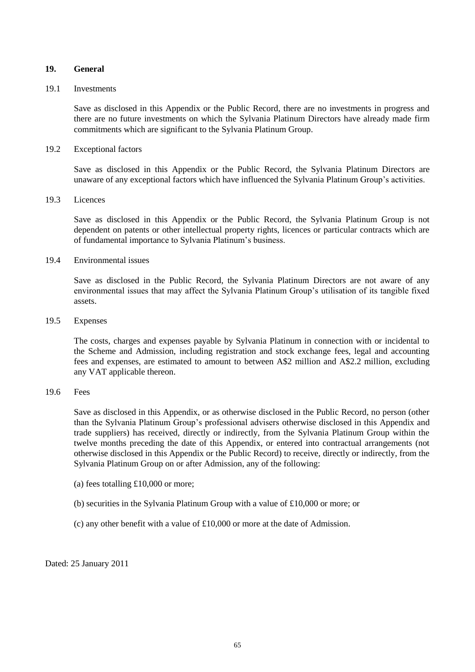### **19. General**

#### 19.1 Investments

Save as disclosed in this Appendix or the Public Record, there are no investments in progress and there are no future investments on which the Sylvania Platinum Directors have already made firm commitments which are significant to the Sylvania Platinum Group.

### 19.2 Exceptional factors

Save as disclosed in this Appendix or the Public Record, the Sylvania Platinum Directors are unaware of any exceptional factors which have influenced the Sylvania Platinum Group's activities.

#### 19.3 Licences

Save as disclosed in this Appendix or the Public Record, the Sylvania Platinum Group is not dependent on patents or other intellectual property rights, licences or particular contracts which are of fundamental importance to Sylvania Platinum's business.

# 19.4 Environmental issues

Save as disclosed in the Public Record, the Sylvania Platinum Directors are not aware of any environmental issues that may affect the Sylvania Platinum Group's utilisation of its tangible fixed assets.

# 19.5 Expenses

The costs, charges and expenses payable by Sylvania Platinum in connection with or incidental to the Scheme and Admission, including registration and stock exchange fees, legal and accounting fees and expenses, are estimated to amount to between A\$2 million and A\$2.2 million, excluding any VAT applicable thereon.

# 19.6 Fees

Save as disclosed in this Appendix, or as otherwise disclosed in the Public Record, no person (other than the Sylvania Platinum Group's professional advisers otherwise disclosed in this Appendix and trade suppliers) has received, directly or indirectly, from the Sylvania Platinum Group within the twelve months preceding the date of this Appendix, or entered into contractual arrangements (not otherwise disclosed in this Appendix or the Public Record) to receive, directly or indirectly, from the Sylvania Platinum Group on or after Admission, any of the following:

- (a) fees totalling £10,000 or more;
- (b) securities in the Sylvania Platinum Group with a value of £10,000 or more; or
- (c) any other benefit with a value of £10,000 or more at the date of Admission.

Dated: 25 January 2011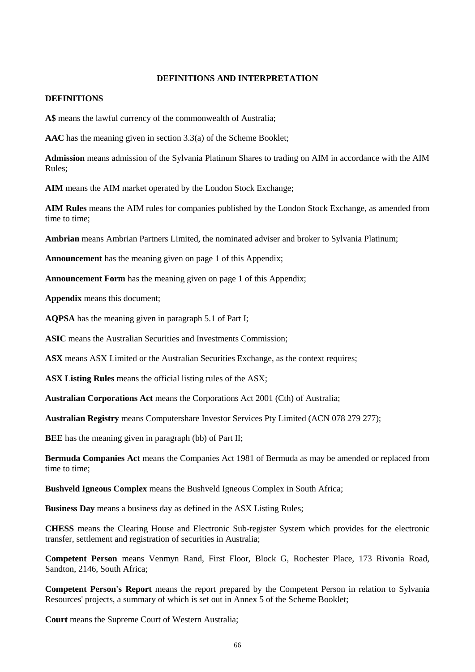### **DEFINITIONS AND INTERPRETATION**

#### **DEFINITIONS**

**A\$** means the lawful currency of the commonwealth of Australia;

**AAC** has the meaning given in section 3.3(a) of the Scheme Booklet;

**Admission** means admission of the Sylvania Platinum Shares to trading on AIM in accordance with the AIM Rules;

**AIM** means the AIM market operated by the London Stock Exchange;

**AIM Rules** means the AIM rules for companies published by the London Stock Exchange, as amended from time to time;

**Ambrian** means Ambrian Partners Limited, the nominated adviser and broker to Sylvania Platinum;

**Announcement** has the meaning given on page [1](#page-0-0) of this Appendix;

**Announcement Form** has the meaning given on page [1](#page-0-0) of this Appendix;

**Appendix** means this document;

**AQPSA** has the meaning given in paragraph [5.1](#page-9-0) of [Part I;](#page-5-0)

**ASIC** means the Australian Securities and Investments Commission;

**ASX** means ASX Limited or the Australian Securities Exchange, as the context requires;

**ASX Listing Rules** means the official listing rules of the ASX;

**Australian Corporations Act** means the Corporations Act 2001 (Cth) of Australia;

**Australian Registry** means Computershare Investor Services Pty Limited (ACN 078 279 277);

**BEE** has the meaning given in paragraph [\(bb\)](#page-31-0) of [Part II;](#page-23-0)

**Bermuda Companies Act** means the Companies Act 1981 of Bermuda as may be amended or replaced from time to time;

**Bushveld Igneous Complex** means the Bushveld Igneous Complex in South Africa;

**Business Day** means a business day as defined in the ASX Listing Rules;

**CHESS** means the Clearing House and Electronic Sub-register System which provides for the electronic transfer, settlement and registration of securities in Australia;

**Competent Person** means Venmyn Rand, First Floor, Block G, Rochester Place, 173 Rivonia Road, Sandton, 2146, South Africa;

**Competent Person's Report** means the report prepared by the Competent Person in relation to Sylvania Resources' projects, a summary of which is set out in Annex 5 of the Scheme Booklet;

**Court** means the Supreme Court of Western Australia;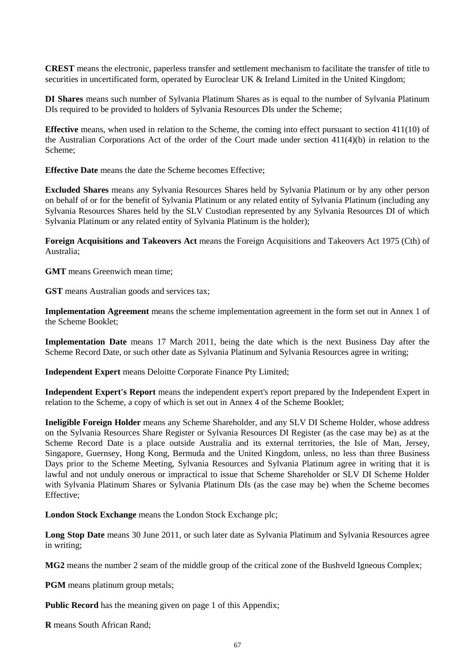**CREST** means the electronic, paperless transfer and settlement mechanism to facilitate the transfer of title to securities in uncertificated form, operated by Euroclear UK & Ireland Limited in the United Kingdom;

**DI Shares** means such number of Sylvania Platinum Shares as is equal to the number of Sylvania Platinum DIs required to be provided to holders of Sylvania Resources DIs under the Scheme;

**Effective** means, when used in relation to the Scheme, the coming into effect pursuant to section 411(10) of the Australian Corporations Act of the order of the Court made under section 411(4)(b) in relation to the Scheme;

**Effective Date** means the date the Scheme becomes Effective;

**Excluded Shares** means any Sylvania Resources Shares held by Sylvania Platinum or by any other person on behalf of or for the benefit of Sylvania Platinum or any related entity of Sylvania Platinum (including any Sylvania Resources Shares held by the SLV Custodian represented by any Sylvania Resources DI of which Sylvania Platinum or any related entity of Sylvania Platinum is the holder);

**Foreign Acquisitions and Takeovers Act** means the Foreign Acquisitions and Takeovers Act 1975 (Cth) of Australia;

**GMT** means Greenwich mean time;

**GST** means Australian goods and services tax;

**Implementation Agreement** means the scheme implementation agreement in the form set out in Annex 1 of the Scheme Booklet;

**Implementation Date** means 17 March 2011, being the date which is the next Business Day after the Scheme Record Date, or such other date as Sylvania Platinum and Sylvania Resources agree in writing;

**Independent Expert** means Deloitte Corporate Finance Pty Limited;

**Independent Expert's Report** means the independent expert's report prepared by the Independent Expert in relation to the Scheme, a copy of which is set out in Annex 4 of the Scheme Booklet;

**Ineligible Foreign Holder** means any Scheme Shareholder, and any SLV DI Scheme Holder, whose address on the Sylvania Resources Share Register or Sylvania Resources DI Register (as the case may be) as at the Scheme Record Date is a place outside Australia and its external territories, the Isle of Man, Jersey, Singapore, Guernsey, Hong Kong, Bermuda and the United Kingdom, unless, no less than three Business Days prior to the Scheme Meeting, Sylvania Resources and Sylvania Platinum agree in writing that it is lawful and not unduly onerous or impractical to issue that Scheme Shareholder or SLV DI Scheme Holder with Sylvania Platinum Shares or Sylvania Platinum DIs (as the case may be) when the Scheme becomes Effective;

**London Stock Exchange** means the London Stock Exchange plc;

**Long Stop Date** means 30 June 2011, or such later date as Sylvania Platinum and Sylvania Resources agree in writing;

**MG2** means the number 2 seam of the middle group of the critical zone of the Bushveld Igneous Complex;

**PGM** means platinum group metals;

**Public Record** has the meaning given on page [1](#page-0-0) of this Appendix;

**R** means South African Rand;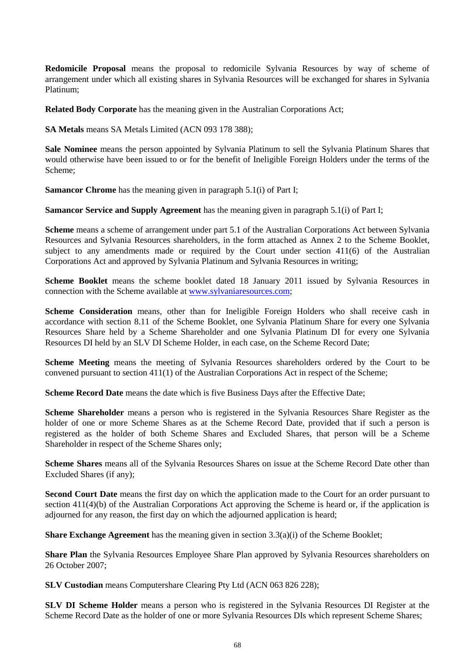**Redomicile Proposal** means the proposal to redomicile Sylvania Resources by way of scheme of arrangement under which all existing shares in Sylvania Resources will be exchanged for shares in Sylvania Platinum;

**Related Body Corporate** has the meaning given in the Australian Corporations Act;

**SA Metals** means SA Metals Limited (ACN 093 178 388);

**Sale Nominee** means the person appointed by Sylvania Platinum to sell the Sylvania Platinum Shares that would otherwise have been issued to or for the benefit of Ineligible Foreign Holders under the terms of the Scheme;

**Samancor Chrome** has the meaning given in paragraph [5.1\(i\)](#page-10-0) of Part I:

**Samancor Service and Supply Agreement** has the meaning given in paragraph [5.1\(i\)](#page-10-0) of [Part I;](#page-5-0)

**Scheme** means a scheme of arrangement under part 5.1 of the Australian Corporations Act between Sylvania Resources and Sylvania Resources shareholders, in the form attached as Annex 2 to the Scheme Booklet, subject to any amendments made or required by the Court under section 411(6) of the Australian Corporations Act and approved by Sylvania Platinum and Sylvania Resources in writing;

**Scheme Booklet** means the scheme booklet dated 18 January 2011 issued by Sylvania Resources in connection with the Scheme available at [www.sylvaniaresources.com;](http://www.sylvaniaresources.com/)

**Scheme Consideration** means, other than for Ineligible Foreign Holders who shall receive cash in accordance with section 8.11 of the Scheme Booklet, one Sylvania Platinum Share for every one Sylvania Resources Share held by a Scheme Shareholder and one Sylvania Platinum DI for every one Sylvania Resources DI held by an SLV DI Scheme Holder, in each case, on the Scheme Record Date;

**Scheme Meeting** means the meeting of Sylvania Resources shareholders ordered by the Court to be convened pursuant to section 411(1) of the Australian Corporations Act in respect of the Scheme;

**Scheme Record Date** means the date which is five Business Days after the Effective Date;

**Scheme Shareholder** means a person who is registered in the Sylvania Resources Share Register as the holder of one or more Scheme Shares as at the Scheme Record Date, provided that if such a person is registered as the holder of both Scheme Shares and Excluded Shares, that person will be a Scheme Shareholder in respect of the Scheme Shares only;

**Scheme Shares** means all of the Sylvania Resources Shares on issue at the Scheme Record Date other than Excluded Shares (if any);

**Second Court Date** means the first day on which the application made to the Court for an order pursuant to section 411(4)(b) of the Australian Corporations Act approving the Scheme is heard or, if the application is adjourned for any reason, the first day on which the adjourned application is heard;

**Share Exchange Agreement** has the meaning given in section 3.3(a)(i) of the Scheme Booklet;

**Share Plan** the Sylvania Resources Employee Share Plan approved by Sylvania Resources shareholders on 26 October 2007;

**SLV Custodian** means Computershare Clearing Pty Ltd (ACN 063 826 228);

**SLV DI Scheme Holder** means a person who is registered in the Sylvania Resources DI Register at the Scheme Record Date as the holder of one or more Sylvania Resources DIs which represent Scheme Shares;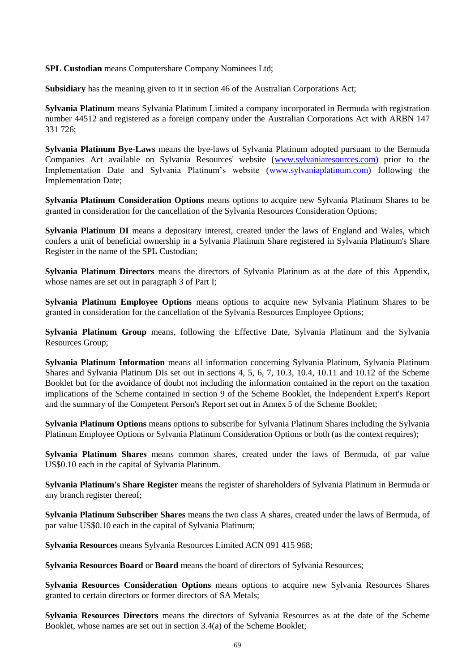**SPL Custodian** means Computershare Company Nominees Ltd;

**Subsidiary** has the meaning given to it in section 46 of the Australian Corporations Act;

**Sylvania Platinum** means Sylvania Platinum Limited a company incorporated in Bermuda with registration number 44512 and registered as a foreign company under the Australian Corporations Act with ARBN 147 331 726;

**Sylvania Platinum Bye-Laws** means the bye-laws of Sylvania Platinum adopted pursuant to the Bermuda Companies Act available on Sylvania Resources' website [\(www.sylvaniaresources.com\)](http://www.sylvaniaresources.com/) prior to the Implementation Date and Sylvania Platinum's website [\(www.sylvaniaplatinum.com\)](http://www.sylvaniaplatinum.com/) following the Implementation Date;

**Sylvania Platinum Consideration Options** means options to acquire new Sylvania Platinum Shares to be granted in consideration for the cancellation of the Sylvania Resources Consideration Options;

**Sylvania Platinum DI** means a depositary interest, created under the laws of England and Wales, which confers a unit of beneficial ownership in a Sylvania Platinum Share registered in Sylvania Platinum's Share Register in the name of the SPL Custodian;

**Sylvania Platinum Directors** means the directors of Sylvania Platinum as at the date of this Appendix, whose names are set out in paragraph [3](#page-7-0) of [Part I;](#page-5-0)

**Sylvania Platinum Employee Options** means options to acquire new Sylvania Platinum Shares to be granted in consideration for the cancellation of the Sylvania Resources Employee Options;

**Sylvania Platinum Group** means, following the Effective Date, Sylvania Platinum and the Sylvania Resources Group;

**Sylvania Platinum Information** means all information concerning Sylvania Platinum, Sylvania Platinum Shares and Sylvania Platinum DIs set out in sections 4, 5, 6, 7, 10.3, 10.4, 10.11 and 10.12 of the Scheme Booklet but for the avoidance of doubt not including the information contained in the report on the taxation implications of the Scheme contained in section 9 of the Scheme Booklet, the Independent Expert's Report and the summary of the Competent Person's Report set out in Annex 5 of the Scheme Booklet;

**Sylvania Platinum Options** means options to subscribe for Sylvania Platinum Shares including the Sylvania Platinum Employee Options or Sylvania Platinum Consideration Options or both (as the context requires);

**Sylvania Platinum Shares** means common shares, created under the laws of Bermuda, of par value US\$0.10 each in the capital of Sylvania Platinum.

**Sylvania Platinum's Share Register** means the register of shareholders of Sylvania Platinum in Bermuda or any branch register thereof;

**Sylvania Platinum Subscriber Shares** means the two class A shares, created under the laws of Bermuda, of par value US\$0.10 each in the capital of Sylvania Platinum;

**Sylvania Resources** means Sylvania Resources Limited ACN 091 415 968;

**Sylvania Resources Board** or **Board** means the board of directors of Sylvania Resources;

**Sylvania Resources Consideration Options** means options to acquire new Sylvania Resources Shares granted to certain directors or former directors of SA Metals;

**Sylvania Resources Directors** means the directors of Sylvania Resources as at the date of the Scheme Booklet, whose names are set out in section 3.4(a) of the Scheme Booklet;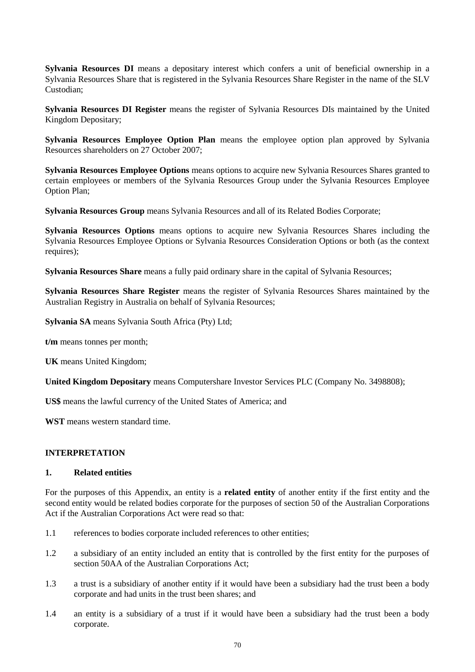**Sylvania Resources DI** means a depositary interest which confers a unit of beneficial ownership in a Sylvania Resources Share that is registered in the Sylvania Resources Share Register in the name of the SLV Custodian;

**Sylvania Resources DI Register** means the register of Sylvania Resources DIs maintained by the United Kingdom Depositary;

**Sylvania Resources Employee Option Plan** means the employee option plan approved by Sylvania Resources shareholders on 27 October 2007;

**Sylvania Resources Employee Options** means options to acquire new Sylvania Resources Shares granted to certain employees or members of the Sylvania Resources Group under the Sylvania Resources Employee Option Plan;

**Sylvania Resources Group** means Sylvania Resources and all of its Related Bodies Corporate;

**Sylvania Resources Options** means options to acquire new Sylvania Resources Shares including the Sylvania Resources Employee Options or Sylvania Resources Consideration Options or both (as the context requires);

**Sylvania Resources Share** means a fully paid ordinary share in the capital of Sylvania Resources;

**Sylvania Resources Share Register** means the register of Sylvania Resources Shares maintained by the Australian Registry in Australia on behalf of Sylvania Resources;

**Sylvania SA** means Sylvania South Africa (Pty) Ltd;

**t/m** means tonnes per month;

**UK** means United Kingdom;

**United Kingdom Depositary** means Computershare Investor Services PLC (Company No. 3498808);

**US\$** means the lawful currency of the United States of America; and

**WST** means western standard time.

#### **INTERPRETATION**

#### **1. Related entities**

For the purposes of this Appendix, an entity is a **related entity** of another entity if the first entity and the second entity would be related bodies corporate for the purposes of section 50 of the Australian Corporations Act if the Australian Corporations Act were read so that:

- 1.1 references to bodies corporate included references to other entities;
- 1.2 a subsidiary of an entity included an entity that is controlled by the first entity for the purposes of section 50AA of the Australian Corporations Act;
- 1.3 a trust is a subsidiary of another entity if it would have been a subsidiary had the trust been a body corporate and had units in the trust been shares; and
- 1.4 an entity is a subsidiary of a trust if it would have been a subsidiary had the trust been a body corporate.